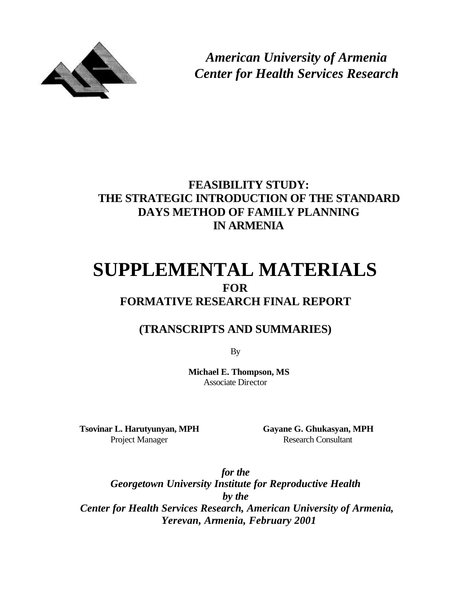

*American University of Armenia Center for Health Services Research*

# **FEASIBILITY STUDY: THE STRATEGIC INTRODUCTION OF THE STANDARD DAYS METHOD OF FAMILY PLANNING IN ARMENIA**

# **SUPPLEMENTAL MATERIALS FOR FORMATIVE RESEARCH FINAL REPORT**

# **(TRANSCRIPTS AND SUMMARIES)**

By

**Michael E. Thompson, MS** Associate Director

**Tsovinar L. Harutyunyan, MPH Gayane G. Ghukasyan, MPH**

Project Manager Research Consultant

*for the Georgetown University Institute for Reproductive Health by the Center for Health Services Research, American University of Armenia, Yerevan, Armenia, February 2001*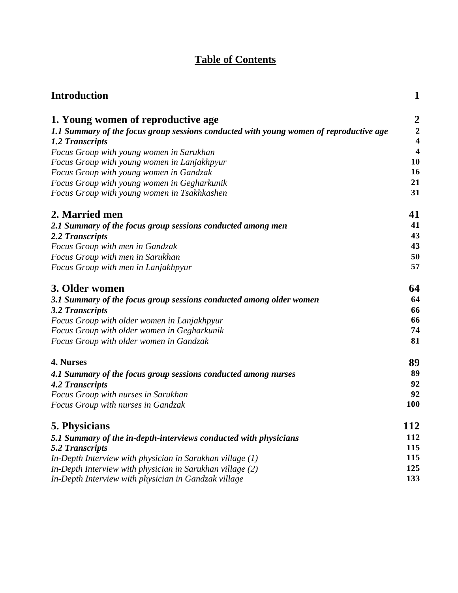# **Table of Contents**

| <b>Introduction</b>                                                                    | $\mathbf{1}$            |
|----------------------------------------------------------------------------------------|-------------------------|
| 1. Young women of reproductive age                                                     | $\overline{\mathbf{c}}$ |
| 1.1 Summary of the focus group sessions conducted with young women of reproductive age | $\frac{2}{4}$           |
| 1.2 Transcripts                                                                        |                         |
| Focus Group with young women in Sarukhan                                               | $\overline{\mathbf{4}}$ |
| Focus Group with young women in Lanjakhpyur                                            | 10                      |
| Focus Group with young women in Gandzak                                                | 16                      |
| Focus Group with young women in Gegharkunik                                            | 21                      |
| Focus Group with young women in Tsakhkashen                                            | 31                      |
| 2. Married men                                                                         | 41                      |
| 2.1 Summary of the focus group sessions conducted among men                            | 41                      |
| 2.2 Transcripts                                                                        | 43                      |
| Focus Group with men in Gandzak                                                        | 43                      |
| Focus Group with men in Sarukhan                                                       | 50                      |
| Focus Group with men in Lanjakhpyur                                                    | 57                      |
| 3. Older women                                                                         | 64                      |
| 3.1 Summary of the focus group sessions conducted among older women                    | 64                      |
| 3.2 Transcripts                                                                        | 66                      |
| Focus Group with older women in Lanjakhpyur                                            | 66                      |
| Focus Group with older women in Gegharkunik                                            | 74                      |
| Focus Group with older women in Gandzak                                                | 81                      |
| 4. Nurses                                                                              | 89                      |
| 4.1 Summary of the focus group sessions conducted among nurses                         | 89                      |
| <b>4.2 Transcripts</b>                                                                 | 92                      |
| Focus Group with nurses in Sarukhan                                                    | 92                      |
| Focus Group with nurses in Gandzak                                                     | 100                     |
| 5. Physicians                                                                          | 112                     |
| 5.1 Summary of the in-depth-interviews conducted with physicians                       | 112                     |
| <b>5.2 Transcripts</b>                                                                 | 115                     |
| In-Depth Interview with physician in Sarukhan village $(1)$                            | 115                     |
| In-Depth Interview with physician in Sarukhan village (2)                              | 125                     |
| In-Depth Interview with physician in Gandzak village                                   | 133                     |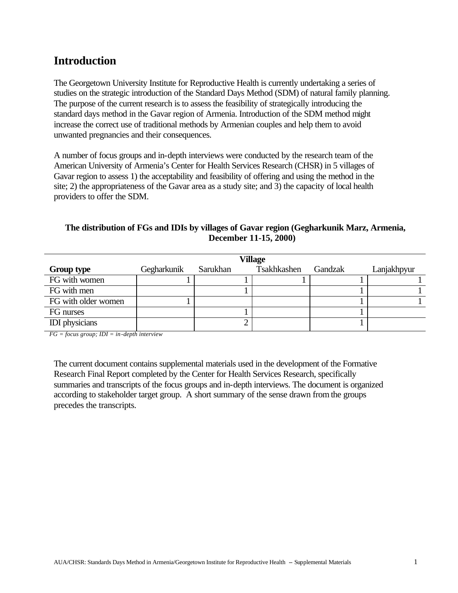# **Introduction**

The Georgetown University Institute for Reproductive Health is currently undertaking a series of studies on the strategic introduction of the Standard Days Method (SDM) of natural family planning. The purpose of the current research is to assess the feasibility of strategically introducing the standard days method in the Gavar region of Armenia. Introduction of the SDM method might increase the correct use of traditional methods by Armenian couples and help them to avoid unwanted pregnancies and their consequences.

A number of focus groups and in-depth interviews were conducted by the research team of the American University of Armenia's Center for Health Services Research (CHSR) in 5 villages of Gavar region to assess 1) the acceptability and feasibility of offering and using the method in the site; 2) the appropriateness of the Gavar area as a study site; and 3) the capacity of local health providers to offer the SDM.

| The distribution of FGs and IDIs by villages of Gavar region (Gegharkunik Marz, Armenia, |
|------------------------------------------------------------------------------------------|
| <b>December 11-15, 2000</b>                                                              |

|                       | <b>Village</b> |          |             |         |             |  |  |  |
|-----------------------|----------------|----------|-------------|---------|-------------|--|--|--|
| <b>Group type</b>     | Gegharkunik    | Sarukhan | Tsakhkashen | Gandzak | Lanjakhpyur |  |  |  |
| FG with women         |                |          |             |         |             |  |  |  |
| FG with men           |                |          |             |         |             |  |  |  |
| FG with older women   |                |          |             |         |             |  |  |  |
| FG nurses             |                |          |             |         |             |  |  |  |
| <b>IDI</b> physicians |                |          |             |         |             |  |  |  |

*FG = focus group; IDI = in-depth interview*

The current document contains supplemental materials used in the development of the Formative Research Final Report completed by the Center for Health Services Research, specifically summaries and transcripts of the focus groups and in-depth interviews. The document is organized according to stakeholder target group. A short summary of the sense drawn from the groups precedes the transcripts.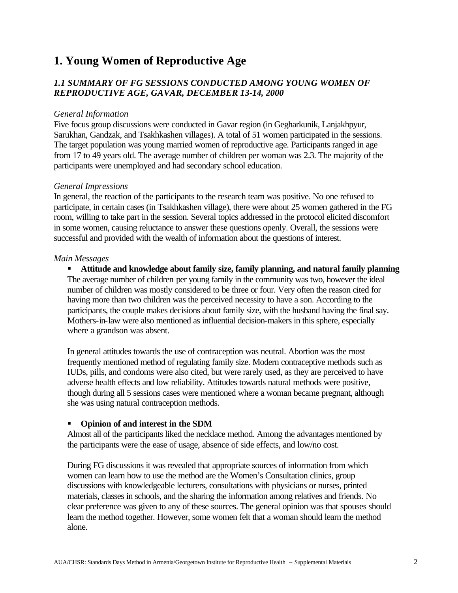# **1. Young Women of Reproductive Age**

# *1.1 SUMMARY OF FG SESSIONS CONDUCTED AMONG YOUNG WOMEN OF REPRODUCTIVE AGE, GAVAR, DECEMBER 13-14, 2000*

#### *General Information*

Five focus group discussions were conducted in Gavar region (in Gegharkunik, Lanjakhpyur, Sarukhan, Gandzak, and Tsakhkashen villages). A total of 51 women participated in the sessions. The target population was young married women of reproductive age. Participants ranged in age from 17 to 49 years old. The average number of children per woman was 2.3. The majority of the participants were unemployed and had secondary school education.

#### *General Impressions*

In general, the reaction of the participants to the research team was positive. No one refused to participate, in certain cases (in Tsakhkashen village), there were about 25 women gathered in the FG room, willing to take part in the session. Several topics addressed in the protocol elicited discomfort in some women, causing reluctance to answer these questions openly. Overall, the sessions were successful and provided with the wealth of information about the questions of interest.

#### *Main Messages*

**KR** Attitude and knowledge about family size, family planning, and natural family planning The average number of children per young family in the community was two, however the ideal number of children was mostly considered to be three or four. Very often the reason cited for having more than two children was the perceived necessity to have a son. According to the participants, the couple makes decisions about family size, with the husband having the final say. Mothers-in-law were also mentioned as influential decision-makers in this sphere, especially where a grandson was absent.

In general attitudes towards the use of contraception was neutral. Abortion was the most frequently mentioned method of regulating family size. Modern contraceptive methods such as IUDs, pills, and condoms were also cited, but were rarely used, as they are perceived to have adverse health effects and low reliability. Attitudes towards natural methods were positive, though during all 5 sessions cases were mentioned where a woman became pregnant, although she was using natural contraception methods.

# **•** Opinion of and interest in the SDM

Almost all of the participants liked the necklace method. Among the advantages mentioned by the participants were the ease of usage, absence of side effects, and low/no cost.

During FG discussions it was revealed that appropriate sources of information from which women can learn how to use the method are the Women's Consultation clinics, group discussions with knowledgeable lecturers, consultations with physicians or nurses, printed materials, classes in schools, and the sharing the information among relatives and friends. No clear preference was given to any of these sources. The general opinion was that spouses should learn the method together. However, some women felt that a woman should learn the method alone.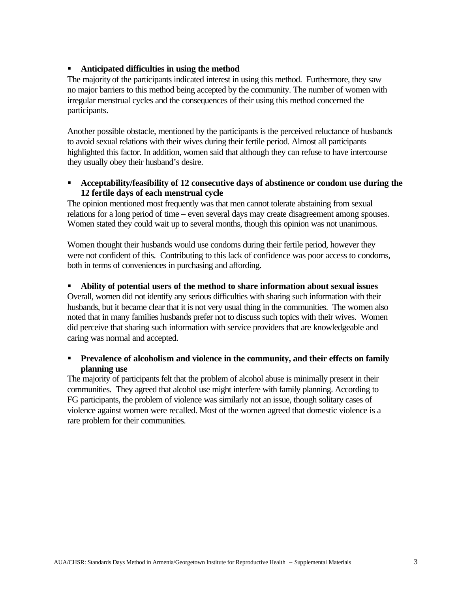# **EXECUTE:** Anticipated difficulties in using the method

The majority of the participants indicated interest in using this method. Furthermore, they saw no major barriers to this method being accepted by the community. The number of women with irregular menstrual cycles and the consequences of their using this method concerned the participants.

Another possible obstacle, mentioned by the participants is the perceived reluctance of husbands to avoid sexual relations with their wives during their fertile period. Almost all participants highlighted this factor. In addition, women said that although they can refuse to have intercourse they usually obey their husband's desire.

# ß **Acceptability/feasibility of 12 consecutive days of abstinence or condom use during the 12 fertile days of each menstrual cycle**

The opinion mentioned most frequently was that men cannot tolerate abstaining from sexual relations for a long period of time – even several days may create disagreement among spouses. Women stated they could wait up to several months, though this opinion was not unanimous.

Women thought their husbands would use condoms during their fertile period, however they were not confident of this. Contributing to this lack of confidence was poor access to condoms, both in terms of conveniences in purchasing and affording.

#### **Ability of potential users of the method to share information about sexual issues**

Overall, women did not identify any serious difficulties with sharing such information with their husbands, but it became clear that it is not very usual thing in the communities. The women also noted that in many families husbands prefer not to discuss such topics with their wives. Women did perceive that sharing such information with service providers that are knowledgeable and caring was normal and accepted.

# **Prevalence of alcoholism and violence in the community, and their effects on family planning use**

The majority of participants felt that the problem of alcohol abuse is minimally present in their communities. They agreed that alcohol use might interfere with family planning. According to FG participants, the problem of violence was similarly not an issue, though solitary cases of violence against women were recalled. Most of the women agreed that domestic violence is a rare problem for their communities.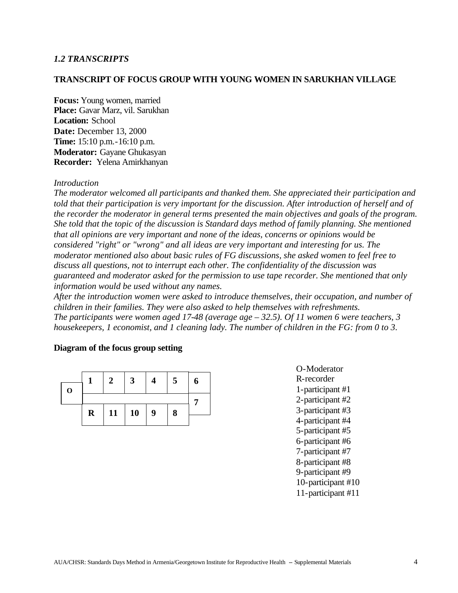# *1.2 TRANSCRIPTS*

## **TRANSCRIPT OF FOCUS GROUP WITH YOUNG WOMEN IN SARUKHAN VILLAGE**

**Focus:** Young women, married **Place:** Gavar Marz, vil. Sarukhan **Location:** School **Date:** December 13, 2000 **Time:** 15:10 p.m.-16:10 p.m. **Moderator:** Gayane Ghukasyan **Recorder:** Yelena Amirkhanyan

#### *Introduction*

*The moderator welcomed all participants and thanked them. She appreciated their participation and told that their participation is very important for the discussion. After introduction of herself and of the recorder the moderator in general terms presented the main objectives and goals of the program. She told that the topic of the discussion is Standard days method of family planning. She mentioned that all opinions are very important and none of the ideas, concerns or opinions would be considered "right" or "wrong" and all ideas are very important and interesting for us. The moderator mentioned also about basic rules of FG discussions, she asked women to feel free to discuss all questions, not to interrupt each other. The confidentiality of the discussion was guaranteed and moderator asked for the permission to use tape recorder. She mentioned that only information would be used without any names.*

*After the introduction women were asked to introduce themselves, their occupation, and number of children in their families. They were also asked to help themselves with refreshments. The participants were women aged 17-48 (average age – 32.5). Of 11 women 6 were teachers, 3 housekeepers, 1 economist, and 1 cleaning lady. The number of children in the FG: from 0 to 3.*

#### **Diagram of the focus group setting**

| $\mathbf 0$ |             | 2 | 3                   |  | 5 |  |  |
|-------------|-------------|---|---------------------|--|---|--|--|
|             |             |   |                     |  |   |  |  |
|             | $\mathbf R$ |   | $11 \mid 10 \mid 9$ |  | 8 |  |  |
|             |             |   |                     |  |   |  |  |

O-Moderator R-recorder 1-participant #1 2-participant #2 3-participant #3 4-participant #4 5-participant #5 6-participant #6 7-participant #7 8-participant #8 9-participant #9 10-participant #10 11-participant #11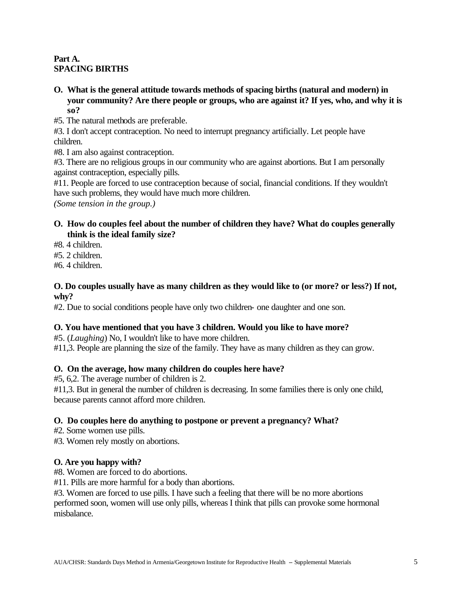# **Part A. SPACING BIRTHS**

- **O. What is the general attitude towards methods of spacing births (natural and modern) in your community? Are there people or groups, who are against it? If yes, who, and why it is so?**
- #5. The natural methods are preferable.

#3. I don't accept contraception. No need to interrupt pregnancy artificially. Let people have children.

#8. I am also against contraception.

#3. There are no religious groups in our community who are against abortions. But I am personally against contraception, especially pills.

#11. People are forced to use contraception because of social, financial conditions. If they wouldn't have such problems, they would have much more children.

*(Some tension in the group.)*

# **O. How do couples feel about the number of children they have? What do couples generally think is the ideal family size?**

- #8. 4 children.
- #5. 2 children.
- #6. 4 children.

# **O. Do couples usually have as many children as they would like to (or more? or less?) If not, why?**

#2. Due to social conditions people have only two children- one daughter and one son.

# **O. You have mentioned that you have 3 children. Would you like to have more?**

#5. (*Laughing*) No, I wouldn't like to have more children.

#11,3. People are planning the size of the family. They have as many children as they can grow.

# **O. On the average, how many children do couples here have?**

#5, 6,2. The average number of children is 2.

#11,3. But in general the number of children is decreasing. In some families there is only one child, because parents cannot afford more children.

# **O. Do couples here do anything to postpone or prevent a pregnancy? What?**

#2. Some women use pills.

#3. Women rely mostly on abortions.

# **O. Are you happy with?**

#8. Women are forced to do abortions.

#11. Pills are more harmful for a body than abortions.

#3. Women are forced to use pills. I have such a feeling that there will be no more abortions performed soon, women will use only pills, whereas I think that pills can provoke some hormonal misbalance.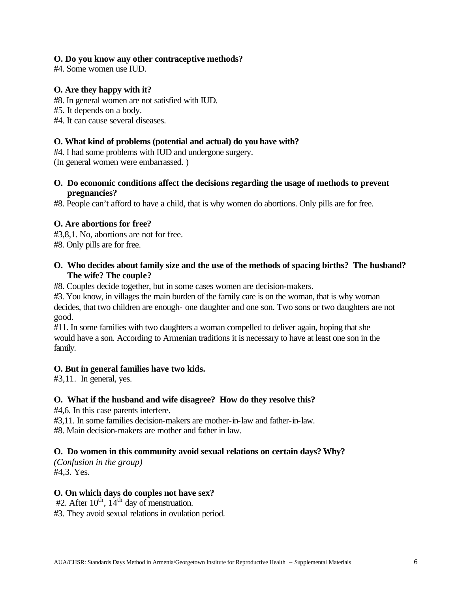# **O. Do you know any other contraceptive methods?**

#4. Some women use IUD.

# **O. Are they happy with it?**

- #8. In general women are not satisfied with IUD.
- #5. It depends on a body.
- #4. It can cause several diseases.

# **O. What kind of problems (potential and actual) do you have with?**

#4. I had some problems with IUD and undergone surgery.

(In general women were embarrassed. )

# **O. Do economic conditions affect the decisions regarding the usage of methods to prevent pregnancies?**

#8. People can't afford to have a child, that is why women do abortions. Only pills are for free.

# **O. Are abortions for free?**

#3,8,1. No, abortions are not for free. #8. Only pills are for free.

# **O. Who decides about family size and the use of the methods of spacing births? The husband? The wife? The couple?**

#8. Couples decide together, but in some cases women are decision-makers.

#3. You know, in villages the main burden of the family care is on the woman, that is why woman decides, that two children are enough- one daughter and one son. Two sons or two daughters are not good.

#11. In some families with two daughters a woman compelled to deliver again, hoping that she would have a son. According to Armenian traditions it is necessary to have at least one son in the family.

# **O. But in general families have two kids.**

#3,11. In general, yes.

# **O. What if the husband and wife disagree? How do they resolve this?**

#4,6. In this case parents interfere.

#3,11. In some families decision-makers are mother-in-law and father-in-law.

#8. Main decision-makers are mother and father in law.

# **O. Do women in this community avoid sexual relations on certain days? Why?**

*(Confusion in the group)* #4,3. Yes.

# **O. On which days do couples not have sex?**

#2. After  $10^{th}$ ,  $14^{th}$  day of menstruation.

#3. They avoid sexual relations in ovulation period.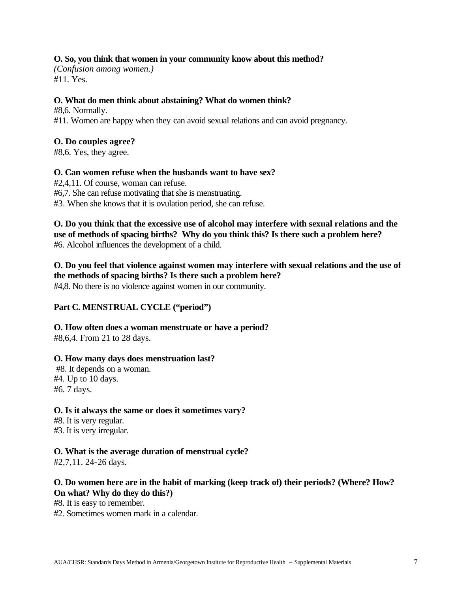# **O. So, you think that women in your community know about this method?**

*(Confusion among women.)* #11. Yes.

# **O. What do men think about abstaining? What do women think?**

#8,6. Normally. #11. Women are happy when they can avoid sexual relations and can avoid pregnancy.

# **O. Do couples agree?**

#8,6. Yes, they agree.

# **O. Can women refuse when the husbands want to have sex?**

#2,4,11. Of course, woman can refuse. #6,7. She can refuse motivating that she is menstruating. #3. When she knows that it is ovulation period, she can refuse.

**O. Do you think that the excessive use of alcohol may interfere with sexual relations and the use of methods of spacing births? Why do you think this? Is there such a problem here?** #6. Alcohol influences the development of a child.

# **O. Do you feel that violence against women may interfere with sexual relations and the use of the methods of spacing births? Is there such a problem here?**

#4,8. No there is no violence against women in our community.

# **Part C. MENSTRUAL CYCLE ("period")**

**O. How often does a woman menstruate or have a period?**

#8,6,4. From 21 to 28 days.

# **O. How many days does menstruation last?**

 #8. It depends on a woman. #4. Up to 10 days. #6. 7 days.

# **O. Is it always the same or does it sometimes vary?**

#8. It is very regular. #3. It is very irregular.

# **O. What is the average duration of menstrual cycle?**

#2,7,11. 24-26 days.

# **O. Do women here are in the habit of marking (keep track of) their periods? (Where? How? On what? Why do they do this?)**

#8. It is easy to remember.

#2. Sometimes women mark in a calendar.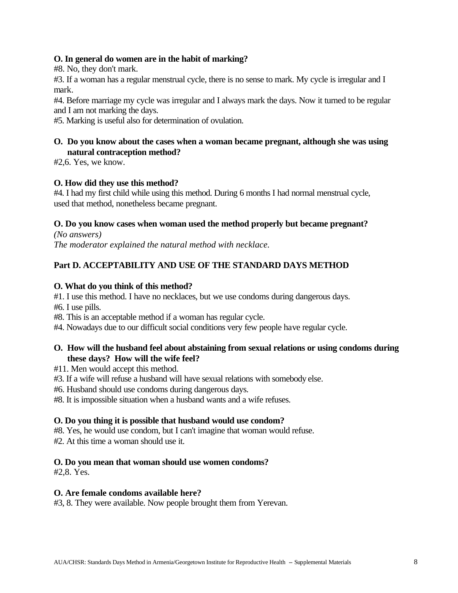# **O. In general do women are in the habit of marking?**

#8. No, they don't mark.

#3. If a woman has a regular menstrual cycle, there is no sense to mark. My cycle is irregular and I mark.

#4. Before marriage my cycle was irregular and I always mark the days. Now it turned to be regular and I am not marking the days.

#5. Marking is useful also for determination of ovulation.

# **O. Do you know about the cases when a woman became pregnant, although she was using natural contraception method?**

#2,6. Yes, we know.

# **O. How did they use this method?**

#4. I had my first child while using this method. During 6 months I had normal menstrual cycle, used that method, nonetheless became pregnant.

# **O. Do you know cases when woman used the method properly but became pregnant?**

*(No answers) The moderator explained the natural method with necklace.* 

# **Part D. ACCEPTABILITY AND USE OF THE STANDARD DAYS METHOD**

# **O. What do you think of this method?**

#1. I use this method. I have no necklaces, but we use condoms during dangerous days.

#6. I use pills.

#8. This is an acceptable method if a woman has regular cycle.

#4. Nowadays due to our difficult social conditions very few people have regular cycle.

# **O. How will the husband feel about abstaining from sexual relations or using condoms during these days? How will the wife feel?**

#11. Men would accept this method.

- #3. If a wife will refuse a husband will have sexual relations with somebody else.
- #6. Husband should use condoms during dangerous days.
- #8. It is impossible situation when a husband wants and a wife refuses.

# **O. Do you thing it is possible that husband would use condom?**

#8. Yes, he would use condom, but I can't imagine that woman would refuse.

#2. At this time a woman should use it.

# **O. Do you mean that woman should use women condoms?**

#2,8. Yes.

# **O. Are female condoms available here?**

#3, 8. They were available. Now people brought them from Yerevan.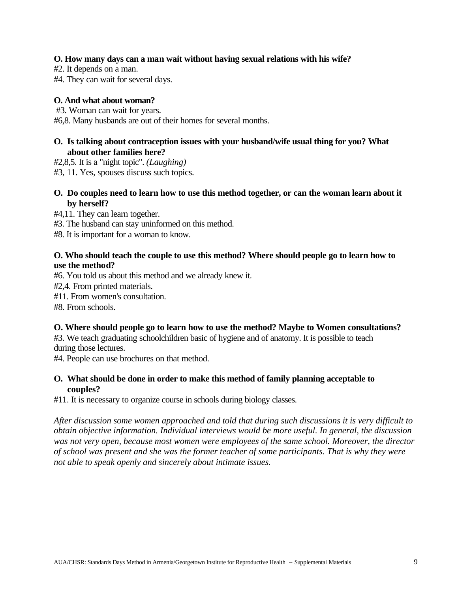## **O. How many days can a man wait without having sexual relations with his wife?**

#2. It depends on a man.

#4. They can wait for several days.

## **O. And what about woman?**

#3. Woman can wait for years.

#6,8. Many husbands are out of their homes for several months.

# **O. Is talking about contraception issues with your husband/wife usual thing for you? What about other families here?**

- #2,8,5. It is a "night topic". *(Laughing)*
- #3, 11. Yes, spouses discuss such topics.

# **O. Do couples need to learn how to use this method together, or can the woman learn about it by herself?**

- #4,11. They can learn together.
- #3. The husband can stay uninformed on this method.

#8. It is important for a woman to know.

# **O. Who should teach the couple to use this method? Where should people go to learn how to use the method?**

#6. You told us about this method and we already knew it.

#2,4. From printed materials.

#11. From women's consultation.

#8. From schools.

# **O. Where should people go to learn how to use the method? Maybe to Women consultations?**

#3. We teach graduating schoolchildren basic of hygiene and of anatomy. It is possible to teach during those lectures.

#4. People can use brochures on that method.

# **O. What should be done in order to make this method of family planning acceptable to couples?**

#11. It is necessary to organize course in schools during biology classes.

*After discussion some women approached and told that during such discussions it is very difficult to obtain objective information. Individual interviews would be more useful. In general, the discussion was not very open, because most women were employees of the same school. Moreover, the director of school was present and she was the former teacher of some participants. That is why they were not able to speak openly and sincerely about intimate issues.*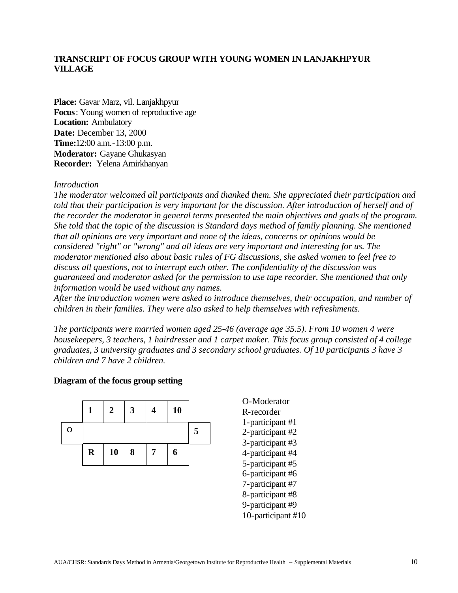# **TRANSCRIPT OF FOCUS GROUP WITH YOUNG WOMEN IN LANJAKHPYUR VILLAGE**

**Place:** Gavar Marz, vil. Lanjakhpyur **Focus**: Young women of reproductive age **Location:** Ambulatory **Date:** December 13, 2000 **Time:**12:00 a.m.-13:00 p.m. **Moderator:** Gayane Ghukasyan **Recorder:** Yelena Amirkhanyan

#### *Introduction*

*The moderator welcomed all participants and thanked them. She appreciated their participation and told that their participation is very important for the discussion. After introduction of herself and of the recorder the moderator in general terms presented the main objectives and goals of the program. She told that the topic of the discussion is Standard days method of family planning. She mentioned that all opinions are very important and none of the ideas, concerns or opinions would be considered "right" or "wrong" and all ideas are very important and interesting for us. The moderator mentioned also about basic rules of FG discussions, she asked women to feel free to discuss all questions, not to interrupt each other. The confidentiality of the discussion was guaranteed and moderator asked for the permission to use tape recorder. She mentioned that only information would be used without any names.*

*After the introduction women were asked to introduce themselves, their occupation, and number of children in their families. They were also asked to help themselves with refreshments.*

*The participants were married women aged 25-46 (average age 35.5). From 10 women 4 were housekeepers, 3 teachers, 1 hairdresser and 1 carpet maker. This focus group consisted of 4 college graduates, 3 university graduates and 3 secondary school graduates. Of 10 participants 3 have 3 children and 7 have 2 children.*

#### **Diagram of the focus group setting**



O-Moderator R-recorder 1-participant #1 2-participant #2 3-participant #3 4-participant #4 5-participant #5 6-participant #6 7-participant #7 8-participant #8 9-participant #9 10-participant #10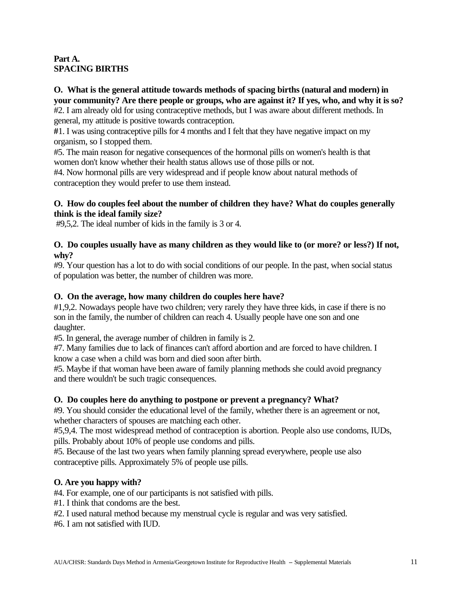# **Part A. SPACING BIRTHS**

# **O. What is the general attitude towards methods of spacing births (natural and modern) in your community? Are there people or groups, who are against it? If yes, who, and why it is so?**

#2. I am already old for using contraceptive methods, but I was aware about different methods. In general, my attitude is positive towards contraception.

**#**1. I was using contraceptive pills for 4 months and I felt that they have negative impact on my organism, so I stopped them.

#5. The main reason for negative consequences of the hormonal pills on women's health is that women don't know whether their health status allows use of those pills or not.

#4. Now hormonal pills are very widespread and if people know about natural methods of contraception they would prefer to use them instead.

# **O. How do couples feel about the number of children they have? What do couples generally think is the ideal family size?**

#9,5,2. The ideal number of kids in the family is 3 or 4.

# **O. Do couples usually have as many children as they would like to (or more? or less?) If not, why?**

#9. Your question has a lot to do with social conditions of our people. In the past, when social status of population was better, the number of children was more.

# **O. On the average, how many children do couples here have?**

#1,9,2. Nowadays people have two children; very rarely they have three kids, in case if there is no son in the family, the number of children can reach 4. Usually people have one son and one daughter.

#5. In general, the average number of children in family is 2.

#7. Many families due to lack of finances can't afford abortion and are forced to have children. I know a case when a child was born and died soon after birth.

#5. Maybe if that woman have been aware of family planning methods she could avoid pregnancy and there wouldn't be such tragic consequences.

# **O. Do couples here do anything to postpone or prevent a pregnancy? What?**

#9. You should consider the educational level of the family, whether there is an agreement or not, whether characters of spouses are matching each other.

#5,9,4. The most widespread method of contraception is abortion. People also use condoms, IUDs, pills. Probably about 10% of people use condoms and pills.

#5. Because of the last two years when family planning spread everywhere, people use also contraceptive pills. Approximately 5% of people use pills.

# **O. Are you happy with?**

#4. For example, one of our participants is not satisfied with pills.

- #1. I think that condoms are the best.
- #2. I used natural method because my menstrual cycle is regular and was very satisfied.

#6. I am not satisfied with IUD.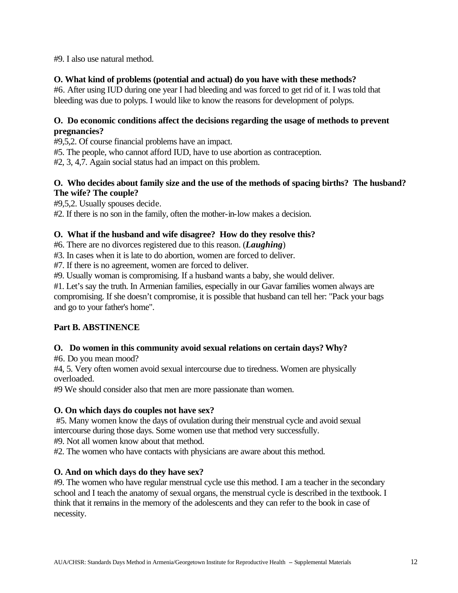#9. I also use natural method.

# **O. What kind of problems (potential and actual) do you have with these methods?**

#6. After using IUD during one year I had bleeding and was forced to get rid of it. I was told that bleeding was due to polyps. I would like to know the reasons for development of polyps.

# **O. Do economic conditions affect the decisions regarding the usage of methods to prevent pregnancies?**

#9,5,2. Of course financial problems have an impact.

#5. The people, who cannot afford IUD, have to use abortion as contraception.

#2, 3, 4,7. Again social status had an impact on this problem.

# **O. Who decides about family size and the use of the methods of spacing births? The husband? The wife? The couple?**

#9,5,2. Usually spouses decide.

#2. If there is no son in the family, often the mother-in-low makes a decision.

# **O. What if the husband and wife disagree? How do they resolve this?**

#6. There are no divorces registered due to this reason. (*Laughing*)

#3. In cases when it is late to do abortion, women are forced to deliver.

#7. If there is no agreement, women are forced to deliver.

#9. Usually woman is compromising. If a husband wants a baby, she would deliver.

#1. Let's say the truth. In Armenian families, especially in our Gavar families women always are compromising. If she doesn't compromise, it is possible that husband can tell her: "Pack your bags and go to your father's home".

# **Part B. ABSTINENCE**

# **O. Do women in this community avoid sexual relations on certain days? Why?**

#6. Do you mean mood?

#4, 5. Very often women avoid sexual intercourse due to tiredness. Women are physically overloaded.

#9 We should consider also that men are more passionate than women.

# **O. On which days do couples not have sex?**

#5. Many women know the days of ovulation during their menstrual cycle and avoid sexual intercourse during those days. Some women use that method very successfully.

#9. Not all women know about that method.

#2. The women who have contacts with physicians are aware about this method.

# **O. And on which days do they have sex?**

#9. The women who have regular menstrual cycle use this method. I am a teacher in the secondary school and I teach the anatomy of sexual organs, the menstrual cycle is described in the textbook. I think that it remains in the memory of the adolescents and they can refer to the book in case of necessity.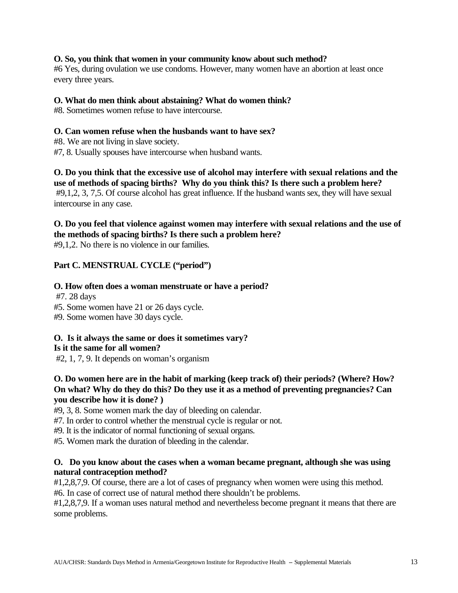# **O. So, you think that women in your community know about such method?**

#6 Yes, during ovulation we use condoms. However, many women have an abortion at least once every three years.

#### **O. What do men think about abstaining? What do women think?**

#8. Sometimes women refuse to have intercourse.

## **O. Can women refuse when the husbands want to have sex?**

- #8. We are not living in slave society.
- #7, 8. Usually spouses have intercourse when husband wants.

**O. Do you think that the excessive use of alcohol may interfere with sexual relations and the use of methods of spacing births? Why do you think this? Is there such a problem here?** #9,1,2, 3, 7,5. Of course alcohol has great influence. If the husband wants sex, they will have sexual intercourse in any case.

# **O. Do you feel that violence against women may interfere with sexual relations and the use of the methods of spacing births? Is there such a problem here?**

#9,1,2. No there is no violence in our families.

# **Part C. MENSTRUAL CYCLE ("period")**

# **O. How often does a woman menstruate or have a period?**

#7. 28 days

- #5. Some women have 21 or 26 days cycle.
- #9. Some women have 30 days cycle.

#### **O. Is it always the same or does it sometimes vary? Is it the same for all women?**

#2, 1, 7, 9. It depends on woman's organism

# **O. Do women here are in the habit of marking (keep track of) their periods? (Where? How? On what? Why do they do this? Do they use it as a method of preventing pregnancies? Can you describe how it is done? )**

#9, 3, 8. Some women mark the day of bleeding on calendar.

#7. In order to control whether the menstrual cycle is regular or not.

#9. It is the indicator of normal functioning of sexual organs.

#5. Women mark the duration of bleeding in the calendar.

# **O. Do you know about the cases when a woman became pregnant, although she was using natural contraception method?**

#1,2,8,7,9. Of course, there are a lot of cases of pregnancy when women were using this method. #6. In case of correct use of natural method there shouldn't be problems.

#1,2,8,7,9. If a woman uses natural method and nevertheless become pregnant it means that there are some problems.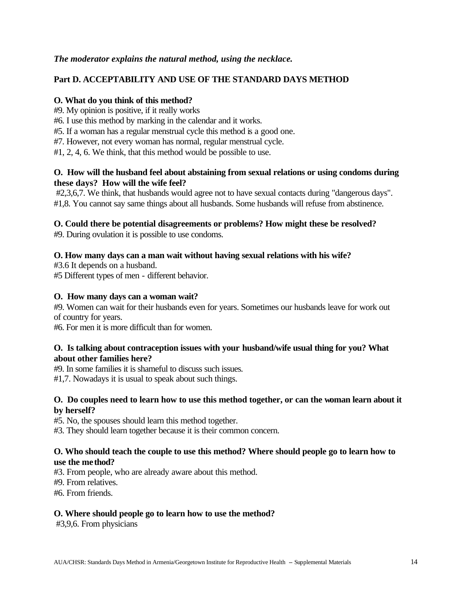# *The moderator explains the natural method, using the necklace.*

# **Part D. ACCEPTABILITY AND USE OF THE STANDARD DAYS METHOD**

## **O. What do you think of this method?**

- #9. My opinion is positive, if it really works
- #6. I use this method by marking in the calendar and it works.
- #5. If a woman has a regular menstrual cycle this method is a good one.
- #7. However, not every woman has normal, regular menstrual cycle.
- #1, 2, 4, 6. We think, that this method would be possible to use.

# **O. How will the husband feel about abstaining from sexual relations or using condoms during these days? How will the wife feel?**

#2,3,6,7. We think, that husbands would agree not to have sexual contacts during "dangerous days". #1,8. You cannot say same things about all husbands. Some husbands will refuse from abstinence.

# **O. Could there be potential disagreements or problems? How might these be resolved?**

#9. During ovulation it is possible to use condoms.

# **O. How many days can a man wait without having sexual relations with his wife?**

#3.6 It depends on a husband.

#5 Different types of men - different behavior.

## **O. How many days can a woman wait?**

#9. Women can wait for their husbands even for years. Sometimes our husbands leave for work out of country for years.

#6. For men it is more difficult than for women.

# **O. Is talking about contraception issues with your husband/wife usual thing for you? What about other families here?**

#9. In some families it is shameful to discuss such issues.

#1,7. Nowadays it is usual to speak about such things.

# **O. Do couples need to learn how to use this method together, or can the woman learn about it by herself?**

#5. No, the spouses should learn this method together.

#3. They should learn together because it is their common concern.

# **O. Who should teach the couple to use this method? Where should people go to learn how to use the method?**

- #3. From people, who are already aware about this method.
- #9. From relatives.
- #6. From friends.

# **O. Where should people go to learn how to use the method?**

#3,9,6. From physicians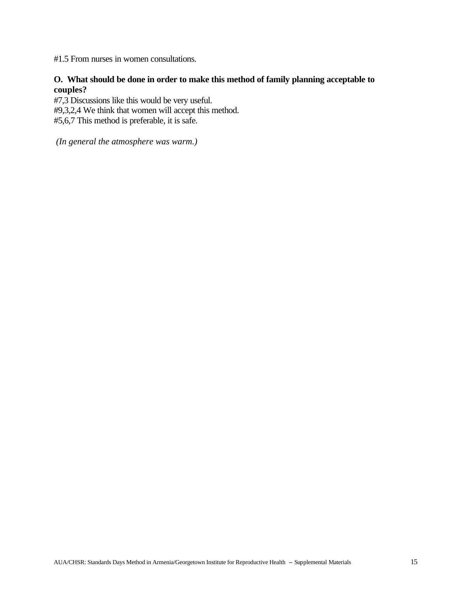#1.5 From nurses in women consultations.

# **O. What should be done in order to make this method of family planning acceptable to couples?**

#7,3 Discussions like this would be very useful. #9,3,2,4 We think that women will accept this method. #5,6,7 This method is preferable, it is safe.

 *(In general the atmosphere was warm.)*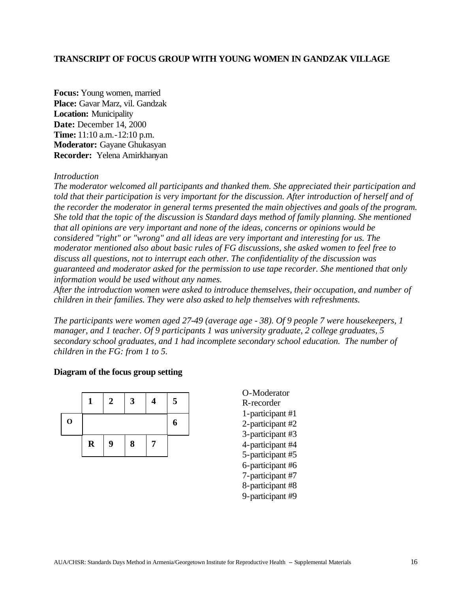## **TRANSCRIPT OF FOCUS GROUP WITH YOUNG WOMEN IN GANDZAK VILLAGE**

**Focus:** Young women, married **Place:** Gavar Marz, vil. Gandzak **Location:** Municipality **Date:** December 14, 2000 **Time:** 11:10 a.m.-12:10 p.m. **Moderator:** Gayane Ghukasyan **Recorder:** Yelena Amirkhanyan

#### *Introduction*

*The moderator welcomed all participants and thanked them. She appreciated their participation and told that their participation is very important for the discussion. After introduction of herself and of the recorder the moderator in general terms presented the main objectives and goals of the program. She told that the topic of the discussion is Standard days method of family planning. She mentioned that all opinions are very important and none of the ideas, concerns or opinions would be considered "right" or "wrong" and all ideas are very important and interesting for us. The moderator mentioned also about basic rules of FG discussions, she asked women to feel free to discuss all questions, not to interrupt each other. The confidentiality of the discussion was guaranteed and moderator asked for the permission to use tape recorder. She mentioned that only information would be used without any names.*

*After the introduction women were asked to introduce themselves, their occupation, and number of children in their families. They were also asked to help themselves with refreshments.*

*The participants were women aged 27-49 (average age - 38). Of 9 people 7 were housekeepers, 1 manager, and 1 teacher. Of 9 participants 1 was university graduate, 2 college graduates, 5 secondary school graduates, and 1 had incomplete secondary school education. The number of children in the FG: from 1 to 5.*

#### **Diagram of the focus group setting**



O-Moderator R-recorder 1-participant #1 2-participant #2 3-participant #3 4-participant #4 5-participant #5 6-participant #6 7-participant #7 8-participant #8 9-participant #9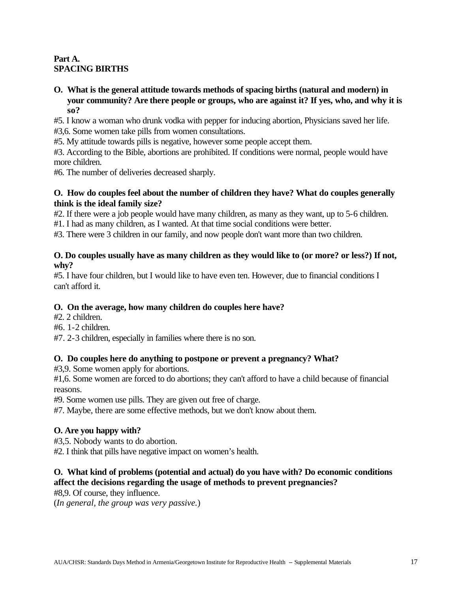# **Part A. SPACING BIRTHS**

**O. What is the general attitude towards methods of spacing births (natural and modern) in your community? Are there people or groups, who are against it? If yes, who, and why it is so?**

#5. I know a woman who drunk vodka with pepper for inducing abortion, Physicians saved her life. #3,6. Some women take pills from women consultations.

#5. My attitude towards pills is negative, however some people accept them.

#3. According to the Bible, abortions are prohibited. If conditions were normal, people would have more children.

#6. The number of deliveries decreased sharply.

# **O. How do couples feel about the number of children they have? What do couples generally think is the ideal family size?**

#2. If there were a job people would have many children, as many as they want, up to 5-6 children.

#1. I had as many children, as I wanted. At that time social conditions were better.

#3. There were 3 children in our family, and now people don't want more than two children.

# **O. Do couples usually have as many children as they would like to (or more? or less?) If not, why?**

#5. I have four children, but I would like to have even ten. However, due to financial conditions I can't afford it.

# **O. On the average, how many children do couples here have?**

- #2. 2 children.
- #6. 1-2 children.
- #7. 2-3 children, especially in families where there is no son.

# **O. Do couples here do anything to postpone or prevent a pregnancy? What?**

#3,9. Some women apply for abortions.

#1,6. Some women are forced to do abortions; they can't afford to have a child because of financial reasons.

#9. Some women use pills. They are given out free of charge.

#7. Maybe, there are some effective methods, but we don't know about them.

# **O. Are you happy with?**

#3,5. Nobody wants to do abortion.

#2. I think that pills have negative impact on women's health.

# **O. What kind of problems (potential and actual) do you have with? Do economic conditions affect the decisions regarding the usage of methods to prevent pregnancies?**

#8,9. Of course, they influence.

(*In general, the group was very passive.*)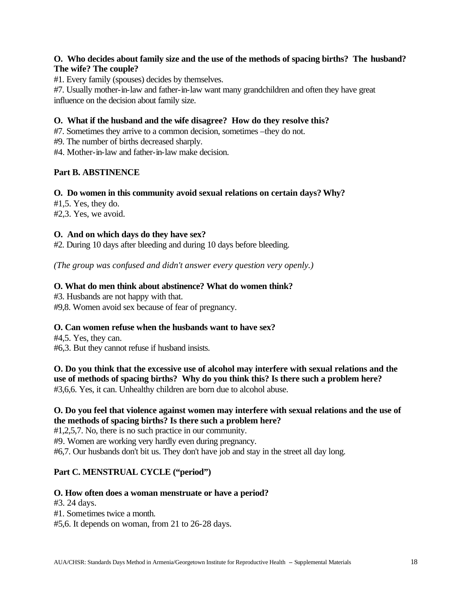# **O. Who decides about family size and the use of the methods of spacing births? The husband? The wife? The couple?**

#1. Every family (spouses) decides by themselves.

#7. Usually mother-in-law and father-in-law want many grandchildren and often they have great influence on the decision about family size.

# **O. What if the husband and the wife disagree? How do they resolve this?**

#7. Sometimes they arrive to a common decision, sometimes –they do not.

#9. The number of births decreased sharply.

#4. Mother-in-law and father-in-law make decision.

# **Part B. ABSTINENCE**

#### **O. Do women in this community avoid sexual relations on certain days? Why?**

 $#1,5.$  Yes, they do. #2,3. Yes, we avoid.

# **O. And on which days do they have sex?**

#2. During 10 days after bleeding and during 10 days before bleeding.

*(The group was confused and didn't answer every question very openly.)*

# **O. What do men think about abstinence? What do women think?**

#3. Husbands are not happy with that.

#9,8. Women avoid sex because of fear of pregnancy.

# **O. Can women refuse when the husbands want to have sex?**

#4,5. Yes, they can. #6,3. But they cannot refuse if husband insists.

**O. Do you think that the excessive use of alcohol may interfere with sexual relations and the use of methods of spacing births? Why do you think this? Is there such a problem here?** #3,6,6. Yes, it can. Unhealthy children are born due to alcohol abuse.

# **O. Do you feel that violence against women may interfere with sexual relations and the use of the methods of spacing births? Is there such a problem here?**

#1,2,5,7. No, there is no such practice in our community.

#9. Women are working very hardly even during pregnancy.

#6,7. Our husbands don't bit us. They don't have job and stay in the street all day long.

# **Part C. MENSTRUAL CYCLE ("period")**

# **O. How often does a woman menstruate or have a period?**

#3. 24 days.

#1. Sometimes twice a month.

#5,6. It depends on woman, from 21 to 26-28 days.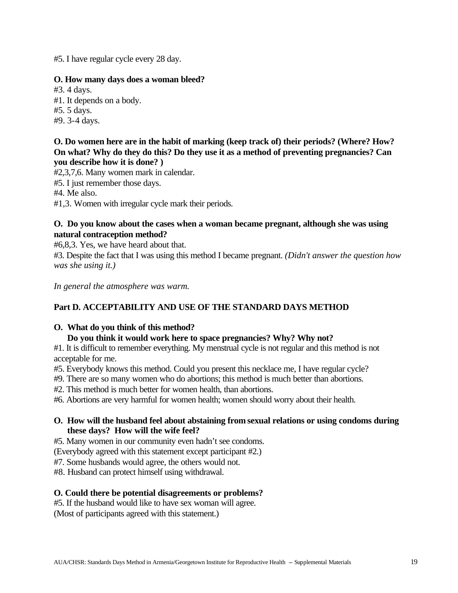#5. I have regular cycle every 28 day.

## **O. How many days does a woman bleed?**

#3. 4 days. #1. It depends on a body. #5. 5 days. #9. 3-4 days.

# **O. Do women here are in the habit of marking (keep track of) their periods? (Where? How? On what? Why do they do this? Do they use it as a method of preventing pregnancies? Can you describe how it is done? )**

#2,3,7,6. Many women mark in calendar.

#5. I just remember those days.

#4. Me also.

#1,3. Women with irregular cycle mark their periods.

# **O. Do you know about the cases when a woman became pregnant, although she was using natural contraception method?**

#6,8,3. Yes, we have heard about that.

#3. Despite the fact that I was using this method I became pregnant. *(Didn't answer the question how was she using it.)*

*In general the atmosphere was warm.*

# **Part D. ACCEPTABILITY AND USE OF THE STANDARD DAYS METHOD**

# **O. What do you think of this method?**

# **Do you think it would work here to space pregnancies? Why? Why not?**

#1. It is difficult to remember everything. My menstrual cycle is not regular and this method is not acceptable for me.

- #5. Everybody knows this method. Could you present this necklace me, I have regular cycle?
- #9. There are so many women who do abortions; this method is much better than abortions.

#2. This method is much better for women health, than abortions.

#6. Abortions are very harmful for women health; women should worry about their health.

# **O. How will the husband feel about abstaining from sexual relations or using condoms during these days? How will the wife feel?**

#5. Many women in our community even hadn't see condoms.

(Everybody agreed with this statement except participant #2.)

#7. Some husbands would agree, the others would not.

#8. Husband can protect himself using withdrawal.

# **O. Could there be potential disagreements or problems?**

#5. If the husband would like to have sex woman will agree.

(Most of participants agreed with this statement.)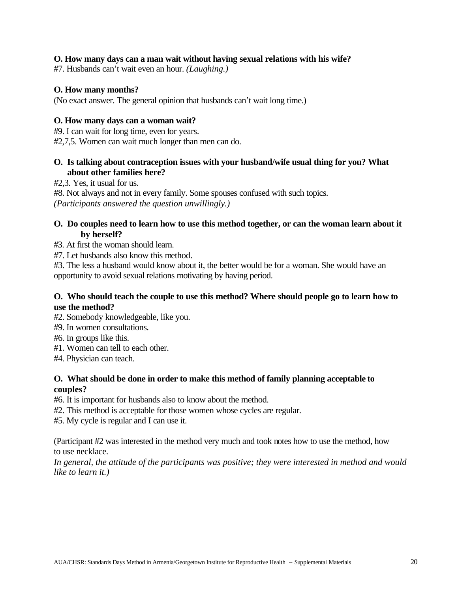# **O. How many days can a man wait without having sexual relations with his wife?**

#7. Husbands can't wait even an hour. *(Laughing.)*

## **O. How many months?**

(No exact answer. The general opinion that husbands can't wait long time.)

## **O. How many days can a woman wait?**

#9. I can wait for long time, even for years.

#2,7,5. Women can wait much longer than men can do.

# **O. Is talking about contraception issues with your husband/wife usual thing for you? What about other families here?**

#2,3. Yes, it usual for us.

#8. Not always and not in every family. Some spouses confused with such topics. *(Participants answered the question unwillingly.)*

# **O. Do couples need to learn how to use this method together, or can the woman learn about it by herself?**

#3. At first the woman should learn.

#7. Let husbands also know this method.

#3. The less a husband would know about it, the better would be for a woman. She would have an opportunity to avoid sexual relations motivating by having period.

# **O. Who should teach the couple to use this method? Where should people go to learn how to use the method?**

#2. Somebody knowledgeable, like you.

#9. In women consultations.

- #6. In groups like this.
- #1. Women can tell to each other.
- #4. Physician can teach.

# **O. What should be done in order to make this method of family planning acceptable to couples?**

#6. It is important for husbands also to know about the method.

#2. This method is acceptable for those women whose cycles are regular.

#5. My cycle is regular and I can use it.

(Participant #2 was interested in the method very much and took notes how to use the method, how to use necklace.

*In general, the attitude of the participants was positive; they were interested in method and would like to learn it.)*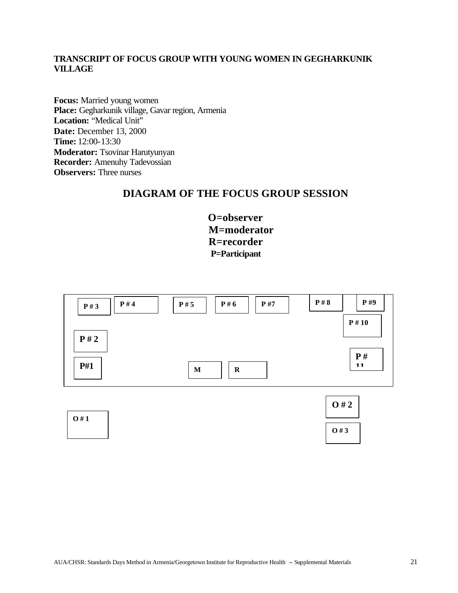# **TRANSCRIPT OF FOCUS GROUP WITH YOUNG WOMEN IN GEGHARKUNIK VILLAGE**

**Focus:** Married young women **Place:** Gegharkunik village, Gavar region, Armenia Location: "Medical Unit" **Date:** December 13, 2000 **Time:** 12:00-13:30 **Moderator:** Tsovinar Harutyunyan **Recorder:** Amenuhy Tadevossian **Observers:** Three nurses

# **DIAGRAM OF THE FOCUS GROUP SESSION**

**O=observer M=moderator R=recorder P=Participant**

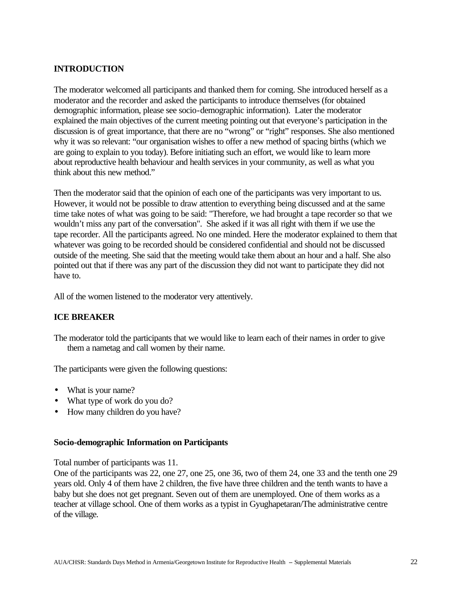# **INTRODUCTION**

The moderator welcomed all participants and thanked them for coming. She introduced herself as a moderator and the recorder and asked the participants to introduce themselves (for obtained demographic information, please see socio-demographic information). Later the moderator explained the main objectives of the current meeting pointing out that everyone's participation in the discussion is of great importance, that there are no "wrong" or "right" responses. She also mentioned why it was so relevant: "our organisation wishes to offer a new method of spacing births (which we are going to explain to you today). Before initiating such an effort, we would like to learn more about reproductive health behaviour and health services in your community, as well as what you think about this new method."

Then the moderator said that the opinion of each one of the participants was very important to us. However, it would not be possible to draw attention to everything being discussed and at the same time take notes of what was going to be said: "Therefore, we had brought a tape recorder so that we wouldn't miss any part of the conversation". She asked if it was all right with them if we use the tape recorder. All the participants agreed. No one minded. Here the moderator explained to them that whatever was going to be recorded should be considered confidential and should not be discussed outside of the meeting. She said that the meeting would take them about an hour and a half. She also pointed out that if there was any part of the discussion they did not want to participate they did not have to.

All of the women listened to the moderator very attentively.

# **ICE BREAKER**

The moderator told the participants that we would like to learn each of their names in order to give them a nametag and call women by their name.

The participants were given the following questions:

- What is your name?
- What type of work do you do?
- How many children do you have?

#### **Socio-demographic Information on Participants**

Total number of participants was 11.

One of the participants was 22, one 27, one 25, one 36, two of them 24, one 33 and the tenth one 29 years old. Only 4 of them have 2 children, the five have three children and the tenth wants to have a baby but she does not get pregnant. Seven out of them are unemployed. One of them works as a teacher at village school. One of them works as a typist in Gyughapetaran/The administrative centre of the village.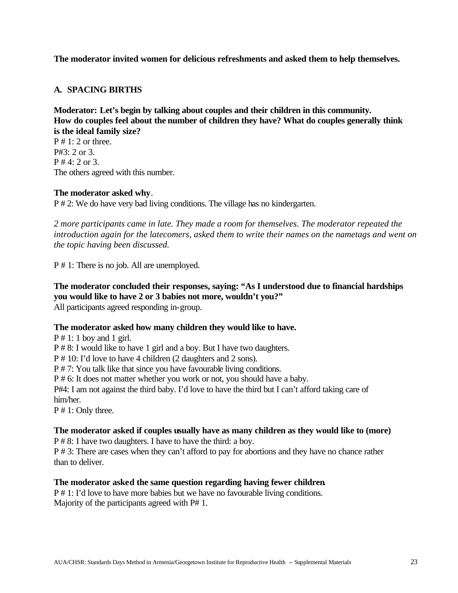# **The moderator invited women for delicious refreshments and asked them to help themselves.**

# **A. SPACING BIRTHS**

**Moderator: Let's begin by talking about couples and their children in this community. How do couples feel about the number of children they have? What do couples generally think is the ideal family size?**

 $P \# 1: 2$  or three. P#3: 2 or 3.  $P # 4: 2 or 3.$ The others agreed with this number.

#### **The moderator asked why**.

P # 2: We do have very bad living conditions. The village has no kindergarten.

*2 more participants came in late. They made a room for themselves. The moderator repeated the introduction again for the latecomers, asked them to write their names on the nametags and went on the topic having been discussed.*

P # 1: There is no job. All are unemployed.

# **The moderator concluded their responses, saying: "As I understood due to financial hardships you would like to have 2 or 3 babies not more, wouldn't you?"**

All participants agreed responding in-group.

# **The moderator asked how many children they would like to have.**

 $P \# 1: 1$  boy and 1 girl. P # 8: I would like to have 1 girl and a boy. But I have two daughters. P # 10: I'd love to have 4 children (2 daughters and 2 sons). P # 7: You talk like that since you have favourable living conditions. P # 6: It does not matter whether you work or not, you should have a baby. P#4: I am not against the third baby. I'd love to have the third but I can't afford taking care of him/her. P # 1: Only three.

#### **The moderator asked if couples usually have as many children as they would like to (more)**

P # 8: I have two daughters. I have to have the third: a boy.

P # 3: There are cases when they can't afford to pay for abortions and they have no chance rather than to deliver.

#### **The moderator asked the same question regarding having fewer children***.*

P # 1: I'd love to have more babies but we have no favourable living conditions. Majority of the participants agreed with P# 1.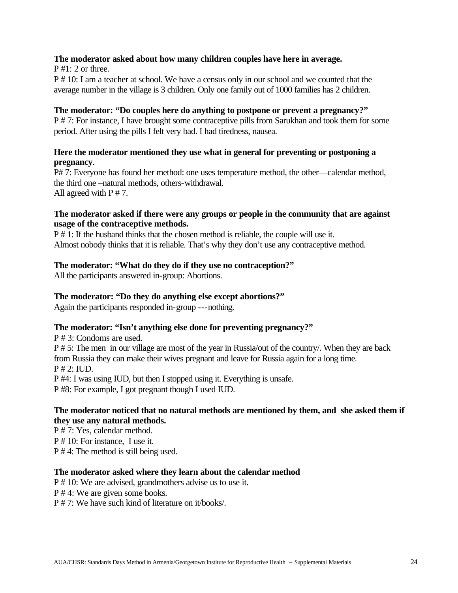# **The moderator asked about how many children couples have here in average.**

 $P #1: 2$  or three.

P # 10: I am a teacher at school. We have a census only in our school and we counted that the average number in the village is 3 children. Only one family out of 1000 families has 2 children.

#### **The moderator: "Do couples here do anything to postpone or prevent a pregnancy?"**

P # 7: For instance, I have brought some contraceptive pills from Sarukhan and took them for some period. After using the pills I felt very bad. I had tiredness, nausea.

# **Here the moderator mentioned they use what in general for preventing or postponing a pregnancy**.

P# 7: Everyone has found her method: one uses temperature method, the other—calendar method, the third one –natural methods, others-withdrawal. All agreed with  $P \# 7$ .

## **The moderator asked if there were any groups or people in the community that are against usage of the contraceptive methods.**

P # 1: If the husband thinks that the chosen method is reliable, the couple will use it. Almost nobody thinks that it is reliable. That's why they don't use any contraceptive method.

# **The moderator: "What do they do if they use no contraception?"**

All the participants answered in-group: Abortions.

## **The moderator: "Do they do anything else except abortions?"**

Again the participants responded in-group ---nothing.

# **The moderator: "Isn't anything else done for preventing pregnancy?"**

P # 3: Condoms are used. P # 5: The men in our village are most of the year in Russia/out of the country/. When they are back from Russia they can make their wives pregnant and leave for Russia again for a long time.  $P \# 2$ : IUD. P #4: I was using IUD, but then I stopped using it. Everything is unsafe.

P #8: For example, I got pregnant though I used IUD.

# **The moderator noticed that no natural methods are mentioned by them, and she asked them if they use any natural methods.**

P # 7: Yes, calendar method.

P # 10: For instance, I use it.

P # 4: The method is still being used.

# **The moderator asked where they learn about the calendar method**

P # 10: We are advised, grandmothers advise us to use it.

P # 4: We are given some books.

P # 7: We have such kind of literature on it/books/.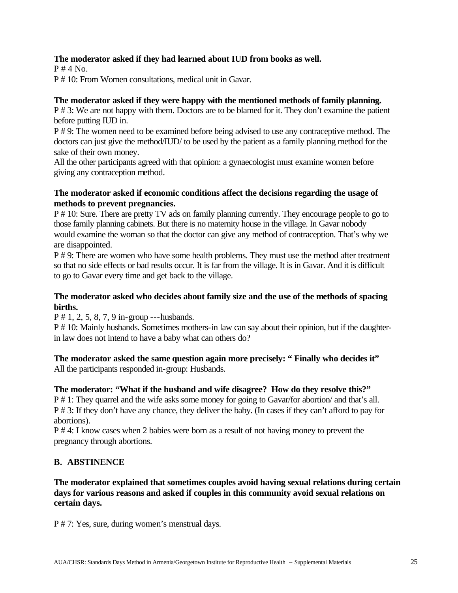# **The moderator asked if they had learned about IUD from books as well.**

 $P \# 4$  No.

P # 10: From Women consultations, medical unit in Gavar.

# **The moderator asked if they were happy with the mentioned methods of family planning.**

P # 3: We are not happy with them. Doctors are to be blamed for it. They don't examine the patient before putting IUD in.

P # 9: The women need to be examined before being advised to use any contraceptive method. The doctors can just give the method/IUD/ to be used by the patient as a family planning method for the sake of their own money.

All the other participants agreed with that opinion: a gynaecologist must examine women before giving any contraception method.

# **The moderator asked if economic conditions affect the decisions regarding the usage of methods to prevent pregnancies.**

P # 10: Sure. There are pretty TV ads on family planning currently. They encourage people to go to those family planning cabinets. But there is no maternity house in the village. In Gavar nobody would examine the woman so that the doctor can give any method of contraception. That's why we are disappointed.

P # 9: There are women who have some health problems. They must use the method after treatment so that no side effects or bad results occur. It is far from the village. It is in Gavar. And it is difficult to go to Gavar every time and get back to the village.

# **The moderator asked who decides about family size and the use of the methods of spacing births.**

P # 1, 2, 5, 8, 7, 9 in-group ---husbands.

P # 10: Mainly husbands. Sometimes mothers-in law can say about their opinion, but if the daughterin law does not intend to have a baby what can others do?

#### **The moderator asked the same question again more precisely: " Finally who decides it"** All the participants responded in-group: Husbands.

**The moderator: "What if the husband and wife disagree? How do they resolve this?"** P # 1: They quarrel and the wife asks some money for going to Gavar/for abortion/ and that's all. P # 3: If they don't have any chance, they deliver the baby. (In cases if they can't afford to pay for abortions).

P # 4: I know cases when 2 babies were born as a result of not having money to prevent the pregnancy through abortions.

# **B. ABSTINENCE**

**The moderator explained that sometimes couples avoid having sexual relations during certain days for various reasons and asked if couples in this community avoid sexual relations on certain days.**

P # 7: Yes, sure, during women's menstrual days.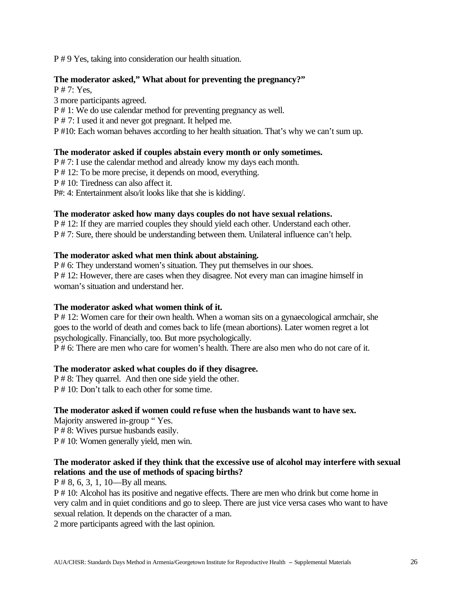P # 9 Yes, taking into consideration our health situation.

## **The moderator asked," What about for preventing the pregnancy?"**

P # 7: Yes,

3 more participants agreed. P # 1: We do use calendar method for preventing pregnancy as well. P # 7: I used it and never got pregnant. It helped me.

P #10: Each woman behaves according to her health situation. That's why we can't sum up.

# **The moderator asked if couples abstain every month or only sometimes.**

P # 7: I use the calendar method and already know my days each month.

P # 12: To be more precise, it depends on mood, everything.

P # 10: Tiredness can also affect it.

P#: 4: Entertainment also/it looks like that she is kidding/.

# **The moderator asked how many days couples do not have sexual relations.**

P # 12: If they are married couples they should yield each other. Understand each other. P # 7: Sure, there should be understanding between them. Unilateral influence can't help.

# **The moderator asked what men think about abstaining.**

P # 6: They understand women's situation. They put themselves in our shoes. P # 12: However, there are cases when they disagree. Not every man can imagine himself in woman's situation and understand her.

# **The moderator asked what women think of it.**

P # 12: Women care for their own health. When a woman sits on a gynaecological armchair, she goes to the world of death and comes back to life (mean abortions). Later women regret a lot psychologically. Financially, too. But more psychologically.

P # 6: There are men who care for women's health. There are also men who do not care of it.

# **The moderator asked what couples do if they disagree.**

P # 8: They quarrel. And then one side yield the other. P # 10: Don't talk to each other for some time.

# **The moderator asked if women could refuse when the husbands want to have sex.**

Majority answered in-group " Yes. P # 8: Wives pursue husbands easily. P # 10: Women generally yield, men win.

# **The moderator asked if they think that the excessive use of alcohol may interfere with sexual relations and the use of methods of spacing births?**

P # 8, 6, 3, 1, 10—By all means.

P # 10: Alcohol has its positive and negative effects. There are men who drink but come home in very calm and in quiet conditions and go to sleep. There are just vice versa cases who want to have sexual relation. It depends on the character of a man.

2 more participants agreed with the last opinion.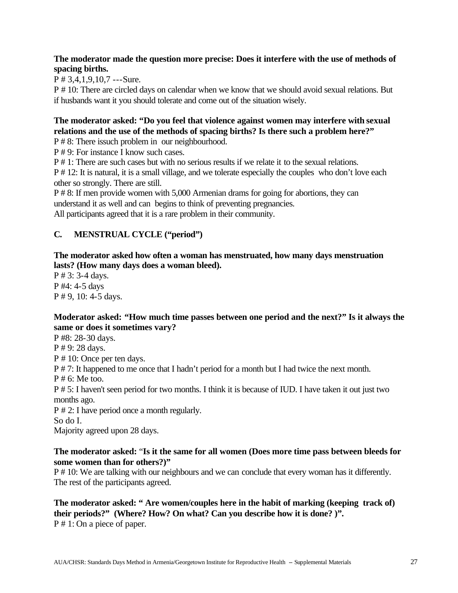# **The moderator made the question more precise: Does it interfere with the use of methods of spacing births.**

P # 3,4,1,9,10,7 ---Sure.

P # 10: There are circled days on calendar when we know that we should avoid sexual relations. But if husbands want it you should tolerate and come out of the situation wisely.

# **The moderator asked: "Do you feel that violence against women may interfere with sexual relations and the use of the methods of spacing births? Is there such a problem here?"**

P # 8: There issuch problem in our neighbourhood.

P # 9: For instance I know such cases.

P # 1: There are such cases but with no serious results if we relate it to the sexual relations.

P # 12: It is natural, it is a small village, and we tolerate especially the couples who don't love each other so strongly. There are still.

P # 8: If men provide women with 5,000 Armenian drams for going for abortions, they can understand it as well and can begins to think of preventing pregnancies.

All participants agreed that it is a rare problem in their community.

# **C. MENSTRUAL CYCLE ("period")**

# **The moderator asked how often a woman has menstruated, how many days menstruation lasts? (How many days does a woman bleed).**

P # 3: 3-4 days. P #4: 4-5 days P # 9, 10: 4-5 days.

# **Moderator asked: "How much time passes between one period and the next?" Is it always the same or does it sometimes vary?**

P #8: 28-30 days.

P # 9: 28 days.

P # 10: Once per ten days.

P # 7: It happened to me once that I hadn't period for a month but I had twice the next month.

P # 6: Me too.

P # 5: I haven't seen period for two months. I think it is because of IUD. I have taken it out just two months ago.

P # 2: I have period once a month regularly.

So do I.

Majority agreed upon 28 days.

# **The moderator asked:** "**Is it the same for all women (Does more time pass between bleeds for some women than for others?)"**

P # 10: We are talking with our neighbours and we can conclude that every woman has it differently. The rest of the participants agreed.

# **The moderator asked: " Are women/couples here in the habit of marking (keeping track of) their periods?" (Where? How? On what? Can you describe how it is done? )".** P # 1: On a piece of paper.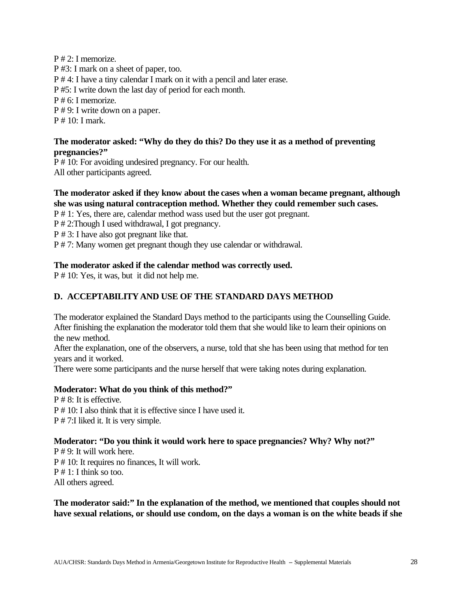P # 2: I memorize. P #3: I mark on a sheet of paper, too. P # 4: I have a tiny calendar I mark on it with a pencil and later erase. P #5: I write down the last day of period for each month. P # 6: I memorize. P # 9: I write down on a paper. P # 10: I mark.

# **The moderator asked: "Why do they do this? Do they use it as a method of preventing pregnancies?"**

P # 10: For avoiding undesired pregnancy. For our health. All other participants agreed.

# **The moderator asked if they know about the cases when a woman became pregnant, although she was using natural contraception method. Whether they could remember such cases.**

P # 1: Yes, there are, calendar method wass used but the user got pregnant.

P # 2:Though I used withdrawal, I got pregnancy.

P # 3: I have also got pregnant like that.

P # 7: Many women get pregnant though they use calendar or withdrawal.

# **The moderator asked if the calendar method was correctly used.**

P # 10: Yes, it was, but it did not help me.

# **D. ACCEPTABILITY AND USE OF THE STANDARD DAYS METHOD**

The moderator explained the Standard Days method to the participants using the Counselling Guide. After finishing the explanation the moderator told them that she would like to learn their opinions on the new method.

After the explanation, one of the observers, a nurse, told that she has been using that method for ten years and it worked.

There were some participants and the nurse herself that were taking notes during explanation.

# **Moderator: What do you think of this method?"**

P # 8: It is effective. P # 10: I also think that it is effective since I have used it. P # 7:I liked it. It is very simple.

# **Moderator: "Do you think it would work here to space pregnancies? Why? Why not?"**

P # 9: It will work here. P # 10: It requires no finances, It will work. P # 1: I think so too. All others agreed.

# **The moderator said:" In the explanation of the method, we mentioned that couples should not have sexual relations, or should use condom, on the days a woman is on the white beads if she**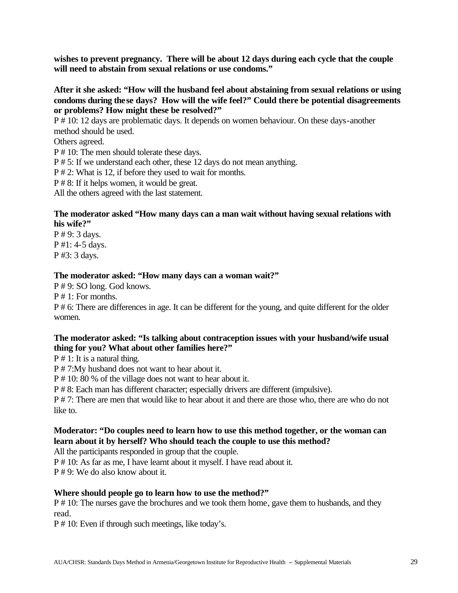**wishes to prevent pregnancy. There will be about 12 days during each cycle that the couple will need to abstain from sexual relations or use condoms."**

**After it she asked: "How will the husband feel about abstaining from sexual relations or using condoms during these days? How will the wife feel?" Could there be potential disagreements or problems? How might these be resolved?"**

P # 10: 12 days are problematic days. It depends on women behaviour. On these days-another method should be used.

Others agreed.

P # 10: The men should tolerate these days.

P # 5: If we understand each other, these 12 days do not mean anything.

P # 2: What is 12, if before they used to wait for months.

P # 8: If it helps women, it would be great.

All the others agreed with the last statement.

## **The moderator asked "How many days can a man wait without having sexual relations with his wife?"**

P # 9: 3 days. P #1: 4-5 days. P #3: 3 days.

# **The moderator asked: "How many days can a woman wait?"**

P # 9: SO long. God knows.

P # 1: For months.

P # 6: There are differences in age. It can be different for the young, and quite different for the older women.

# **The moderator asked: "Is talking about contraception issues with your husband/wife usual thing for you? What about other families here?"**

P # 1: It is a natural thing.

P # 7:My husband does not want to hear about it.

P # 10: 80 % of the village does not want to hear about it.

P # 8: Each man has different character; especially drivers are different (impulsive).

P # 7: There are men that would like to hear about it and there are those who, there are who do not like to.

# **Moderator: "Do couples need to learn how to use this method together, or the woman can learn about it by herself? Who should teach the couple to use this method?**

All the participants responded in group that the couple.

P # 10: As far as me, I have learnt about it myself. I have read about it.

P # 9: We do also know about it.

# **Where should people go to learn how to use the method?"**

P # 10: The nurses gave the brochures and we took them home, gave them to husbands, and they read.

P # 10: Even if through such meetings, like today's.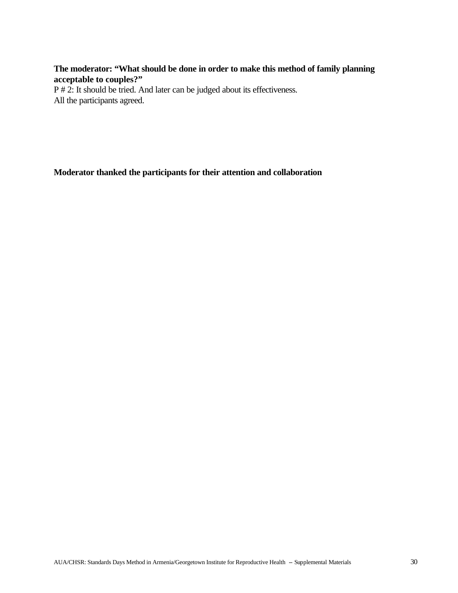# **The moderator: "What should be done in order to make this method of family planning acceptable to couples?"**

P # 2: It should be tried. And later can be judged about its effectiveness. All the participants agreed.

**Moderator thanked the participants for their attention and collaboration**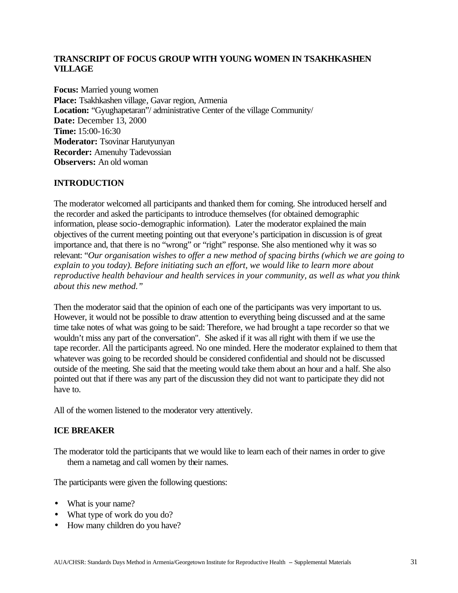# **TRANSCRIPT OF FOCUS GROUP WITH YOUNG WOMEN IN TSAKHKASHEN VILLAGE**

**Focus:** Married young women **Place:** Tsakhkashen village, Gavar region, Armenia **Location:** "Gyughapetaran"/ administrative Center of the village Community/ **Date:** December 13, 2000 **Time:** 15:00-16:30 **Moderator:** Tsovinar Harutyunyan **Recorder:** Amenuhy Tadevossian **Observers:** An old woman

# **INTRODUCTION**

The moderator welcomed all participants and thanked them for coming. She introduced herself and the recorder and asked the participants to introduce themselves (for obtained demographic information, please socio-demographic information). Later the moderator explained the main objectives of the current meeting pointing out that everyone's participation in discussion is of great importance and, that there is no "wrong" or "right" response. She also mentioned why it was so relevant: "*Our organisation wishes to offer a new method of spacing births (which we are going to explain to you today). Before initiating such an effort, we would like to learn more about reproductive health behaviour and health services in your community, as well as what you think about this new method."*

Then the moderator said that the opinion of each one of the participants was very important to us. However, it would not be possible to draw attention to everything being discussed and at the same time take notes of what was going to be said: Therefore, we had brought a tape recorder so that we wouldn't miss any part of the conversation". She asked if it was all right with them if we use the tape recorder. All the participants agreed. No one minded. Here the moderator explained to them that whatever was going to be recorded should be considered confidential and should not be discussed outside of the meeting. She said that the meeting would take them about an hour and a half. She also pointed out that if there was any part of the discussion they did not want to participate they did not have to.

All of the women listened to the moderator very attentively.

# **ICE BREAKER**

The moderator told the participants that we would like to learn each of their names in order to give them a nametag and call women by their names.

The participants were given the following questions:

- What is your name?
- What type of work do you do?
- How many children do you have?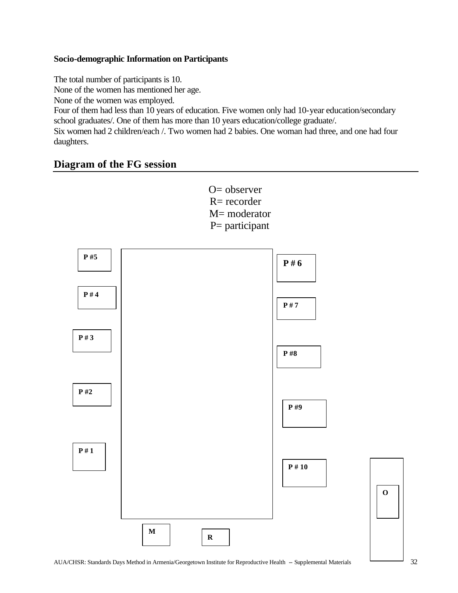# **Socio-demographic Information on Participants**

The total number of participants is 10.

None of the women has mentioned her age.

None of the women was employed.

Four of them had less than 10 years of education. Five women only had 10-year education/secondary school graduates/. One of them has more than 10 years education/college graduate/.

Six women had 2 children/each /. Two women had 2 babies. One woman had three, and one had four daughters.

# **Diagram of the FG session**

O= observer  $R=$  recorder M= moderator P= participant **P #5 P # 4 P # 3 P #2 P # 1 P # 10 P # 6 P # 7 P #8 P #9 M R**

**O**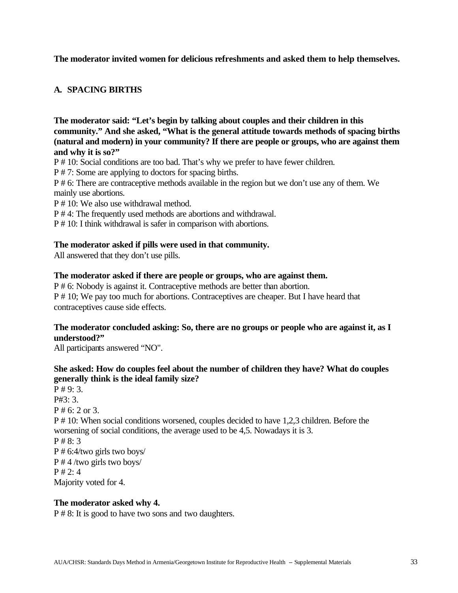## **The moderator invited women for delicious refreshments and asked them to help themselves.**

# **A. SPACING BIRTHS**

**The moderator said: "Let's begin by talking about couples and their children in this community." And she asked, "What is the general attitude towards methods of spacing births (natural and modern) in your community? If there are people or groups, who are against them and why it is so?"** 

P # 10: Social conditions are too bad. That's why we prefer to have fewer children.

P # 7: Some are applying to doctors for spacing births.

P # 6: There are contraceptive methods available in the region but we don't use any of them. We mainly use abortions.

P # 10: We also use withdrawal method.

P # 4: The frequently used methods are abortions and withdrawal.

P # 10: I think withdrawal is safer in comparison with abortions.

#### **The moderator asked if pills were used in that community.**

All answered that they don't use pills.

#### **The moderator asked if there are people or groups, who are against them.**

P # 6: Nobody is against it. Contraceptive methods are better than abortion. P # 10; We pay too much for abortions. Contraceptives are cheaper. But I have heard that contraceptives cause side effects.

# **The moderator concluded asking: So, there are no groups or people who are against it, as I understood?"**

All participants answered "NO".

# **She asked: How do couples feel about the number of children they have? What do couples generally think is the ideal family size?**

 $P \# 9: 3.$ P#3: 3. P # 6: 2 or 3. P # 10: When social conditions worsened, couples decided to have 1,2,3 children. Before the worsening of social conditions, the average used to be 4,5. Nowadays it is 3. P # 8: 3 P # 6:4/two girls two boys/ P # 4 /two girls two boys/  $P \# 2: 4$ Majority voted for 4.

#### **The moderator asked why 4.**

P # 8: It is good to have two sons and two daughters.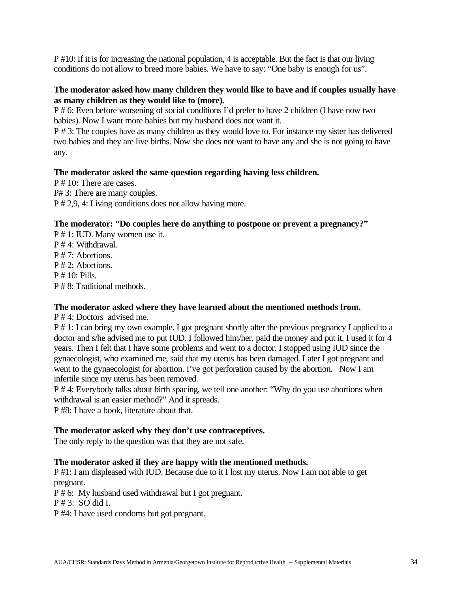P #10: If it is for increasing the national population, 4 is acceptable. But the fact is that our living conditions do not allow to breed more babies. We have to say: "One baby is enough for us".

# **The moderator asked how many children they would like to have and if couples usually have as many children as they would like to (more).**

P # 6: Even before worsening of social conditions I'd prefer to have 2 children (I have now two babies). Now I want more babies but my husband does not want it.

P # 3: The couples have as many children as they would love to. For instance my sister has delivered two babies and they are live births. Now she does not want to have any and she is not going to have any.

# **The moderator asked the same question regarding having less children.**

P # 10: There are cases. P# 3: There are many couples. P # 2,9, 4: Living conditions does not allow having more.

#### **The moderator: "Do couples here do anything to postpone or prevent a pregnancy?"**

P # 1: IUD. Many women use it. P # 4: Withdrawal. P # 7: Abortions. P # 2: Abortions. P # 10: Pills. P # 8: Traditional methods.

# **The moderator asked where they have learned about the mentioned methods from.**

P # 4: Doctors advised me.

P # 1: I can bring my own example. I got pregnant shortly after the previous pregnancy I applied to a doctor and s/he advised me to put IUD. I followed him/her, paid the money and put it. I used it for 4 years. Then I felt that I have some problems and went to a doctor. I stopped using IUD since the gynaecologist, who examined me, said that my uterus has been damaged. Later I got pregnant and went to the gynaecologist for abortion. I've got perforation caused by the abortion. Now I am infertile since my uterus has been removed.

P # 4: Everybody talks about birth spacing, we tell one another: "Why do you use abortions when withdrawal is an easier method?" And it spreads.

P #8: I have a book, literature about that.

#### **The moderator asked why they don't use contraceptives.**

The only reply to the question was that they are not safe.

# **The moderator asked if they are happy with the mentioned methods.**

P #1: I am displeased with IUD. Because due to it I lost my uterus. Now I am not able to get pregnant.

P # 6: My husband used withdrawal but I got pregnant.

P # 3: SO did I.

P #4: I have used condoms but got pregnant.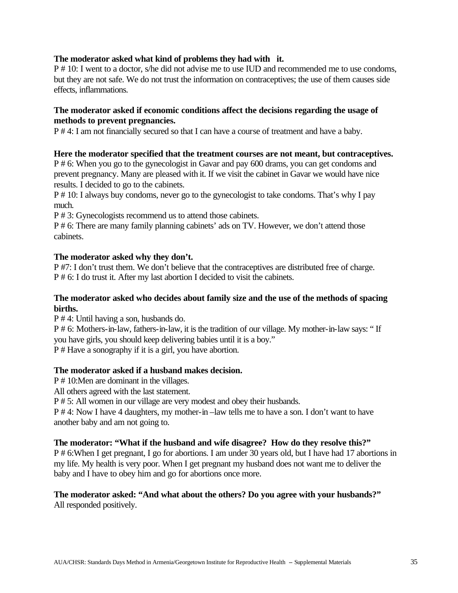#### **The moderator asked what kind of problems they had with it.**

P # 10: I went to a doctor, s/he did not advise me to use IUD and recommended me to use condoms, but they are not safe. We do not trust the information on contraceptives; the use of them causes side effects, inflammations.

#### **The moderator asked if economic conditions affect the decisions regarding the usage of methods to prevent pregnancies.**

P # 4: I am not financially secured so that I can have a course of treatment and have a baby.

#### **Here the moderator specified that the treatment courses are not meant, but contraceptives.**

P # 6: When you go to the gynecologist in Gavar and pay 600 drams, you can get condoms and prevent pregnancy. Many are pleased with it. If we visit the cabinet in Gavar we would have nice results. I decided to go to the cabinets.

P # 10: I always buy condoms, never go to the gynecologist to take condoms. That's why I pay much.

P # 3: Gynecologists recommend us to attend those cabinets.

P # 6: There are many family planning cabinets' ads on TV. However, we don't attend those cabinets.

#### **The moderator asked why they don't.**

P #7: I don't trust them. We don't believe that the contraceptives are distributed free of charge. P # 6: I do trust it. After my last abortion I decided to visit the cabinets.

#### **The moderator asked who decides about family size and the use of the methods of spacing births.**

P # 4: Until having a son, husbands do.

P # 6: Mothers-in-law, fathers-in-law, it is the tradition of our village. My mother-in-law says: " If you have girls, you should keep delivering babies until it is a boy." P # Have a sonography if it is a girl, you have abortion.

#### **The moderator asked if a husband makes decision.**

P # 10:Men are dominant in the villages.

All others agreed with the last statement.

P # 5: All women in our village are very modest and obey their husbands.

P # 4: Now I have 4 daughters, my mother-in –law tells me to have a son. I don't want to have another baby and am not going to.

#### **The moderator: "What if the husband and wife disagree? How do they resolve this?"**

P # 6:When I get pregnant, I go for abortions. I am under 30 years old, but I have had 17 abortions in my life. My health is very poor. When I get pregnant my husband does not want me to deliver the baby and I have to obey him and go for abortions once more.

#### **The moderator asked: "And what about the others? Do you agree with your husbands?"** All responded positively.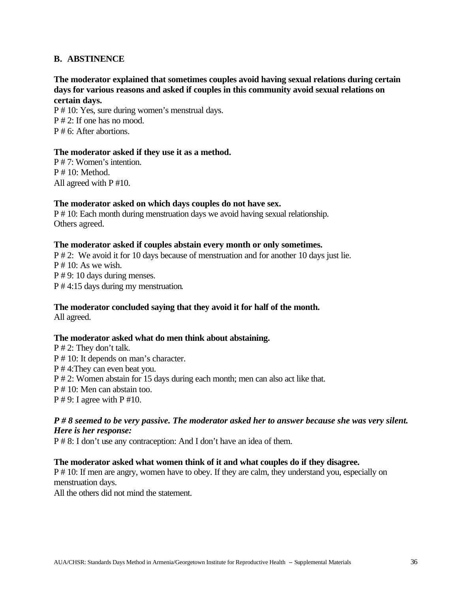#### **B. ABSTINENCE**

### **The moderator explained that sometimes couples avoid having sexual relations during certain days for various reasons and asked if couples in this community avoid sexual relations on certain days.**

P # 10: Yes, sure during women's menstrual days. P # 2: If one has no mood.  $P \# 6$ : After abortions.

#### **The moderator asked if they use it as a method.**

P # 7: Women's intention.  $P \# 10$ : Method. All agreed with P #10.

#### **The moderator asked on which days couples do not have sex.**

P # 10: Each month during menstruation days we avoid having sexual relationship. Others agreed.

#### **The moderator asked if couples abstain every month or only sometimes.**

P # 2: We avoid it for 10 days because of menstruation and for another 10 days just lie.  $P \# 10$ : As we wish. P # 9: 10 days during menses. P # 4:15 days during my menstruation.

#### **The moderator concluded saying that they avoid it for half of the month.**

All agreed.

#### **The moderator asked what do men think about abstaining.**

P # 2: They don't talk. P # 10: It depends on man's character. P # 4:They can even beat you. P # 2: Women abstain for 15 days during each month; men can also act like that. P # 10: Men can abstain too.  $P \# 9$ : I agree with  $P \# 10$ .

#### *P # 8 seemed to be very passive. The moderator asked her to answer because she was very silent. Here is her response:*

P # 8: I don't use any contraception: And I don't have an idea of them.

#### **The moderator asked what women think of it and what couples do if they disagree.**

P # 10: If men are angry, women have to obey. If they are calm, they understand you, especially on menstruation days.

All the others did not mind the statement.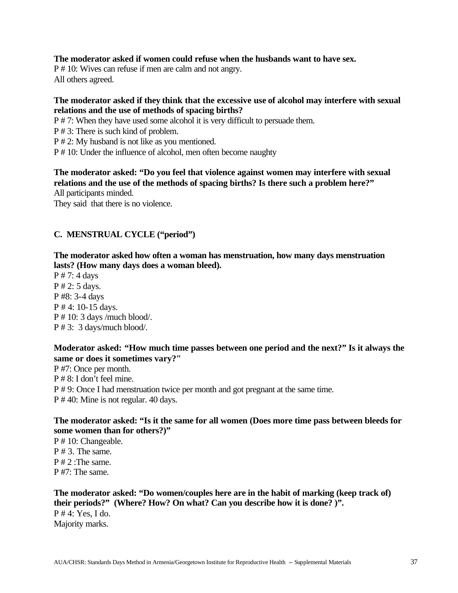#### **The moderator asked if women could refuse when the husbands want to have sex.**

P # 10: Wives can refuse if men are calm and not angry. All others agreed.

#### **The moderator asked if they think that the excessive use of alcohol may interfere with sexual relations and the use of methods of spacing births?**

P # 7: When they have used some alcohol it is very difficult to persuade them.

P # 3: There is such kind of problem.

P # 2: My husband is not like as you mentioned.

P # 10: Under the influence of alcohol, men often become naughty

**The moderator asked: "Do you feel that violence against women may interfere with sexual relations and the use of the methods of spacing births? Is there such a problem here?"** All participants minded.

They said that there is no violence.

# **C. MENSTRUAL CYCLE ("period")**

**The moderator asked how often a woman has menstruation, how many days menstruation lasts? (How many days does a woman bleed).**

P # 7: 4 days P # 2: 5 days. P #8: 3-4 days P # 4: 10-15 days. P # 10: 3 days /much blood/. P # 3: 3 days/much blood/.

### **Moderator asked: "How much time passes between one period and the next?" Is it always the same or does it sometimes vary?"**

P #7: Once per month. P # 8: I don't feel mine. P # 9: Once I had menstruation twice per month and got pregnant at the same time. P # 40: Mine is not regular. 40 days.

#### **The moderator asked: "Is it the same for all women (Does more time pass between bleeds for some women than for others?)"**

P # 10: Changeable. P # 3. The same. P # 2 :The same. P #7: The same.

### **The moderator asked: "Do women/couples here are in the habit of marking (keep track of) their periods?" (Where? How? On what? Can you describe how it is done? )".** P # 4: Yes, I do. Majority marks.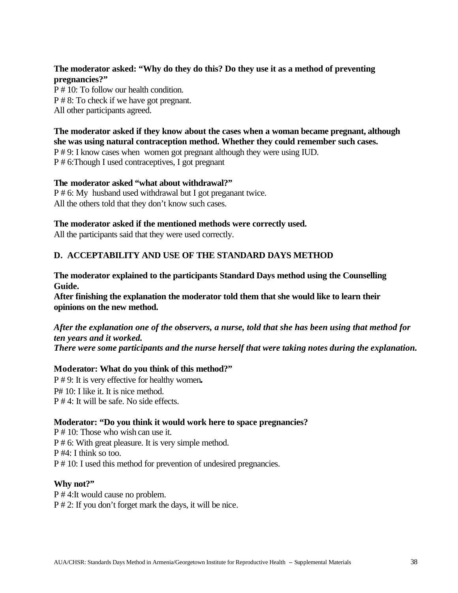# **The moderator asked: "Why do they do this? Do they use it as a method of preventing pregnancies?"**

P # 10: To follow our health condition. P # 8: To check if we have got pregnant. All other participants agreed.

# **The moderator asked if they know about the cases when a woman became pregnant, although she was using natural contraception method. Whether they could remember such cases.**

P # 9: I know cases when women got pregnant although they were using IUD. P # 6:Though I used contraceptives, I got pregnant

#### **The moderator asked "what about withdrawal?"**

P # 6: My husband used withdrawal but I got preganant twice. All the others told that they don't know such cases.

### **The moderator asked if the mentioned methods were correctly used.**

All the participants said that they were used correctly.

# **D. ACCEPTABILITY AND USE OF THE STANDARD DAYS METHOD**

### **The moderator explained to the participants Standard Days method using the Counselling Guide.**

**After finishing the explanation the moderator told them that she would like to learn their opinions on the new method.**

#### *After the explanation one of the observers, a nurse, told that she has been using that method for ten years and it worked. There were some participants and the nurse herself that were taking notes during the explanation.*

# **Moderator: What do you think of this method?"**

P # 9: It is very effective for healthy women**.** P# 10: I like it. It is nice method. P # 4: It will be safe. No side effects.

# **Moderator: "Do you think it would work here to space pregnancies?**

P # 10: Those who wish can use it. P # 6: With great pleasure. It is very simple method. P #4: I think so too. P # 10: I used this method for prevention of undesired pregnancies.

#### **Why not?"**

P # 4:It would cause no problem. P # 2: If you don't forget mark the days, it will be nice.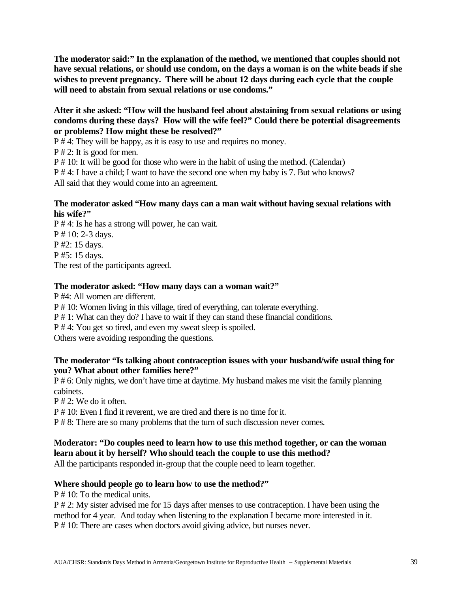**The moderator said:" In the explanation of the method, we mentioned that couples should not have sexual relations, or should use condom, on the days a woman is on the white beads if she wishes to prevent pregnancy. There will be about 12 days during each cycle that the couple will need to abstain from sexual relations or use condoms."**

#### **After it she asked: "How will the husband feel about abstaining from sexual relations or using condoms during these days? How will the wife feel?" Could there be potential disagreements or problems? How might these be resolved?"**

P # 4: They will be happy, as it is easy to use and requires no money.

P # 2: It is good for men.

P # 10: It will be good for those who were in the habit of using the method. (Calendar)

P # 4: I have a child; I want to have the second one when my baby is 7. But who knows?

All said that they would come into an agreement.

### **The moderator asked "How many days can a man wait without having sexual relations with his wife?"**

P # 4: Is he has a strong will power, he can wait. P # 10: 2-3 days. P #2: 15 days. P #5: 15 days. The rest of the participants agreed.

# **The moderator asked: "How many days can a woman wait?"**

P #4: All women are different.

P # 10: Women living in this village, tired of everything, can tolerate everything.

P # 1: What can they do? I have to wait if they can stand these financial conditions.

P # 4: You get so tired, and even my sweat sleep is spoiled.

Others were avoiding responding the questions.

### **The moderator "Is talking about contraception issues with your husband/wife usual thing for you? What about other families here?"**

P # 6: Only nights, we don't have time at daytime. My husband makes me visit the family planning cabinets.

P # 2: We do it often.

P # 10: Even I find it reverent, we are tired and there is no time for it.

P # 8: There are so many problems that the turn of such discussion never comes.

# **Moderator: "Do couples need to learn how to use this method together, or can the woman learn about it by herself? Who should teach the couple to use this method?**

All the participants responded in-group that the couple need to learn together.

# **Where should people go to learn how to use the method?"**

P # 10: To the medical units.

P # 2: My sister advised me for 15 days after menses to use contraception. I have been using the method for 4 year. And today when listening to the explanation I became more interested in it. P # 10: There are cases when doctors avoid giving advice, but nurses never.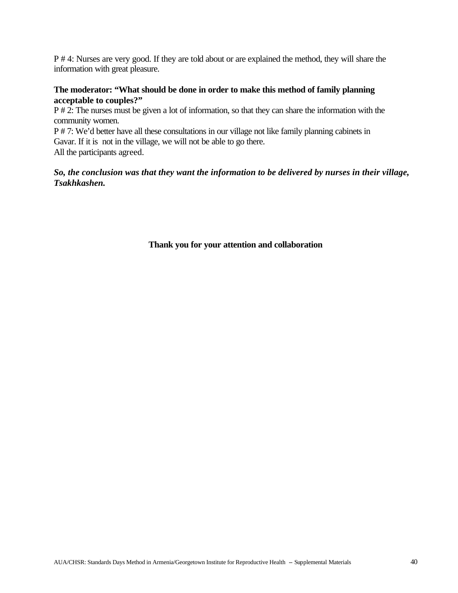P # 4: Nurses are very good. If they are told about or are explained the method, they will share the information with great pleasure.

#### **The moderator: "What should be done in order to make this method of family planning acceptable to couples?"**

P # 2: The nurses must be given a lot of information, so that they can share the information with the community women.

P # 7: We'd better have all these consultations in our village not like family planning cabinets in Gavar. If it is not in the village, we will not be able to go there.

All the participants agreed.

### *So, the conclusion was that they want the information to be delivered by nurses in their village, Tsakhkashen.*

### **Thank you for your attention and collaboration**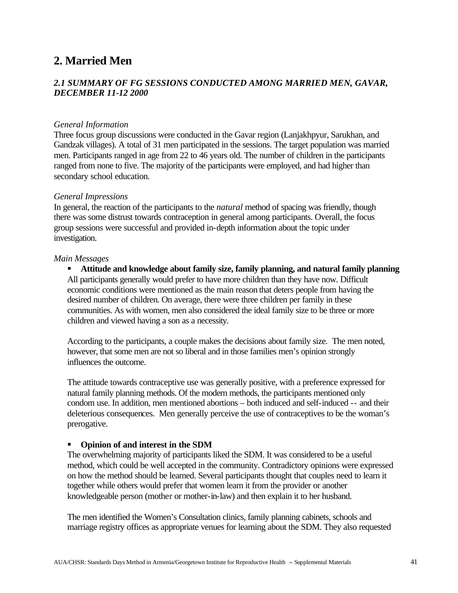# **2. Married Men**

# *2.1 SUMMARY OF FG SESSIONS CONDUCTED AMONG MARRIED MEN, GAVAR, DECEMBER 11-12 2000*

#### *General Information*

Three focus group discussions were conducted in the Gavar region (Lanjakhpyur, Sarukhan, and Gandzak villages). A total of 31 men participated in the sessions. The target population was married men. Participants ranged in age from 22 to 46 years old. The number of children in the participants ranged from none to five. The majority of the participants were employed, and had higher than secondary school education.

#### *General Impressions*

In general, the reaction of the participants to the *natural* method of spacing was friendly, though there was some distrust towards contraception in general among participants. Overall, the focus group sessions were successful and provided in-depth information about the topic under investigation.

#### *Main Messages*

**KR** Attitude and knowledge about family size, family planning, and natural family planning All participants generally would prefer to have more children than they have now. Difficult economic conditions were mentioned as the main reason that deters people from having the desired number of children. On average, there were three children per family in these communities. As with women, men also considered the ideal family size to be three or more children and viewed having a son as a necessity.

According to the participants, a couple makes the decisions about family size. The men noted, however, that some men are not so liberal and in those families men's opinion strongly influences the outcome.

The attitude towards contraceptive use was generally positive, with a preference expressed for natural family planning methods. Of the modern methods, the participants mentioned only condom use. In addition, men mentioned abortions – both induced and self-induced -- and their deleterious consequences. Men generally perceive the use of contraceptives to be the woman's prerogative.

#### **•** Opinion of and interest in the SDM

The overwhelming majority of participants liked the SDM. It was considered to be a useful method, which could be well accepted in the community. Contradictory opinions were expressed on how the method should be learned. Several participants thought that couples need to learn it together while others would prefer that women learn it from the provider or another knowledgeable person (mother or mother-in-law) and then explain it to her husband.

The men identified the Women's Consultation clinics, family planning cabinets, schools and marriage registry offices as appropriate venues for learning about the SDM. They also requested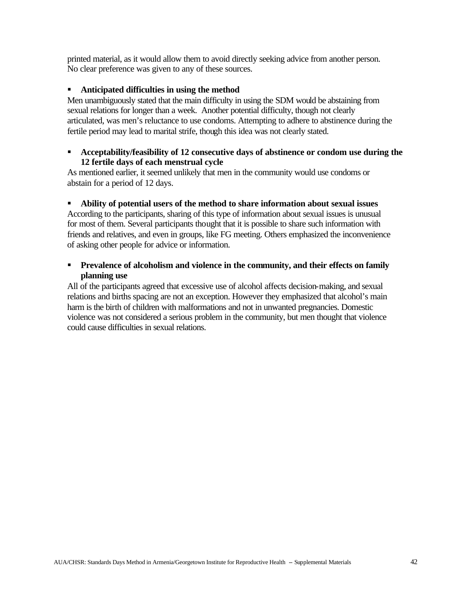printed material, as it would allow them to avoid directly seeking advice from another person. No clear preference was given to any of these sources.

### **EXECUTE:** Anticipated difficulties in using the method

Men unambiguously stated that the main difficulty in using the SDM would be abstaining from sexual relations for longer than a week. Another potential difficulty, though not clearly articulated, was men's reluctance to use condoms. Attempting to adhere to abstinence during the fertile period may lead to marital strife, though this idea was not clearly stated.

### **Acceptability/feasibility of 12 consecutive days of abstinence or condom use during the 12 fertile days of each menstrual cycle**

As mentioned earlier, it seemed unlikely that men in the community would use condoms or abstain for a period of 12 days.

### ß **Ability of potential users of the method to share information about sexual issues**

According to the participants, sharing of this type of information about sexual issues is unusual for most of them. Several participants thought that it is possible to share such information with friends and relatives, and even in groups, like FG meeting. Others emphasized the inconvenience of asking other people for advice or information.

### **Prevalence of alcoholism and violence in the community, and their effects on family planning use**

All of the participants agreed that excessive use of alcohol affects decision-making, and sexual relations and births spacing are not an exception. However they emphasized that alcohol's main harm is the birth of children with malformations and not in unwanted pregnancies. Domestic violence was not considered a serious problem in the community, but men thought that violence could cause difficulties in sexual relations.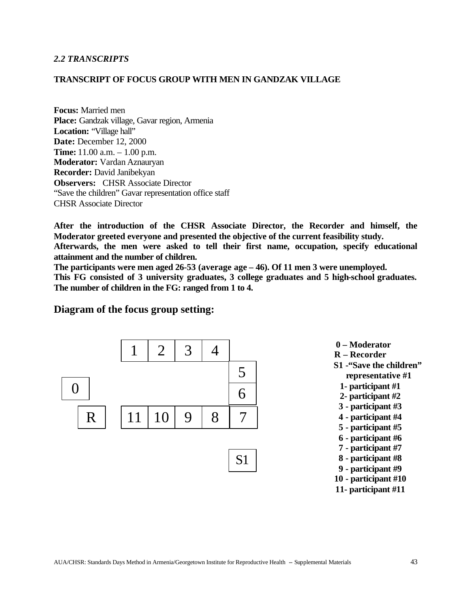#### *2.2 TRANSCRIPTS*

#### **TRANSCRIPT OF FOCUS GROUP WITH MEN IN GANDZAK VILLAGE**

**Focus:** Married men **Place:** Gandzak village, Gavar region, Armenia Location: "Village hall" **Date:** December 12, 2000 **Time:** 11.00 a.m. – 1.00 p.m. **Moderator:** Vardan Aznauryan **Recorder:** David Janibekyan **Observers:** CHSR Associate Director "Save the children" Gavar representation office staff CHSR Associate Director

**After the introduction of the CHSR Associate Director, the Recorder and himself, the Moderator greeted everyone and presented the objective of the current feasibility study. Afterwards, the men were asked to tell their first name, occupation, specify educational attainment and the number of children.**

**The participants were men aged 26-53 (average age – 46). Of 11 men 3 were unemployed. This FG consisted of 3 university graduates, 3 college graduates and 5 high-school graduates. The number of children in the FG: ranged from 1 to 4.**

#### **Diagram of the focus group setting:**



 **0 – Moderator R – Recorder S1 -"Save the children" representative #1 1- participant #1 2- participant #2 3 - participant #3 4 - participant #4 5 - participant #5 6 - participant #6 7 - participant #7 8 - participant #8 9 - participant #9 10 - participant #10 11- participant #11**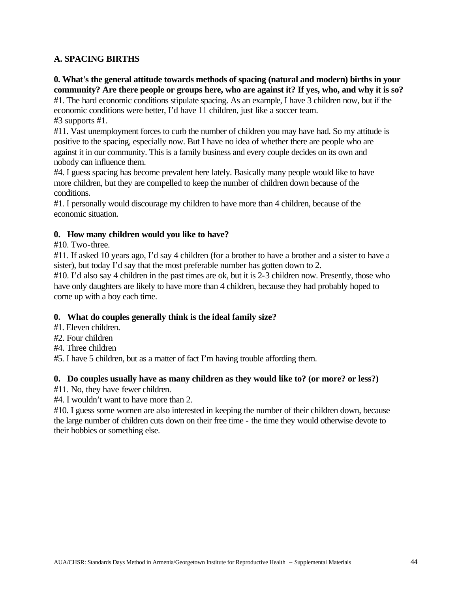### **A. SPACING BIRTHS**

# **0. What's the general attitude towards methods of spacing (natural and modern) births in your community? Are there people or groups here, who are against it? If yes, who, and why it is so?**

#1. The hard economic conditions stipulate spacing. As an example, I have 3 children now, but if the economic conditions were better, I'd have 11 children, just like a soccer team. #3 supports #1.

#11. Vast unemployment forces to curb the number of children you may have had. So my attitude is positive to the spacing, especially now. But I have no idea of whether there are people who are against it in our community. This is a family business and every couple decides on its own and nobody can influence them.

#4. I guess spacing has become prevalent here lately. Basically many people would like to have more children, but they are compelled to keep the number of children down because of the conditions.

#1. I personally would discourage my children to have more than 4 children, because of the economic situation.

#### **0. How many children would you like to have?**

#### #10. Two-three.

#11. If asked 10 years ago, I'd say 4 children (for a brother to have a brother and a sister to have a sister), but today I'd say that the most preferable number has gotten down to 2.

#10. I'd also say 4 children in the past times are ok, but it is 2-3 children now. Presently, those who have only daughters are likely to have more than 4 children, because they had probably hoped to come up with a boy each time.

#### **0. What do couples generally think is the ideal family size?**

- #1. Eleven children.
- #2. Four children
- #4. Three children

#5. I have 5 children, but as a matter of fact I'm having trouble affording them.

#### **0. Do couples usually have as many children as they would like to? (or more? or less?)**

#11. No, they have fewer children.

#4. I wouldn't want to have more than 2.

#10. I guess some women are also interested in keeping the number of their children down, because the large number of children cuts down on their free time - the time they would otherwise devote to their hobbies or something else.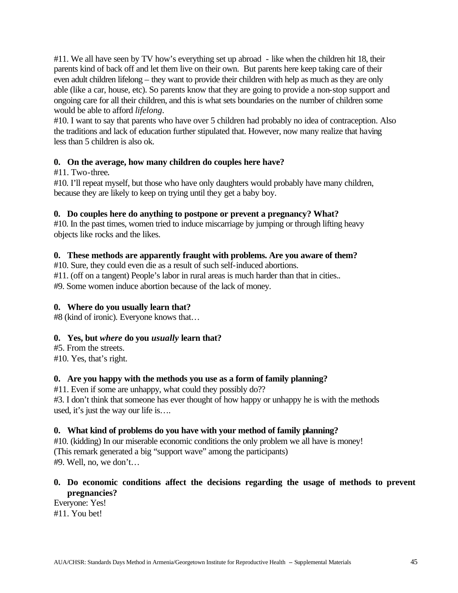#11. We all have seen by TV how's everything set up abroad - like when the children hit 18, their parents kind of back off and let them live on their own. But parents here keep taking care of their even adult children lifelong – they want to provide their children with help as much as they are only able (like a car, house, etc). So parents know that they are going to provide a non-stop support and ongoing care for all their children, and this is what sets boundaries on the number of children some would be able to afford *lifelong*.

#10. I want to say that parents who have over 5 children had probably no idea of contraception. Also the traditions and lack of education further stipulated that. However, now many realize that having less than 5 children is also ok.

### **0. On the average, how many children do couples here have?**

#### #11. Two-three**.**

#10. I'll repeat myself, but those who have only daughters would probably have many children, because they are likely to keep on trying until they get a baby boy.

#### **0. Do couples here do anything to postpone or prevent a pregnancy? What?**

#10. In the past times, women tried to induce miscarriage by jumping or through lifting heavy objects like rocks and the likes.

#### **0. These methods are apparently fraught with problems. Are you aware of them?**

#10. Sure, they could even die as a result of such self-induced abortions. #11. (off on a tangent) People's labor in rural areas is much harder than that in cities.. #9. Some women induce abortion because of the lack of money.

# **0. Where do you usually learn that?**

#8 (kind of ironic). Everyone knows that…

# **0. Yes, but** *where* **do you** *usually* **learn that?**

#5. From the streets. #10. Yes, that's right.

#### **0. Are you happy with the methods you use as a form of family planning?**

#11. Even if some are unhappy, what could they possibly do?? #3. I don't think that someone has ever thought of how happy or unhappy he is with the methods used, it's just the way our life is….

#### **0. What kind of problems do you have with your method of family planning?**

#10. (kidding) In our miserable economic conditions the only problem we all have is money! (This remark generated a big "support wave" among the participants) #9. Well, no, we don't…

### **0. Do economic conditions affect the decisions regarding the usage of methods to prevent pregnancies?**

Everyone: Yes! #11. You bet!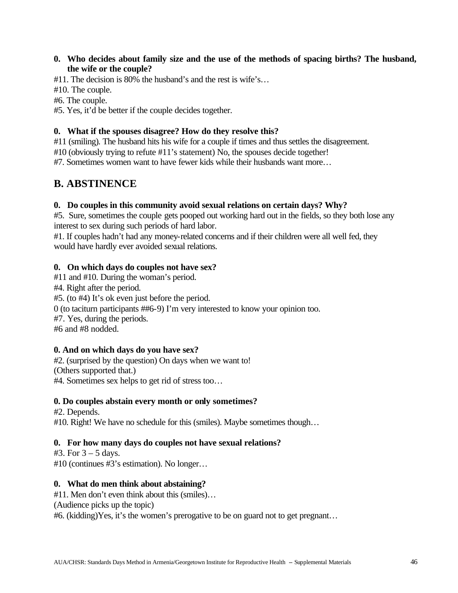### **0. Who decides about family size and the use of the methods of spacing births? The husband, the wife or the couple?**

#11. The decision is 80% the husband's and the rest is wife's…

#10. The couple.

#6. The couple.

#5. Yes, it'd be better if the couple decides together.

### **0. What if the spouses disagree? How do they resolve this?**

#11 (smiling). The husband hits his wife for a couple if times and thus settles the disagreement.

#10 (obviously trying to refute #11's statement) No, the spouses decide together!

#7. Sometimes women want to have fewer kids while their husbands want more…

# **B. ABSTINENCE**

### **0. Do couples in this community avoid sexual relations on certain days? Why?**

#5. Sure, sometimes the couple gets pooped out working hard out in the fields, so they both lose any interest to sex during such periods of hard labor.

#1. If couples hadn't had any money-related concerns and if their children were all well fed, they would have hardly ever avoided sexual relations.

### **0. On which days do couples not have sex?**

#11 and #10. During the woman's period. #4. Right after the period. #5. (to #4) It's ok even just before the period. 0 (to taciturn participants ##6-9) I'm very interested to know your opinion too. #7. Yes, during the periods. #6 and #8 nodded.

#### **0. And on which days do you have sex?**

#2. (surprised by the question) On days when we want to! (Others supported that.) #4. Sometimes sex helps to get rid of stress too…

#### **0. Do couples abstain every month or only sometimes?**

#2. Depends. #10. Right! We have no schedule for this (smiles). Maybe sometimes though…

# **0. For how many days do couples not have sexual relations?**

#3. For  $3 - 5$  days. #10 (continues #3's estimation). No longer…

# **0. What do men think about abstaining?**

#11. Men don't even think about this (smiles)…

(Audience picks up the topic)

#6. (kidding)Yes, it's the women's prerogative to be on guard not to get pregnant…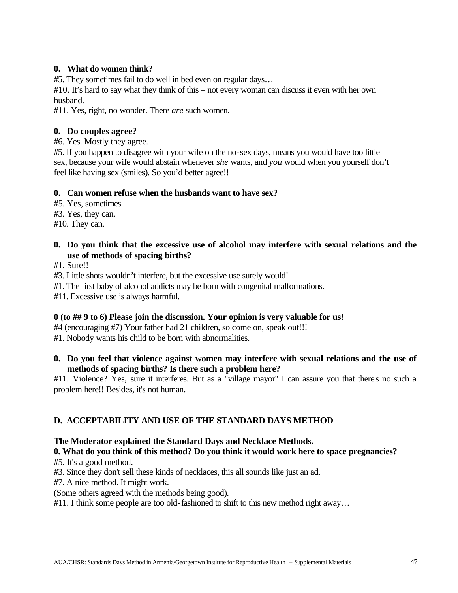### **0. What do women think?**

#5. They sometimes fail to do well in bed even on regular days…

#10. It's hard to say what they think of this – not every woman can discuss it even with her own husband.

#11. Yes, right, no wonder. There *are* such women.

#### **0. Do couples agree?**

#6. Yes. Mostly they agree.

#5. If you happen to disagree with your wife on the no-sex days, means you would have too little sex, because your wife would abstain whenever *she* wants, and *you* would when you yourself don't feel like having sex (smiles). So you'd better agree!!

#### **0. Can women refuse when the husbands want to have sex?**

#5. Yes, sometimes.

#3. Yes, they can.

#10. They can.

# **0. Do you think that the excessive use of alcohol may interfere with sexual relations and the use of methods of spacing births?**

#1. Sure!!

#3. Little shots wouldn't interfere, but the excessive use surely would!

#1. The first baby of alcohol addicts may be born with congenital malformations.

#11. Excessive use is always harmful.

#### **0 (to ## 9 to 6) Please join the discussion. Your opinion is very valuable for us!**

#4 (encouraging #7) Your father had 21 children, so come on, speak out!!!

#1. Nobody wants his child to be born with abnormalities.

### **0. Do you feel that violence against women may interfere with sexual relations and the use of methods of spacing births? Is there such a problem here?**

#11. Violence? Yes, sure it interferes. But as a "village mayor" I can assure you that there's no such a problem here!! Besides, it's not human.

# **D. ACCEPTABILITY AND USE OF THE STANDARD DAYS METHOD**

#### **The Moderator explained the Standard Days and Necklace Methods.**

# **0. What do you think of this method? Do you think it would work here to space pregnancies?**

#5. It's a good method.

#3. Since they don't sell these kinds of necklaces, this all sounds like just an ad.

#7. A nice method. It might work.

(Some others agreed with the methods being good).

#11. I think some people are too old-fashioned to shift to this new method right away...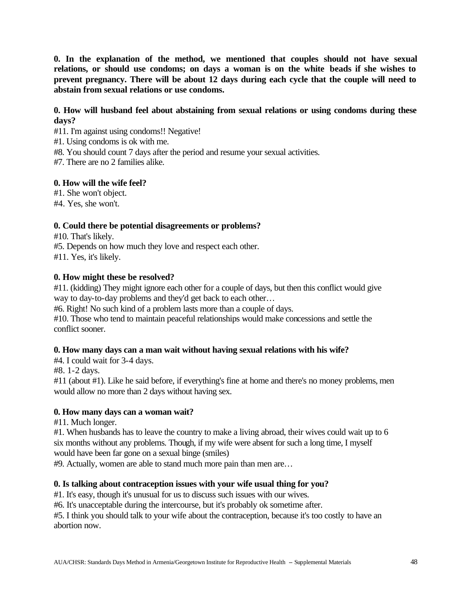**0. In the explanation of the method, we mentioned that couples should not have sexual relations, or should use condoms; on days a woman is on the white beads if she wishes to prevent pregnancy. There will be about 12 days during each cycle that the couple will need to abstain from sexual relations or use condoms.**

### **0. How will husband feel about abstaining from sexual relations or using condoms during these days?**

- #11. I'm against using condoms!! Negative!
- #1. Using condoms is ok with me.
- #8. You should count 7 days after the period and resume your sexual activities.
- #7. There are no 2 families alike.

#### **0. How will the wife feel?**

- #1. She won't object.
- #4. Yes, she won't.

#### **0. Could there be potential disagreements or problems?**

#10. That's likely.

#5. Depends on how much they love and respect each other.

#11. Yes, it's likely.

#### **0. How might these be resolved?**

#11. (kidding) They might ignore each other for a couple of days, but then this conflict would give way to day-to-day problems and they'd get back to each other…

#6. Right! No such kind of a problem lasts more than a couple of days.

#10. Those who tend to maintain peaceful relationships would make concessions and settle the conflict sooner.

#### **0. How many days can a man wait without having sexual relations with his wife?**

#4. I could wait for 3-4 days.

#8. 1-2 days.

#11 (about #1). Like he said before, if everything's fine at home and there's no money problems, men would allow no more than 2 days without having sex.

#### **0. How many days can a woman wait?**

#11. Much longer.

#1. When husbands has to leave the country to make a living abroad, their wives could wait up to 6 six months without any problems. Though, if my wife were absent for such a long time, I myself would have been far gone on a sexual binge (smiles)

#9. Actually, women are able to stand much more pain than men are…

#### **0. Is talking about contraception issues with your wife usual thing for you?**

#1. It's easy, though it's unusual for us to discuss such issues with our wives.

#6. It's unacceptable during the intercourse, but it's probably ok sometime after.

#5. I think you should talk to your wife about the contraception, because it's too costly to have an abortion now.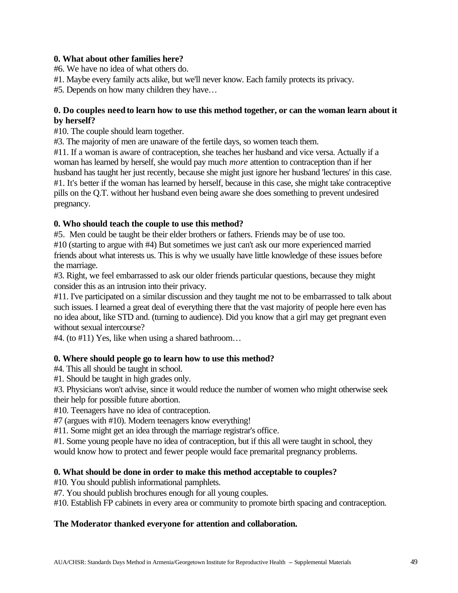# **0. What about other families here?**

#6. We have no idea of what others do.

#1. Maybe every family acts alike, but we'll never know. Each family protects its privacy.

#5. Depends on how many children they have…

### **0. Do couples need to learn how to use this method together, or can the woman learn about it by herself?**

#10. The couple should learn together.

#3. The majority of men are unaware of the fertile days, so women teach them.

#11. If a woman is aware of contraception, she teaches her husband and vice versa. Actually if a woman has learned by herself, she would pay much *more* attention to contraception than if her husband has taught her just recently, because she might just ignore her husband 'lectures' in this case. #1. It's better if the woman has learned by herself, because in this case, she might take contraceptive pills on the Q.T. without her husband even being aware she does something to prevent undesired pregnancy.

### **0. Who should teach the couple to use this method?**

#5. Men could be taught be their elder brothers or fathers. Friends may be of use too. #10 (starting to argue with #4) But sometimes we just can't ask our more experienced married friends about what interests us. This is why we usually have little knowledge of these issues before the marriage.

#3. Right, we feel embarrassed to ask our older friends particular questions, because they might consider this as an intrusion into their privacy.

#11. I've participated on a similar discussion and they taught me not to be embarrassed to talk about such issues. I learned a great deal of everything there that the vast majority of people here even has no idea about, like STD and. (turning to audience). Did you know that a girl may get pregnant even without sexual intercourse?

#4. (to #11) Yes, like when using a shared bathroom…

#### **0. Where should people go to learn how to use this method?**

#4. This all should be taught in school.

#1. Should be taught in high grades only.

#3. Physicians won't advise, since it would reduce the number of women who might otherwise seek their help for possible future abortion.

#10. Teenagers have no idea of contraception.

#7 (argues with #10). Modern teenagers know everything!

#11. Some might get an idea through the marriage registrar's office.

#1. Some young people have no idea of contraception, but if this all were taught in school, they would know how to protect and fewer people would face premarital pregnancy problems.

#### **0. What should be done in order to make this method acceptable to couples?**

#10. You should publish informational pamphlets.

#7. You should publish brochures enough for all young couples.

#10. Establish FP cabinets in every area or community to promote birth spacing and contraception.

#### **The Moderator thanked everyone for attention and collaboration.**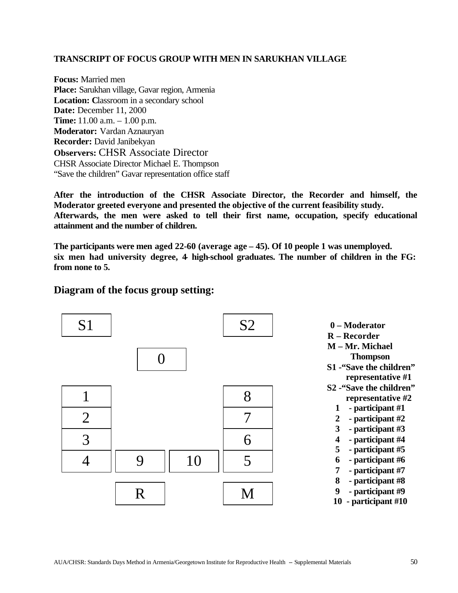#### **TRANSCRIPT OF FOCUS GROUP WITH MEN IN SARUKHAN VILLAGE**

**Focus:** Married men **Place:** Sarukhan village, Gavar region, Armenia **Location:** Classroom in a secondary school **Date:** December 11, 2000 **Time:** 11.00 a.m. – 1.00 p.m. **Moderator:** Vardan Aznauryan **Recorder:** David Janibekyan **Observers:** CHSR Associate Director CHSR Associate Director Michael E. Thompson "Save the children" Gavar representation office staff

**After the introduction of the CHSR Associate Director, the Recorder and himself, the Moderator greeted everyone and presented the objective of the current feasibility study. Afterwards, the men were asked to tell their first name, occupation, specify educational attainment and the number of children.**

**The participants were men aged 22-60 (average age – 45). Of 10 people 1 was unemployed. six men had university degree, 4- high-school graduates. The number of children in the FG: from none to 5.**

# **Diagram of the focus group setting:**

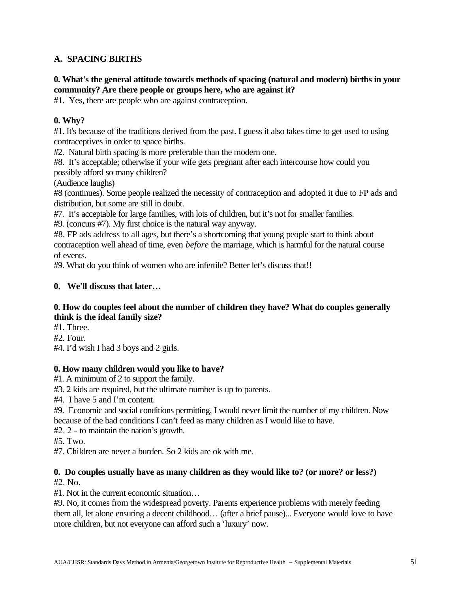# **A. SPACING BIRTHS**

# **0. What's the general attitude towards methods of spacing (natural and modern) births in your community? Are there people or groups here, who are against it?**

#1. Yes, there are people who are against contraception.

# **0. Why?**

#1. It's because of the traditions derived from the past. I guess it also takes time to get used to using contraceptives in order to space births.

#2. Natural birth spacing is more preferable than the modern one.

#8. It's acceptable; otherwise if your wife gets pregnant after each intercourse how could you possibly afford so many children?

(Audience laughs)

#8 (continues). Some people realized the necessity of contraception and adopted it due to FP ads and distribution, but some are still in doubt.

#7. It's acceptable for large families, with lots of children, but it's not for smaller families.

#9. (concurs #7). My first choice is the natural way anyway.

#8. FP ads address to all ages, but there's a shortcoming that young people start to think about contraception well ahead of time, even *before* the marriage, which is harmful for the natural course of events.

#9. What do you think of women who are infertile? Better let's discuss that!!

# **0. We'll discuss that later…**

### **0. How do couples feel about the number of children they have? What do couples generally think is the ideal family size?**

#1. Three.

#2. Four.

#4. I'd wish I had 3 boys and 2 girls.

# **0. How many children would you like to have?**

#1. A minimum of 2 to support the family.

#3. 2 kids are required, but the ultimate number is up to parents.

#4. I have 5 and I'm content.

#9. Economic and social conditions permitting, I would never limit the number of my children. Now because of the bad conditions I can't feed as many children as I would like to have.

#2. 2 - to maintain the nation's growth.

#5. Two.

#7. Children are never a burden. So 2 kids are ok with me.

# **0. Do couples usually have as many children as they would like to? (or more? or less?)**

#2. No.

#1. Not in the current economic situation…

#9. No, it comes from the widespread poverty. Parents experience problems with merely feeding them all, let alone ensuring a decent childhood… (after a brief pause)... Everyone would love to have more children, but not everyone can afford such a 'luxury' now.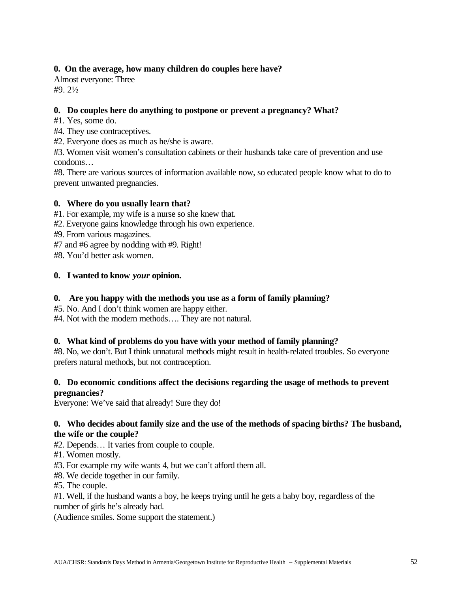### **0. On the average, how many children do couples here have?**

Almost everyone: Three #9. 2½

#### **0. Do couples here do anything to postpone or prevent a pregnancy? What?**

- #1. Yes, some do.
- #4. They use contraceptives.

#2. Everyone does as much as he/she is aware.

#3. Women visit women's consultation cabinets or their husbands take care of prevention and use condoms…

#8. There are various sources of information available now, so educated people know what to do to prevent unwanted pregnancies.

#### **0. Where do you usually learn that?**

#1. For example, my wife is a nurse so she knew that.

- #2. Everyone gains knowledge through his own experience.
- #9. From various magazines.
- #7 and #6 agree by nodding with #9. Right!

#8. You'd better ask women.

#### **0. I wanted to know** *your* **opinion.**

### **0. Are you happy with the methods you use as a form of family planning?**

#5. No. And I don't think women are happy either.

#4. Not with the modern methods…. They are not natural.

#### **0. What kind of problems do you have with your method of family planning?**

#8. No, we don't. But I think unnatural methods might result in health-related troubles. So everyone prefers natural methods, but not contraception.

#### **0. Do economic conditions affect the decisions regarding the usage of methods to prevent pregnancies?**

Everyone: We've said that already! Sure they do!

#### **0. Who decides about family size and the use of the methods of spacing births? The husband, the wife or the couple?**

- #2. Depends… It varies from couple to couple.
- #1. Women mostly.
- #3. For example my wife wants 4, but we can't afford them all.
- #8. We decide together in our family.
- #5. The couple.

#1. Well, if the husband wants a boy, he keeps trying until he gets a baby boy, regardless of the number of girls he's already had.

(Audience smiles. Some support the statement.)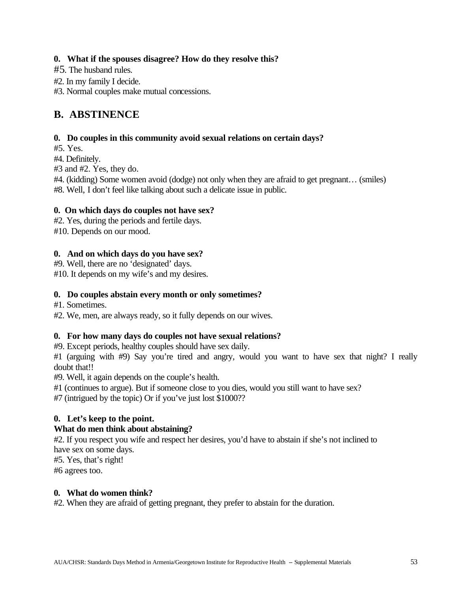# **0. What if the spouses disagree? How do they resolve this?**

- #5. The husband rules.
- #2. In my family I decide.
- #3. Normal couples make mutual concessions.

# **B. ABSTINENCE**

### **0. Do couples in this community avoid sexual relations on certain days?**

#5. Yes.

#4. Definitely.

#3 and #2. Yes, they do.

#4. (kidding) Some women avoid (dodge) not only when they are afraid to get pregnant… (smiles) #8. Well, I don't feel like talking about such a delicate issue in public.

#### **0. On which days do couples not have sex?**

#2. Yes, during the periods and fertile days.

#10. Depends on our mood.

### **0. And on which days do you have sex?**

#9. Well, there are no 'designated' days. #10. It depends on my wife's and my desires.

### **0. Do couples abstain every month or only sometimes?**

#1. Sometimes.

#2. We, men, are always ready, so it fully depends on our wives.

#### **0. For how many days do couples not have sexual relations?**

#9. Except periods, healthy couples should have sex daily.

#1 (arguing with #9) Say you're tired and angry, would you want to have sex that night? I really doubt that!!

#9. Well, it again depends on the couple's health.

#1 (continues to argue). But if someone close to you dies, would you still want to have sex?

#7 (intrigued by the topic) Or if you've just lost \$1000??

# **0. Let's keep to the point.**

# **What do men think about abstaining?**

#2. If you respect you wife and respect her desires, you'd have to abstain if she's not inclined to have sex on some days.

#5. Yes, that's right!

#6 agrees too.

#### **0. What do women think?**

#2. When they are afraid of getting pregnant, they prefer to abstain for the duration.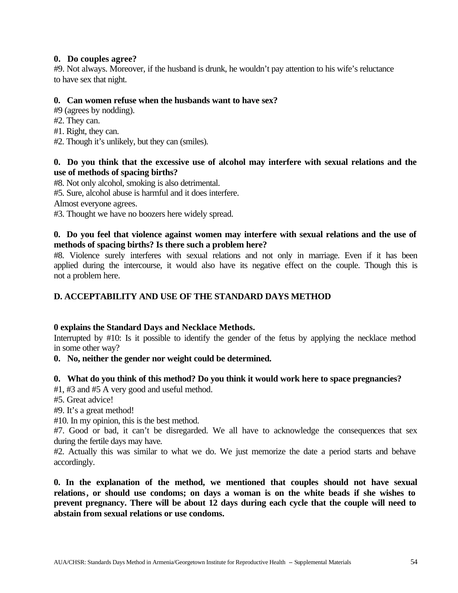#### **0. Do couples agree?**

#9. Not always. Moreover, if the husband is drunk, he wouldn't pay attention to his wife's reluctance to have sex that night.

#### **0. Can women refuse when the husbands want to have sex?**

- #9 (agrees by nodding).
- #2. They can.
- #1. Right, they can.
- #2. Though it's unlikely, but they can (smiles).

### **0. Do you think that the excessive use of alcohol may interfere with sexual relations and the use of methods of spacing births?**

#8. Not only alcohol, smoking is also detrimental.

#5. Sure, alcohol abuse is harmful and it does interfere.

Almost everyone agrees.

#3. Thought we have no boozers here widely spread.

### **0. Do you feel that violence against women may interfere with sexual relations and the use of methods of spacing births? Is there such a problem here?**

#8. Violence surely interferes with sexual relations and not only in marriage. Even if it has been applied during the intercourse, it would also have its negative effect on the couple. Though this is not a problem here.

### **D. ACCEPTABILITY AND USE OF THE STANDARD DAYS METHOD**

#### **0 explains the Standard Days and Necklace Methods.**

Interrupted by #10: Is it possible to identify the gender of the fetus by applying the necklace method in some other way?

#### **0. No, neither the gender nor weight could be determined.**

#### **0. What do you think of this method? Do you think it would work here to space pregnancies?**

#1, #3 and #5 A very good and useful method.

#5. Great advice!

#9. It's a great method!

#10. In my opinion, this is the best method.

#7. Good or bad, it can't be disregarded. We all have to acknowledge the consequences that sex during the fertile days may have.

#2. Actually this was similar to what we do. We just memorize the date a period starts and behave accordingly.

**0. In the explanation of the method, we mentioned that couples should not have sexual relations, or should use condoms; on days a woman is on the white beads if she wishes to prevent pregnancy. There will be about 12 days during each cycle that the couple will need to abstain from sexual relations or use condoms.**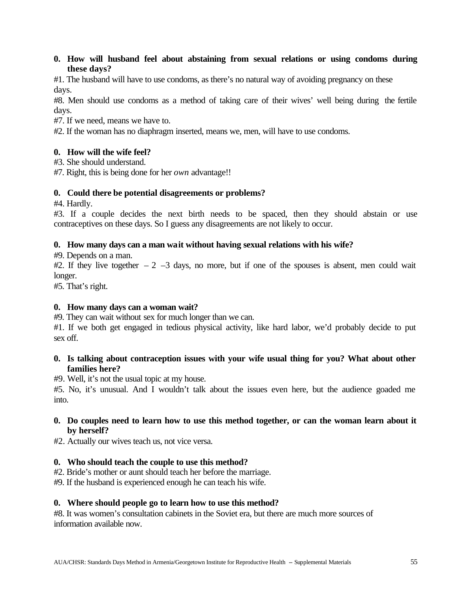#### **0. How will husband feel about abstaining from sexual relations or using condoms during these days?**

#1. The husband will have to use condoms, as there's no natural way of avoiding pregnancy on these days.

#8. Men should use condoms as a method of taking care of their wives' well being during the fertile days.

#7. If we need, means we have to.

#2. If the woman has no diaphragm inserted, means we, men, will have to use condoms.

### **0. How will the wife feel?**

#3. She should understand.

#7. Right, this is being done for her *own* advantage!!

### **0. Could there be potential disagreements or problems?**

#4. Hardly.

#3. If a couple decides the next birth needs to be spaced, then they should abstain or use contraceptives on these days. So I guess any disagreements are not likely to occur.

### **0. How many days can a man wait without having sexual relations with his wife?**

#9. Depends on a man.

#2. If they live together  $-2$   $-3$  days, no more, but if one of the spouses is absent, men could wait longer.

#5. That's right.

#### **0. How many days can a woman wait?**

#9. They can wait without sex for much longer than we can.

#1. If we both get engaged in tedious physical activity, like hard labor, we'd probably decide to put sex off.

### **0. Is talking about contraception issues with your wife usual thing for you? What about other families here?**

#9. Well, it's not the usual topic at my house.

#5. No, it's unusual. And I wouldn't talk about the issues even here, but the audience goaded me into.

### **0. Do couples need to learn how to use this method together, or can the woman learn about it by herself?**

#2. Actually our wives teach us, not vice versa.

# **0. Who should teach the couple to use this method?**

#2. Bride's mother or aunt should teach her before the marriage.

#9. If the husband is experienced enough he can teach his wife.

#### **0. Where should people go to learn how to use this method?**

#8. It was women's consultation cabinets in the Soviet era, but there are much more sources of information available now.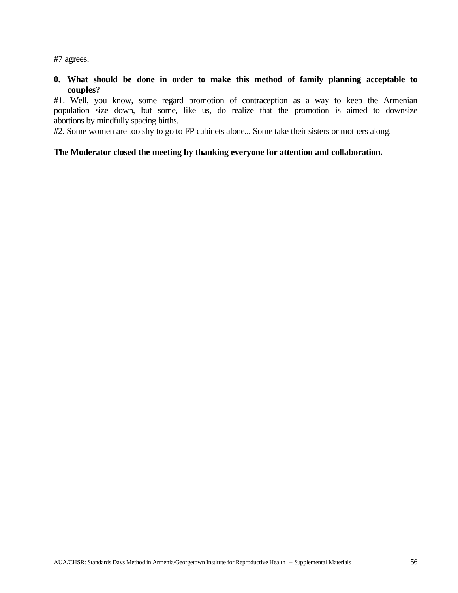#7 agrees.

**0. What should be done in order to make this method of family planning acceptable to couples?**

#1. Well, you know, some regard promotion of contraception as a way to keep the Armenian population size down, but some, like us, do realize that the promotion is aimed to downsize abortions by mindfully spacing births.

#2. Some women are too shy to go to FP cabinets alone... Some take their sisters or mothers along.

#### **The Moderator closed the meeting by thanking everyone for attention and collaboration.**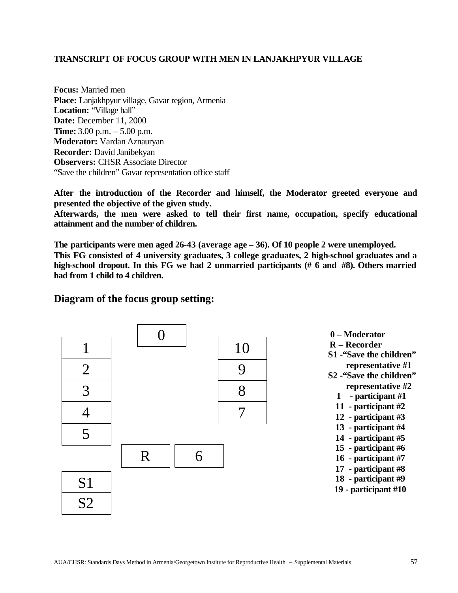#### **TRANSCRIPT OF FOCUS GROUP WITH MEN IN LANJAKHPYUR VILLAGE**

**Focus:** Married men **Place:** Lanjakhpyur village, Gavar region, Armenia Location: "Village hall" **Date:** December 11, 2000 **Time:** 3.00 p.m. – 5.00 p.m. **Moderator:** Vardan Aznauryan **Recorder:** David Janibekyan **Observers: CHSR Associate Director** "Save the children" Gavar representation office staff

**After the introduction of the Recorder and himself, the Moderator greeted everyone and presented the objective of the given study.**

**Afterwards, the men were asked to tell their first name, occupation, specify educational attainment and the number of children.**

**The participants were men aged 26-43 (average age – 36). Of 10 people 2 were unemployed. This FG consisted of 4 university graduates, 3 college graduates, 2 high-school graduates and a high-school dropout. In this FG we had 2 unmarried participants (# 6 and #8). Others married had from 1 child to 4 children.**

# **Diagram of the focus group setting:**

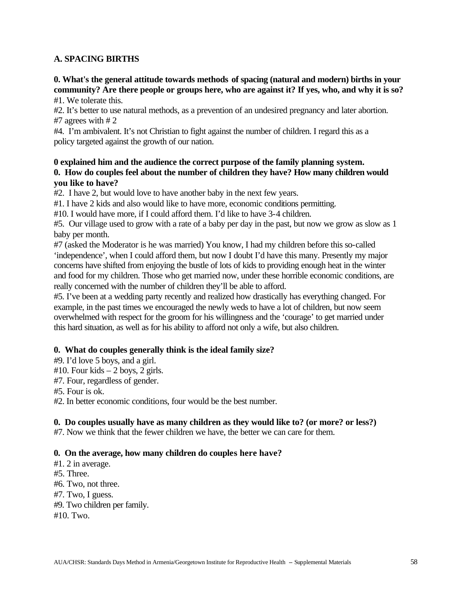### **A. SPACING BIRTHS**

**0. What's the general attitude towards methods of spacing (natural and modern) births in your community? Are there people or groups here, who are against it? If yes, who, and why it is so?** #1. We tolerate this.

#2. It's better to use natural methods, as a prevention of an undesired pregnancy and later abortion. #7 agrees with # 2

#4. I'm ambivalent. It's not Christian to fight against the number of children. I regard this as a policy targeted against the growth of our nation.

#### **0 explained him and the audience the correct purpose of the family planning system. 0. How do couples feel about the number of children they have? How many children would you like to have?**

#2. I have 2, but would love to have another baby in the next few years.

#1. I have 2 kids and also would like to have more, economic conditions permitting.

#10. I would have more, if I could afford them. I'd like to have 3-4 children.

#5. Our village used to grow with a rate of a baby per day in the past, but now we grow as slow as 1 baby per month.

#7 (asked the Moderator is he was married) You know, I had my children before this so-called 'independence', when I could afford them, but now I doubt I'd have this many. Presently my major concerns have shifted from enjoying the bustle of lots of kids to providing enough heat in the winter and food for my children. Those who get married now, under these horrible economic conditions, are really concerned with the number of children they'll be able to afford.

#5. I've been at a wedding party recently and realized how drastically has everything changed. For example, in the past times we encouraged the newly weds to have a lot of children, but now seem overwhelmed with respect for the groom for his willingness and the 'courage' to get married under this hard situation, as well as for his ability to afford not only a wife, but also children.

#### **0. What do couples generally think is the ideal family size?**

- #9. I'd love 5 boys, and a girl.
- $#10$ . Four kids  $-2$  boys, 2 girls.
- #7. Four, regardless of gender.

#5. Four is ok.

#2. In better economic conditions, four would be the best number.

# **0. Do couples usually have as many children as they would like to? (or more? or less?)**

#7. Now we think that the fewer children we have, the better we can care for them.

#### **0. On the average, how many children do couples here have?**

#1. 2 in average.

#5. Three.

- #6. Two, not three.
- #7. Two, I guess.
- #9. Two children per family.

#10. Two.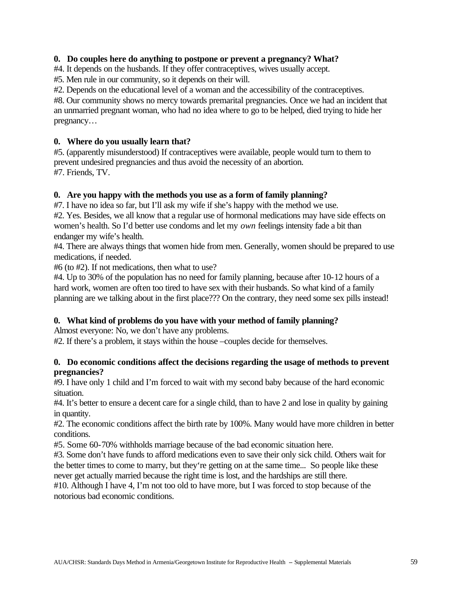#### **0. Do couples here do anything to postpone or prevent a pregnancy? What?**

#4. It depends on the husbands. If they offer contraceptives, wives usually accept.

#5. Men rule in our community, so it depends on their will.

#2. Depends on the educational level of a woman and the accessibility of the contraceptives.

#8. Our community shows no mercy towards premarital pregnancies. Once we had an incident that an unmarried pregnant woman, who had no idea where to go to be helped, died trying to hide her pregnancy…

### **0. Where do you usually learn that?**

#5. (apparently misunderstood) If contraceptives were available, people would turn to them to prevent undesired pregnancies and thus avoid the necessity of an abortion. #7. Friends, TV.

### **0. Are you happy with the methods you use as a form of family planning?**

#7. I have no idea so far, but I'll ask my wife if she's happy with the method we use.

#2. Yes. Besides, we all know that a regular use of hormonal medications may have side effects on women's health. So I'd better use condoms and let my *own* feelings intensity fade a bit than endanger my wife's health.

#4. There are always things that women hide from men. Generally, women should be prepared to use medications, if needed.

#6 (to #2). If not medications, then what to use?

#4. Up to 30% of the population has no need for family planning, because after 10-12 hours of a hard work, women are often too tired to have sex with their husbands. So what kind of a family planning are we talking about in the first place??? On the contrary, they need some sex pills instead!

# **0. What kind of problems do you have with your method of family planning?**

Almost everyone: No, we don't have any problems.

#2. If there's a problem, it stays within the house –couples decide for themselves.

#### **0. Do economic conditions affect the decisions regarding the usage of methods to prevent pregnancies?**

#9. I have only 1 child and I'm forced to wait with my second baby because of the hard economic situation.

#4. It's better to ensure a decent care for a single child, than to have 2 and lose in quality by gaining in quantity.

#2. The economic conditions affect the birth rate by 100%. Many would have more children in better conditions.

#5. Some 60-70% withholds marriage because of the bad economic situation here.

#3. Some don't have funds to afford medications even to save their only sick child. Others wait for the better times to come to marry, but they're getting on at the same time... So people like these never get actually married because the right time is lost, and the hardships are still there.

#10. Although I have 4, I'm not too old to have more, but I was forced to stop because of the notorious bad economic conditions.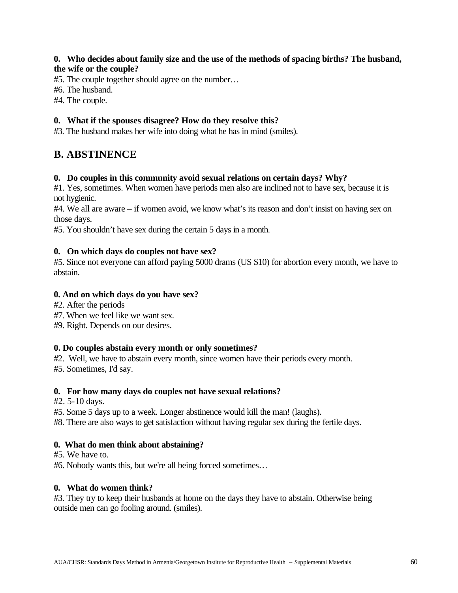### **0. Who decides about family size and the use of the methods of spacing births? The husband, the wife or the couple?**

#5. The couple together should agree on the number…

#6. The husband.

#4. The couple.

### **0. What if the spouses disagree? How do they resolve this?**

#3. The husband makes her wife into doing what he has in mind (smiles).

# **B. ABSTINENCE**

#### **0. Do couples in this community avoid sexual relations on certain days? Why?**

#1. Yes, sometimes. When women have periods men also are inclined not to have sex, because it is not hygienic.

#4. We all are aware – if women avoid, we know what's its reason and don't insist on having sex on those days.

#5. You shouldn't have sex during the certain 5 days in a month.

#### **0. On which days do couples not have sex?**

#5. Since not everyone can afford paying 5000 drams (US \$10) for abortion every month, we have to abstain.

### **0. And on which days do you have sex?**

#2. After the periods

#7. When we feel like we want sex.

#9. Right. Depends on our desires.

#### **0. Do couples abstain every month or only sometimes?**

#2. Well, we have to abstain every month, since women have their periods every month.

#5. Sometimes, I'd say.

#### **0. For how many days do couples not have sexual relations?**

#2. 5-10 days.

#5. Some 5 days up to a week. Longer abstinence would kill the man! (laughs).

#8. There are also ways to get satisfaction without having regular sex during the fertile days.

# **0. What do men think about abstaining?**

#5. We have to.

#6. Nobody wants this, but we're all being forced sometimes…

#### **0. What do women think?**

#3. They try to keep their husbands at home on the days they have to abstain. Otherwise being outside men can go fooling around. (smiles).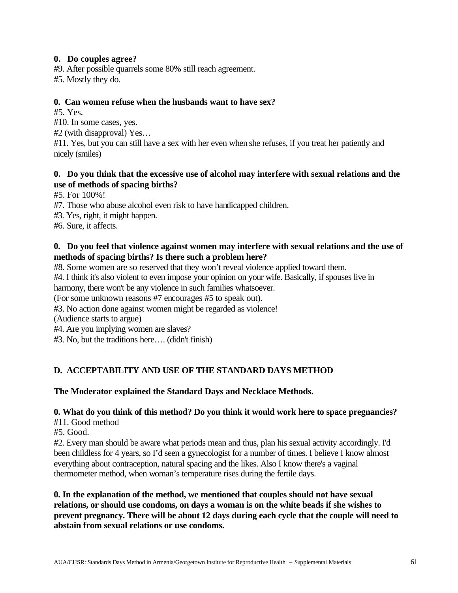### **0. Do couples agree?**

#9. After possible quarrels some 80% still reach agreement.

#5. Mostly they do.

### **0. Can women refuse when the husbands want to have sex?**

#5. Yes.

#10. In some cases, yes.

#2 (with disapproval) Yes…

#11. Yes, but you can still have a sex with her even when she refuses, if you treat her patiently and nicely (smiles)

### **0. Do you think that the excessive use of alcohol may interfere with sexual relations and the use of methods of spacing births?**

#5. For 100%!

- #7. Those who abuse alcohol even risk to have handicapped children.
- #3. Yes, right, it might happen.

#6. Sure, it affects.

# **0. Do you feel that violence against women may interfere with sexual relations and the use of methods of spacing births? Is there such a problem here?**

#8. Some women are so reserved that they won't reveal violence applied toward them.

#4. I think it's also violent to even impose your opinion on your wife. Basically, if spouses live in

harmony, there won't be any violence in such families whatsoever.

(For some unknown reasons #7 encourages #5 to speak out).

#3. No action done against women might be regarded as violence!

(Audience starts to argue)

#4. Are you implying women are slaves?

#3. No, but the traditions here…. (didn't finish)

# **D. ACCEPTABILITY AND USE OF THE STANDARD DAYS METHOD**

# **The Moderator explained the Standard Days and Necklace Methods.**

# **0. What do you think of this method? Do you think it would work here to space pregnancies?**

#11. Good method

#5. Good.

#2. Every man should be aware what periods mean and thus, plan his sexual activity accordingly. I'd been childless for 4 years, so I'd seen a gynecologist for a number of times. I believe I know almost everything about contraception, natural spacing and the likes. Also I know there's a vaginal thermometer method, when woman's temperature rises during the fertile days.

**0. In the explanation of the method, we mentioned that couples should not have sexual relations, or should use condoms, on days a woman is on the white beads if she wishes to prevent pregnancy. There will be about 12 days during each cycle that the couple will need to abstain from sexual relations or use condoms.**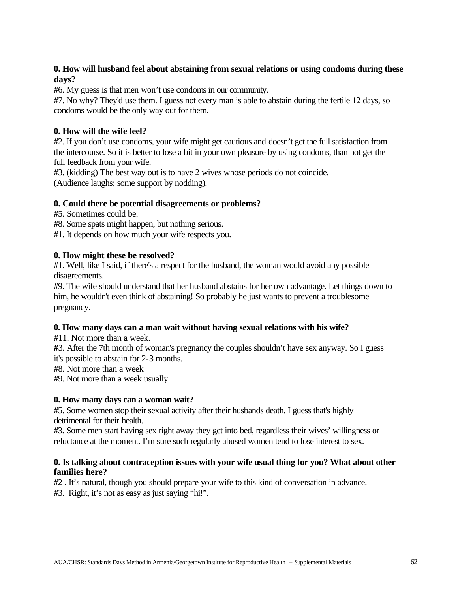### **0. How will husband feel about abstaining from sexual relations or using condoms during these days?**

#6. My guess is that men won't use condoms in our community.

#7. No why? They'd use them. I guess not every man is able to abstain during the fertile 12 days, so condoms would be the only way out for them.

# **0. How will the wife feel?**

#2. If you don't use condoms, your wife might get cautious and doesn't get the full satisfaction from the intercourse. So it is better to lose a bit in your own pleasure by using condoms, than not get the full feedback from your wife.

#3. (kidding) The best way out is to have 2 wives whose periods do not coincide. (Audience laughs; some support by nodding).

# **0. Could there be potential disagreements or problems?**

#5. Sometimes could be.

#8. Some spats might happen, but nothing serious.

#1. It depends on how much your wife respects you.

### **0. How might these be resolved?**

#1. Well, like I said, if there's a respect for the husband, the woman would avoid any possible disagreements.

#9. The wife should understand that her husband abstains for her own advantage. Let things down to him, he wouldn't even think of abstaining! So probably he just wants to prevent a troublesome pregnancy.

# **0. How many days can a man wait without having sexual relations with his wife?**

#11. Not more than a week.

**#**3. After the 7th month of woman's pregnancy the couples shouldn't have sex anyway. So I guess it's possible to abstain for 2-3 months.

#8. Not more than a week

#9. Not more than a week usually.

# **0. How many days can a woman wait?**

#5. Some women stop their sexual activity after their husbands death. I guess that's highly detrimental for their health.

#3. Some men start having sex right away they get into bed, regardless their wives' willingness or reluctance at the moment. I'm sure such regularly abused women tend to lose interest to sex.

#### **0. Is talking about contraception issues with your wife usual thing for you? What about other families here?**

#2 . It's natural, though you should prepare your wife to this kind of conversation in advance.

#3. Right, it's not as easy as just saying "hi!".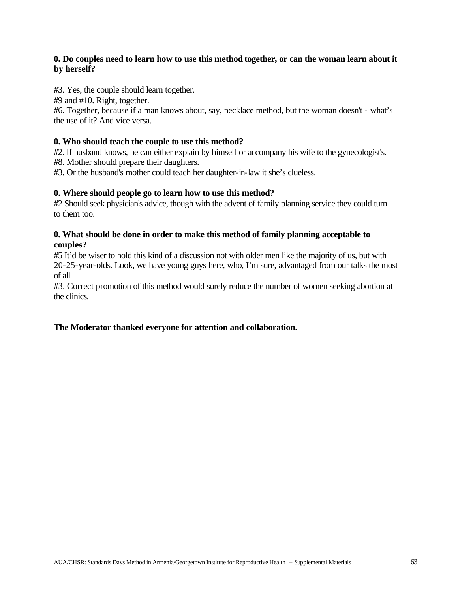### **0. Do couples need to learn how to use this method together, or can the woman learn about it by herself?**

#3. Yes, the couple should learn together.

#9 and #10. Right, together.

#6. Together, because if a man knows about, say, necklace method, but the woman doesn't - what's the use of it? And vice versa.

#### **0. Who should teach the couple to use this method?**

#2. If husband knows, he can either explain by himself or accompany his wife to the gynecologist's.

#8. Mother should prepare their daughters.

#3. Or the husband's mother could teach her daughter-in-law it she's clueless.

#### **0. Where should people go to learn how to use this method?**

#2 Should seek physician's advice, though with the advent of family planning service they could turn to them too.

#### **0. What should be done in order to make this method of family planning acceptable to couples?**

#5 It'd be wiser to hold this kind of a discussion not with older men like the majority of us, but with 20-25-year-olds. Look, we have young guys here, who, I'm sure, advantaged from our talks the most of all.

#3. Correct promotion of this method would surely reduce the number of women seeking abortion at the clinics.

#### **The Moderator thanked everyone for attention and collaboration.**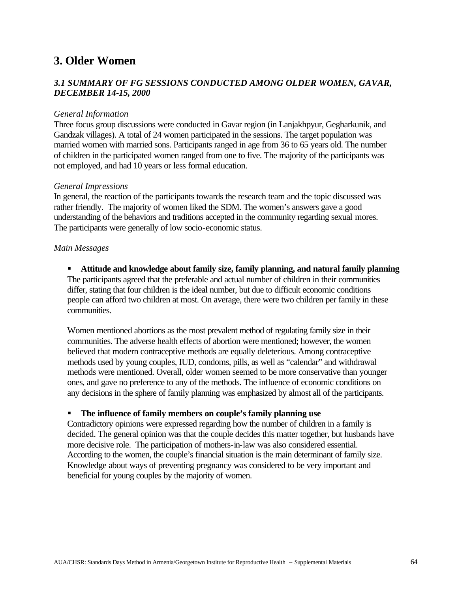# **3. Older Women**

# *3.1 SUMMARY OF FG SESSIONS CONDUCTED AMONG OLDER WOMEN, GAVAR, DECEMBER 14-15, 2000*

#### *General Information*

Three focus group discussions were conducted in Gavar region (in Lanjakhpyur, Gegharkunik, and Gandzak villages). A total of 24 women participated in the sessions. The target population was married women with married sons. Participants ranged in age from 36 to 65 years old. The number of children in the participated women ranged from one to five. The majority of the participants was not employed, and had 10 years or less formal education.

#### *General Impressions*

In general, the reaction of the participants towards the research team and the topic discussed was rather friendly. The majority of women liked the SDM. The women's answers gave a good understanding of the behaviors and traditions accepted in the community regarding sexual mores. The participants were generally of low socio-economic status.

#### *Main Messages*

### **KR** Attitude and knowledge about family size, family planning, and natural family planning The participants agreed that the preferable and actual number of children in their communities differ, stating that four children is the ideal number, but due to difficult economic conditions people can afford two children at most. On average, there were two children per family in these communities.

Women mentioned abortions as the most prevalent method of regulating family size in their communities. The adverse health effects of abortion were mentioned; however, the women believed that modern contraceptive methods are equally deleterious. Among contraceptive methods used by young couples, IUD, condoms, pills, as well as "calendar" and withdrawal methods were mentioned. Overall, older women seemed to be more conservative than younger ones, and gave no preference to any of the methods. The influence of economic conditions on any decisions in the sphere of family planning was emphasized by almost all of the participants.

#### ß **The influence of family members on couple's family planning use**

Contradictory opinions were expressed regarding how the number of children in a family is decided. The general opinion was that the couple decides this matter together, but husbands have more decisive role. The participation of mothers-in-law was also considered essential. According to the women, the couple's financial situation is the main determinant of family size. Knowledge about ways of preventing pregnancy was considered to be very important and beneficial for young couples by the majority of women.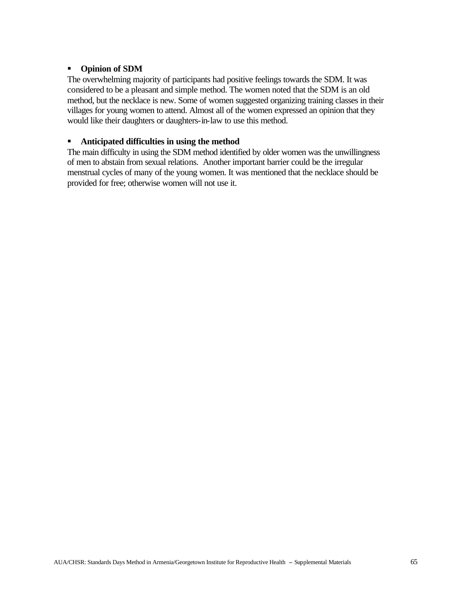#### ß **Opinion of SDM**

The overwhelming majority of participants had positive feelings towards the SDM. It was considered to be a pleasant and simple method. The women noted that the SDM is an old method, but the necklace is new. Some of women suggested organizing training classes in their villages for young women to attend. Almost all of the women expressed an opinion that they would like their daughters or daughters-in-law to use this method.

#### **EXECUTE:** Anticipated difficulties in using the method

The main difficulty in using the SDM method identified by older women was the unwillingness of men to abstain from sexual relations. Another important barrier could be the irregular menstrual cycles of many of the young women. It was mentioned that the necklace should be provided for free; otherwise women will not use it.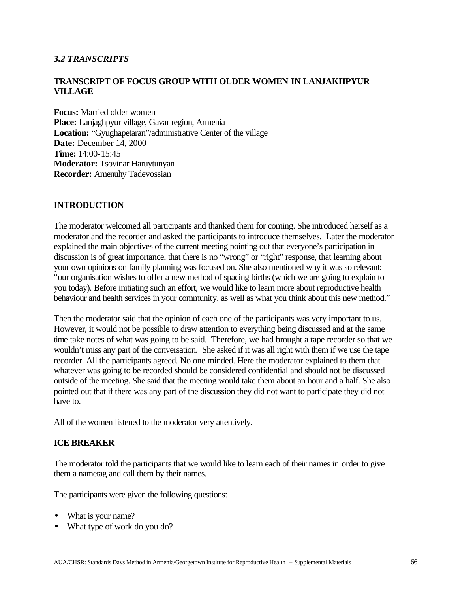#### *3.2 TRANSCRIPTS*

### **TRANSCRIPT OF FOCUS GROUP WITH OLDER WOMEN IN LANJAKHPYUR VILLAGE**

**Focus:** Married older women **Place:** Lanjaghpyur village, Gavar region, Armenia **Location:** "Gyughapetaran"/administrative Center of the village **Date:** December 14, 2000 **Time:** 14:00-15:45 **Moderator:** Tsovinar Haruytunyan **Recorder:** Amenuhy Tadevossian

#### **INTRODUCTION**

The moderator welcomed all participants and thanked them for coming. She introduced herself as a moderator and the recorder and asked the participants to introduce themselves. Later the moderator explained the main objectives of the current meeting pointing out that everyone's participation in discussion is of great importance, that there is no "wrong" or "right" response, that learning about your own opinions on family planning was focused on. She also mentioned why it was so relevant: "our organisation wishes to offer a new method of spacing births (which we are going to explain to you today). Before initiating such an effort, we would like to learn more about reproductive health behaviour and health services in your community, as well as what you think about this new method."

Then the moderator said that the opinion of each one of the participants was very important to us. However, it would not be possible to draw attention to everything being discussed and at the same time take notes of what was going to be said. Therefore, we had brought a tape recorder so that we wouldn't miss any part of the conversation. She asked if it was all right with them if we use the tape recorder. All the participants agreed. No one minded. Here the moderator explained to them that whatever was going to be recorded should be considered confidential and should not be discussed outside of the meeting. She said that the meeting would take them about an hour and a half. She also pointed out that if there was any part of the discussion they did not want to participate they did not have to.

All of the women listened to the moderator very attentively.

#### **ICE BREAKER**

The moderator told the participants that we would like to learn each of their names in order to give them a nametag and call them by their names.

The participants were given the following questions:

- What is your name?
- What type of work do you do?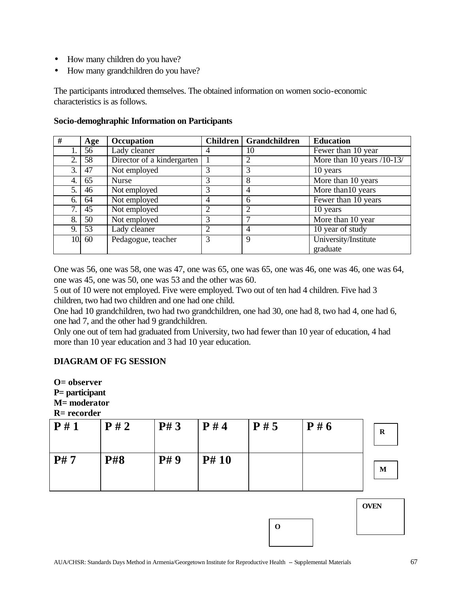- How many children do you have?
- How many grandchildren do you have?

The participants introduced themselves. The obtained information on women socio-economic characteristics is as follows.

| #   | Age | Occupation                 |                | Children   Grandchildren | <b>Education</b>           |
|-----|-----|----------------------------|----------------|--------------------------|----------------------------|
|     | 56  | Lady cleaner               | 4              | 10                       | Fewer than 10 year         |
| 2.  | 58  | Director of a kindergarten |                | 2                        | More than 10 years /10-13/ |
| 3.  | 47  | Not employed               | 3              | 3                        | 10 years                   |
| 4.  | 65  | Nurse                      | 3              | 8                        | More than 10 years         |
| 5.  | 46  | Not employed               | 3              | 4                        | More than 10 years         |
| 6.  | 64  | Not employed               | $\overline{4}$ | 6                        | Fewer than 10 years        |
| 7.  | 45  | Not employed               | 2              | 2                        | 10 years                   |
| 8.  | 50  | Not employed               | 3              |                          | More than 10 year          |
| 9.  | 53  | Lady cleaner               | 2              | 4                        | 10 year of study           |
| 10. | 60  | Pedagogue, teacher         | 3              | 9                        | University/Institute       |
|     |     |                            |                |                          | graduate                   |

#### **Socio-demoghraphic Information on Participants**

One was 56, one was 58, one was 47, one was 65, one was 65, one was 46, one was 46, one was 64, one was 45, one was 50, one was 53 and the other was 60.

5 out of 10 were not employed. Five were employed. Two out of ten had 4 children. Five had 3 children, two had two children and one had one child.

One had 10 grandchildren, two had two grandchildren, one had 30, one had 8, two had 4, one had 6, one had 7, and the other had 9 grandchildren.

Only one out of tem had graduated from University, two had fewer than 10 year of education, 4 had more than 10 year education and 3 had 10 year education.

#### **DIAGRAM OF FG SESSION**

**O= observer P= participant M= moderator R= recorder**

| P# 9<br>P# 10<br><b>P#8</b><br>M | $N-1$ ccoluci | P#2 | P#3 | P#4 | P#5 | P#6 | $\mathbf R$ |
|----------------------------------|---------------|-----|-----|-----|-----|-----|-------------|
|                                  |               |     |     |     |     |     |             |
|                                  | P#7           |     |     |     |     |     |             |

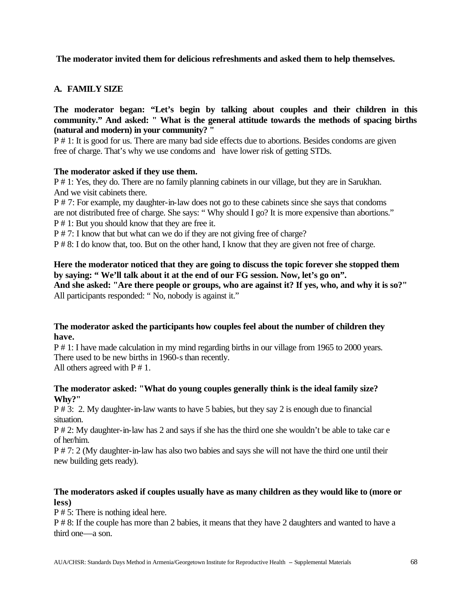### **The moderator invited them for delicious refreshments and asked them to help themselves.**

### **A. FAMILY SIZE**

**The moderator began: "Let's begin by talking about couples and their children in this community." And asked: " What is the general attitude towards the methods of spacing births (natural and modern) in your community? "**

P # 1: It is good for us. There are many bad side effects due to abortions. Besides condoms are given free of charge. That's why we use condoms and have lower risk of getting STDs.

#### **The moderator asked if they use them.**

P # 1: Yes, they do. There are no family planning cabinets in our village, but they are in Sarukhan. And we visit cabinets there.

P # 7: For example, my daughter-in-law does not go to these cabinets since she says that condoms are not distributed free of charge. She says: " Why should I go? It is more expensive than abortions." P # 1: But you should know that they are free it.

P # 7: I know that but what can we do if they are not giving free of charge?

P # 8: I do know that, too. But on the other hand, I know that they are given not free of charge.

#### **Here the moderator noticed that they are going to discuss the topic forever she stopped them by saying: " We'll talk about it at the end of our FG session. Now, let's go on". And she asked: "Are there people or groups, who are against it? If yes, who, and why it is so?"**

All participants responded: " No, nobody is against it."

#### **The moderator asked the participants how couples feel about the number of children they have.**

P # 1: I have made calculation in my mind regarding births in our village from 1965 to 2000 years. There used to be new births in 1960-s than recently. All others agreed with  $P \# 1$ .

#### **The moderator asked: "What do young couples generally think is the ideal family size? Why?"**

P # 3: 2. My daughter-in-law wants to have 5 babies, but they say 2 is enough due to financial situation.

P # 2: My daughter-in-law has 2 and says if she has the third one she wouldn't be able to take car e of her/him.

P # 7: 2 (My daughter-in-law has also two babies and says she will not have the third one until their new building gets ready).

### **The moderators asked if couples usually have as many children as they would like to (more or less)**

P # 5: There is nothing ideal here.

P # 8: If the couple has more than 2 babies, it means that they have 2 daughters and wanted to have a third one—a son.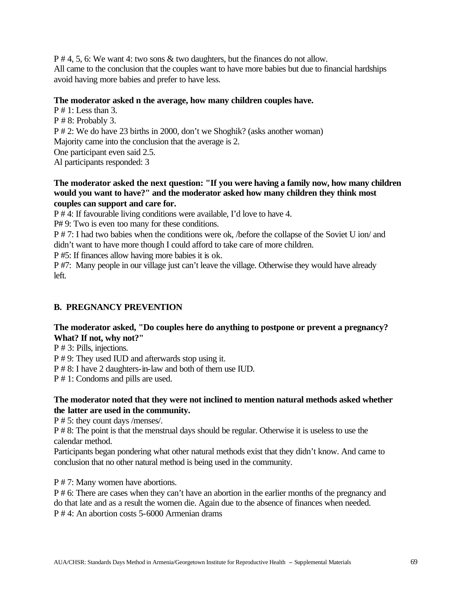P # 4, 5, 6: We want 4: two sons & two daughters, but the finances do not allow. All came to the conclusion that the couples want to have more babies but due to financial hardships avoid having more babies and prefer to have less.

#### **The moderator asked n the average, how many children couples have.**

 $P \# 1$ : Less than 3. P # 8: Probably 3. P # 2: We do have 23 births in 2000, don't we Shoghik? (asks another woman) Majority came into the conclusion that the average is 2. One participant even said 2.5. Al participants responded: 3

#### **The moderator asked the next question: "If you were having a family now, how many children would you want to have?" and the moderator asked how many children they think most couples can support and care for.**

P # 4: If favourable living conditions were available, I'd love to have 4.

P# 9: Two is even too many for these conditions.

P # 7: I had two babies when the conditions were ok, /before the collapse of the Soviet U ion/ and didn't want to have more though I could afford to take care of more children.

P #5: If finances allow having more babies it is ok.

P #7: Many people in our village just can't leave the village. Otherwise they would have already left.

# **B. PREGNANCY PREVENTION**

# **The moderator asked, "Do couples here do anything to postpone or prevent a pregnancy? What? If not, why not?"**

P # 3: Pills, injections.

P # 9: They used IUD and afterwards stop using it.

P # 8: I have 2 daughters-in-law and both of them use IUD.

P # 1: Condoms and pills are used.

### **The moderator noted that they were not inclined to mention natural methods asked whether the latter are used in the community.**

P # 5: they count days /menses/.

P # 8: The point is that the menstrual days should be regular. Otherwise it is useless to use the calendar method.

Participants began pondering what other natural methods exist that they didn't know. And came to conclusion that no other natural method is being used in the community.

P # 7: Many women have abortions.

P # 6: There are cases when they can't have an abortion in the earlier months of the pregnancy and do that late and as a result the women die. Again due to the absence of finances when needed. P # 4: An abortion costs 5-6000 Armenian drams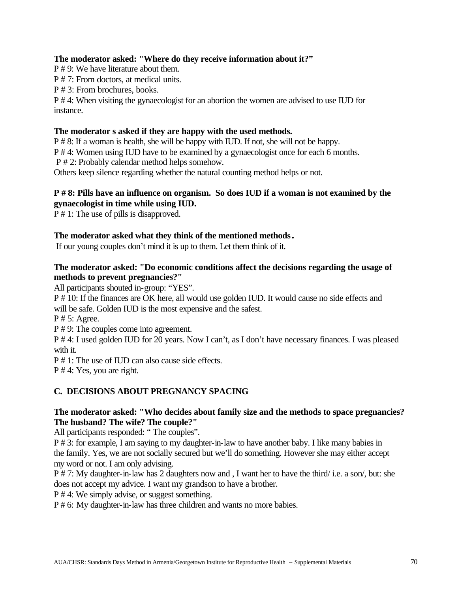### **The moderator asked: "Where do they receive information about it?"**

P # 9: We have literature about them.

P # 7: From doctors, at medical units.

P # 3: From brochures, books.

P # 4: When visiting the gynaecologist for an abortion the women are advised to use IUD for instance.

### **The moderator s asked if they are happy with the used methods.**

P # 8: If a woman is health, she will be happy with IUD. If not, she will not be happy.

P # 4: Women using IUD have to be examined by a gynaecologist once for each 6 months.

P # 2: Probably calendar method helps somehow.

Others keep silence regarding whether the natural counting method helps or not.

### **P # 8: Pills have an influence on organism. So does IUD if a woman is not examined by the gynaecologist in time while using IUD.**

P # 1: The use of pills is disapproved.

# **The moderator asked what they think of the mentioned methods.**

If our young couples don't mind it is up to them. Let them think of it.

### **The moderator asked: "Do economic conditions affect the decisions regarding the usage of methods to prevent pregnancies?"**

All participants shouted in-group: "YES".

P # 10: If the finances are OK here, all would use golden IUD. It would cause no side effects and will be safe. Golden IUD is the most expensive and the safest.

P # 5: Agree.

P # 9: The couples come into agreement.

P # 4: I used golden IUD for 20 years. Now I can't, as I don't have necessary finances. I was pleased with it.

P # 1: The use of IUD can also cause side effects.

P # 4: Yes, you are right.

# **C. DECISIONS ABOUT PREGNANCY SPACING**

# **The moderator asked: "Who decides about family size and the methods to space pregnancies? The husband? The wife? The couple?"**

All participants responded: " The couples".

P # 3: for example, I am saying to my daughter-in-law to have another baby. I like many babies in the family. Yes, we are not socially secured but we'll do something. However she may either accept my word or not. I am only advising.

P # 7: My daughter-in-law has 2 daughters now and , I want her to have the third/ i.e. a son/, but: she does not accept my advice. I want my grandson to have a brother.

P # 4: We simply advise, or suggest something.

P # 6: My daughter-in-law has three children and wants no more babies.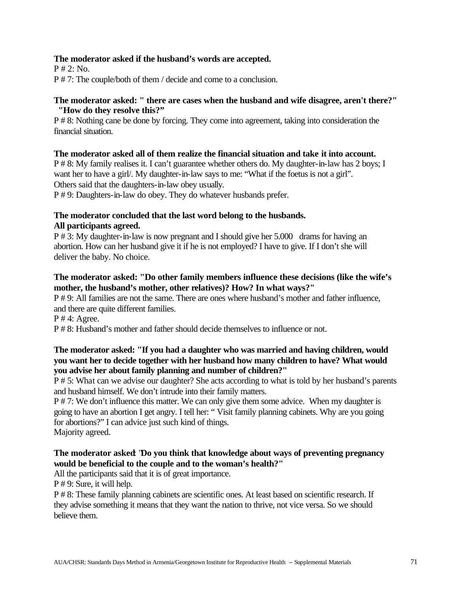### **The moderator asked if the husband's words are accepted.**

 $P \# 2$ : No. P # 7: The couple/both of them / decide and come to a conclusion.

### **The moderator asked: " there are cases when the husband and wife disagree, aren't there?" "How do they resolve this?"**

P # 8: Nothing cane be done by forcing. They come into agreement, taking into consideration the financial situation.

### **The moderator asked all of them realize the financial situation and take it into account.**

P # 8: My family realises it. I can't guarantee whether others do. My daughter-in-law has 2 boys; I want her to have a girl/. My daughter-in-law says to me: "What if the foetus is not a girl". Others said that the daughters-in-law obey usually.

P # 9: Daughters-in-law do obey. They do whatever husbands prefer.

### **The moderator concluded that the last word belong to the husbands. All participants agreed.**

P # 3: My daughter-in-law is now pregnant and I should give her 5.000 drams for having an abortion. How can her husband give it if he is not employed? I have to give. If I don't she will deliver the baby. No choice.

# **The moderator asked: "Do other family members influence these decisions (like the wife's mother, the husband's mother, other relatives)? How? In what ways?"**

P # 9: All families are not the same. There are ones where husband's mother and father influence, and there are quite different families.

P # 4: Agree.

P # 8: Husband's mother and father should decide themselves to influence or not.

# **The moderator asked: "If you had a daughter who was married and having children, would you want her to decide together with her husband how many children to have? What would you advise her about family planning and number of children?"**

P # 5: What can we advise our daughter? She acts according to what is told by her husband's parents and husband himself. We don't intrude into their family matters.

P # 7: We don't influence this matter. We can only give them some advice. When my daughter is going to have an abortion I get angry. I tell her: " Visit family planning cabinets. Why are you going for abortions?" I can advice just such kind of things. Majority agreed.

# **The moderator asked**: "**Do you think that knowledge about ways of preventing pregnancy would be beneficial to the couple and to the woman's health?"**

All the participants said that it is of great importance.

P # 9: Sure, it will help.

P # 8: These family planning cabinets are scientific ones. At least based on scientific research. If they advise something it means that they want the nation to thrive, not vice versa. So we should believe them.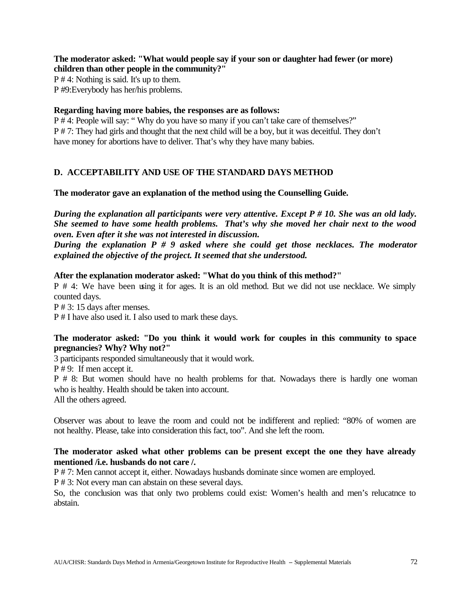**The moderator asked: "What would people say if your son or daughter had fewer (or more) children than other people in the community?"**

P # 4: Nothing is said. It's up to them. P #9:Everybody has her/his problems.

### **Regarding having more babies, the responses are as follows:**

P # 4: People will say: " Why do you have so many if you can't take care of themselves?" P # 7: They had girls and thought that the next child will be a boy, but it was deceitful. They don't have money for abortions have to deliver. That's why they have many babies.

# **D. ACCEPTABILITY AND USE OF THE STANDARD DAYS METHOD**

### **The moderator gave an explanation of the method using the Counselling Guide.**

*During the explanation all participants were very attentive. Except P # 10. She was an old lady. She seemed to have some health problems. That's why she moved her chair next to the wood oven. Even after it she was not interested in discussion.*

*During the explanation P # 9 asked where she could get those necklaces. The moderator explained the objective of the project. It seemed that she understood.*

### **After the explanation moderator asked: "What do you think of this method?"**

P # 4: We have been using it for ages. It is an old method. But we did not use necklace. We simply counted days.

P # 3: 15 days after menses.

P # I have also used it. I also used to mark these days.

### **The moderator asked: "Do you think it would work for couples in this community to space pregnancies? Why? Why not?"**

3 participants responded simultaneously that it would work.

P # 9: If men accept it.

P # 8: But women should have no health problems for that. Nowadays there is hardly one woman who is healthy. Health should be taken into account.

All the others agreed.

Observer was about to leave the room and could not be indifferent and replied: "80% of women are not healthy. Please, take into consideration this fact, too". And she left the room.

# **The moderator asked what other problems can be present except the one they have already mentioned /i.e. husbands do not care /.**

P # 7: Men cannot accept it, either. Nowadays husbands dominate since women are employed.

P # 3: Not every man can abstain on these several days.

So, the conclusion was that only two problems could exist: Women's health and men's relucatnce to abstain.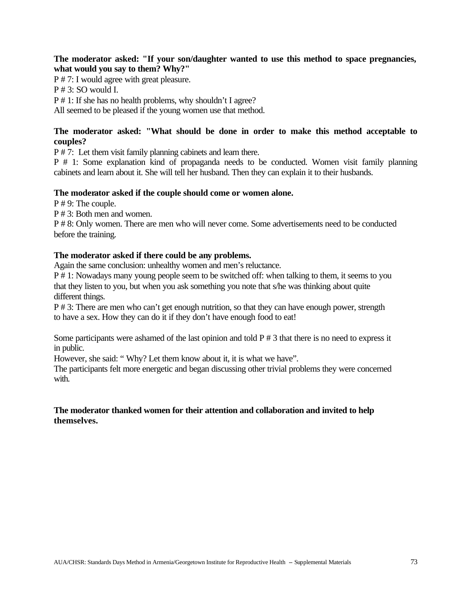### **The moderator asked: "If your son/daughter wanted to use this method to space pregnancies, what would you say to them? Why?"**

P # 7: I would agree with great pleasure. P # 3: SO would I. P # 1: If she has no health problems, why shouldn't I agree? All seemed to be pleased if the young women use that method.

# **The moderator asked: "What should be done in order to make this method acceptable to couples?**

P # 7: Let them visit family planning cabinets and learn there.

P # 1: Some explanation kind of propaganda needs to be conducted. Women visit family planning cabinets and learn about it. She will tell her husband. Then they can explain it to their husbands.

# **The moderator asked if the couple should come or women alone.**

P # 9: The couple.

P # 3: Both men and women.

P # 8: Only women. There are men who will never come. Some advertisements need to be conducted before the training.

# **The moderator asked if there could be any problems.**

Again the same conclusion: unhealthy women and men's reluctance.

P # 1: Nowadays many young people seem to be switched off: when talking to them, it seems to you that they listen to you, but when you ask something you note that s/he was thinking about quite different things.

P # 3: There are men who can't get enough nutrition, so that they can have enough power, strength to have a sex. How they can do it if they don't have enough food to eat!

Some participants were ashamed of the last opinion and told  $P \# 3$  that there is no need to express it in public.

However, she said: " Why? Let them know about it, it is what we have".

The participants felt more energetic and began discussing other trivial problems they were concerned with.

# **The moderator thanked women for their attention and collaboration and invited to help themselves.**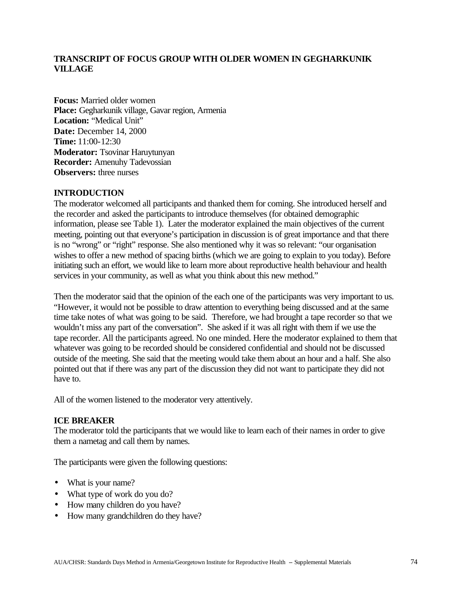# **TRANSCRIPT OF FOCUS GROUP WITH OLDER WOMEN IN GEGHARKUNIK VILLAGE**

**Focus:** Married older women **Place:** Gegharkunik village, Gavar region, Armenia Location: "Medical Unit" **Date:** December 14, 2000 **Time:** 11:00-12:30 **Moderator:** Tsovinar Haruytunyan **Recorder:** Amenuhy Tadevossian **Observers:** three nurses

### **INTRODUCTION**

The moderator welcomed all participants and thanked them for coming. She introduced herself and the recorder and asked the participants to introduce themselves (for obtained demographic information, please see Table 1). Later the moderator explained the main objectives of the current meeting, pointing out that everyone's participation in discussion is of great importance and that there is no "wrong" or "right" response. She also mentioned why it was so relevant: "our organisation wishes to offer a new method of spacing births (which we are going to explain to you today). Before initiating such an effort, we would like to learn more about reproductive health behaviour and health services in your community, as well as what you think about this new method."

Then the moderator said that the opinion of the each one of the participants was very important to us. "However, it would not be possible to draw attention to everything being discussed and at the same time take notes of what was going to be said. Therefore, we had brought a tape recorder so that we wouldn't miss any part of the conversation". She asked if it was all right with them if we use the tape recorder. All the participants agreed. No one minded. Here the moderator explained to them that whatever was going to be recorded should be considered confidential and should not be discussed outside of the meeting. She said that the meeting would take them about an hour and a half. She also pointed out that if there was any part of the discussion they did not want to participate they did not have to.

All of the women listened to the moderator very attentively.

### **ICE BREAKER**

The moderator told the participants that we would like to learn each of their names in order to give them a nametag and call them by names.

The participants were given the following questions:

- What is your name?
- What type of work do you do?
- How many children do you have?
- How many grandchildren do they have?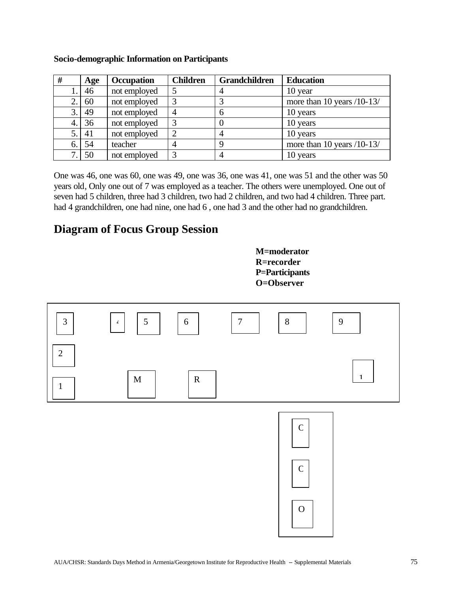| #  | Age | Occupation   | <b>Children</b> | <b>Grandchildren</b> | <b>Education</b>             |
|----|-----|--------------|-----------------|----------------------|------------------------------|
|    | 46  | not employed |                 | 4                    | 10 year                      |
|    | 60  | not employed |                 |                      | more than 10 years $/10-13/$ |
| 3. | 49  | not employed | 4               | 6                    | 10 years                     |
| 4. | 36  | not employed | 3               |                      | 10 years                     |
| 5. | 41  | not employed |                 |                      | 10 years                     |
| 6. | 54  | teacher      |                 | 9                    | more than 10 years $/10-13/$ |
|    | 50  | not employed |                 |                      | 10 years                     |

### **Socio-demographic Information on Participants**

One was 46, one was 60, one was 49, one was 36, one was 41, one was 51 and the other was 50 years old, Only one out of 7 was employed as a teacher. The others were unemployed. One out of seven had 5 children, three had 3 children, two had 2 children, and two had 4 children. Three part. had 4 grandchildren, one had nine, one had 6, one had 3 and the other had no grandchildren.

# **Diagram of Focus Group Session**



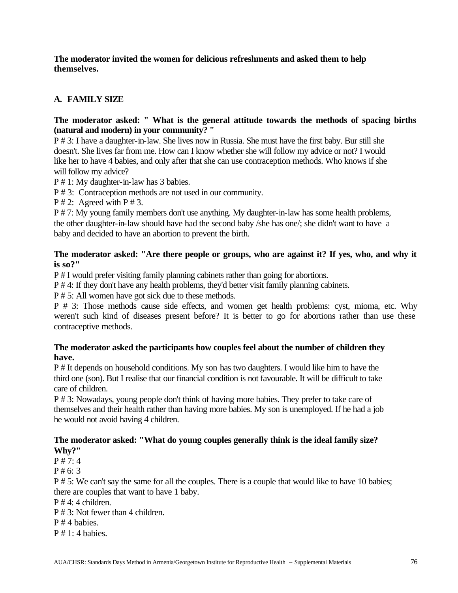**The moderator invited the women for delicious refreshments and asked them to help themselves.**

# **A. FAMILY SIZE**

# **The moderator asked: " What is the general attitude towards the methods of spacing births (natural and modern) in your community? "**

P # 3: I have a daughter-in-law. She lives now in Russia. She must have the first baby. Bur still she doesn't. She lives far from me. How can I know whether she will follow my advice or not? I would like her to have 4 babies, and only after that she can use contraception methods. Who knows if she will follow my advice?

P # 1: My daughter-in-law has 3 babies.

P # 3: Contraception methods are not used in our community.

 $P \# 2$ : Agreed with  $P \# 3$ .

P # 7: My young family members don't use anything. My daughter-in-law has some health problems, the other daughter-in-law should have had the second baby /she has one/; she didn't want to have a baby and decided to have an abortion to prevent the birth.

# **The moderator asked: "Are there people or groups, who are against it? If yes, who, and why it is so?"**

P # I would prefer visiting family planning cabinets rather than going for abortions.

P # 4: If they don't have any health problems, they'd better visit family planning cabinets.

P # 5: All women have got sick due to these methods.

P # 3: Those methods cause side effects, and women get health problems: cyst, mioma, etc. Why weren't such kind of diseases present before? It is better to go for abortions rather than use these contraceptive methods.

# **The moderator asked the participants how couples feel about the number of children they have.**

P # It depends on household conditions. My son has two daughters. I would like him to have the third one (son). But I realise that our financial condition is not favourable. It will be difficult to take care of children.

P # 3: Nowadays, young people don't think of having more babies. They prefer to take care of themselves and their health rather than having more babies. My son is unemployed. If he had a job he would not avoid having 4 children.

# **The moderator asked: "What do young couples generally think is the ideal family size? Why?"**

 $P \# 7:4$ 

P # 6: 3

P # 5: We can't say the same for all the couples. There is a couple that would like to have 10 babies; there are couples that want to have 1 baby.

P # 4: 4 children.

 $P \# 3$ : Not fewer than 4 children.

P # 4 babies.

 $P \# 1: 4$  babies.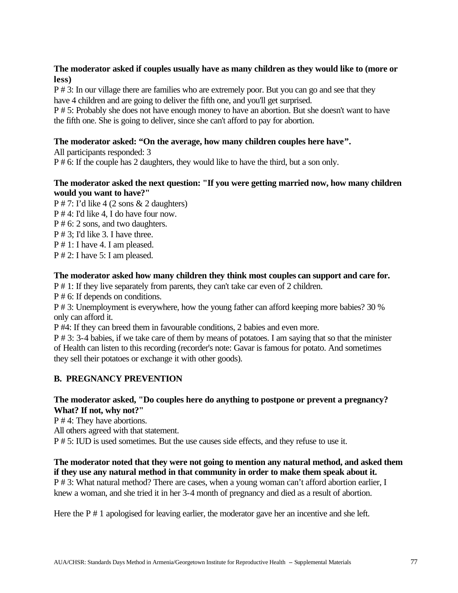# **The moderator asked if couples usually have as many children as they would like to (more or less)**

P # 3: In our village there are families who are extremely poor. But you can go and see that they have 4 children and are going to deliver the fifth one, and you'll get surprised.

P # 5: Probably she does not have enough money to have an abortion. But she doesn't want to have the fifth one. She is going to deliver, since she can't afford to pay for abortion.

# **The moderator asked: "On the average, how many children couples here have".**

All participants responded: 3 P # 6: If the couple has 2 daughters, they would like to have the third, but a son only.

# **The moderator asked the next question: "If you were getting married now, how many children would you want to have?"**

 $P \# 7$ : I'd like 4 (2 sons & 2 daughters)

- P # 4: I'd like 4, I do have four now.
- P # 6: 2 sons, and two daughters.
- P # 3; I'd like 3. I have three.
- P # 1: I have 4. I am pleased.
- P # 2: I have 5: I am pleased.

# **The moderator asked how many children they think most couples can support and care for.**

P # 1: If they live separately from parents, they can't take car even of 2 children.

P # 6: If depends on conditions.

P # 3: Unemployment is everywhere, how the young father can afford keeping more babies? 30 % only can afford it.

P #4: If they can breed them in favourable conditions, 2 babies and even more.

P # 3: 3-4 babies, if we take care of them by means of potatoes. I am saying that so that the minister of Health can listen to this recording (recorder's note: Gavar is famous for potato. And sometimes they sell their potatoes or exchange it with other goods).

# **B. PREGNANCY PREVENTION**

# **The moderator asked, "Do couples here do anything to postpone or prevent a pregnancy? What? If not, why not?"**

P # 4: They have abortions.

All others agreed with that statement.

P # 5: IUD is used sometimes. But the use causes side effects, and they refuse to use it.

# **The moderator noted that they were not going to mention any natural method, and asked them if they use any natural method in that community in order to make them speak about it.**

P # 3: What natural method? There are cases, when a young woman can't afford abortion earlier, I knew a woman, and she tried it in her 3-4 month of pregnancy and died as a result of abortion.

Here the P # 1 apologised for leaving earlier, the moderator gave her an incentive and she left.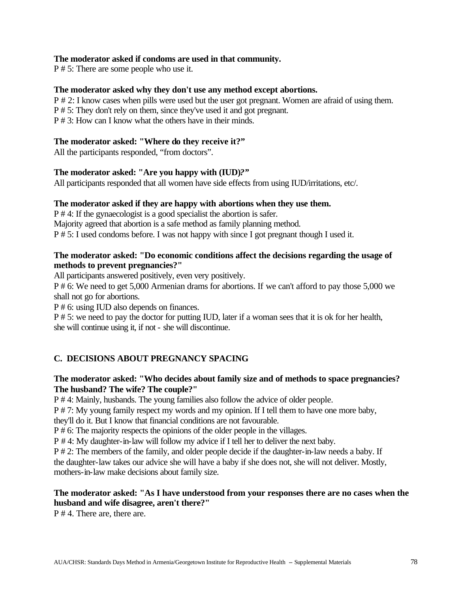### **The moderator asked if condoms are used in that community.**

P # 5: There are some people who use it.

### **The moderator asked why they don't use any method except abortions.**

P # 2: I know cases when pills were used but the user got pregnant. Women are afraid of using them. P # 5: They don't rely on them, since they've used it and got pregnant.

P # 3: How can I know what the others have in their minds.

# **The moderator asked: "Where do they receive it?"**

All the participants responded, "from doctors".

### **The moderator asked: "Are you happy with (IUD)***?"*

All participants responded that all women have side effects from using IUD/irritations, etc/.

### **The moderator asked if they are happy with abortions when they use them.**

P # 4: If the gynaecologist is a good specialist the abortion is safer. Majority agreed that abortion is a safe method as family planning method. P # 5: I used condoms before. I was not happy with since I got pregnant though I used it.

### **The moderator asked: "Do economic conditions affect the decisions regarding the usage of methods to prevent pregnancies?"**

All participants answered positively, even very positively.

P # 6: We need to get 5,000 Armenian drams for abortions. If we can't afford to pay those 5,000 we shall not go for abortions.

P # 6: using IUD also depends on finances.

P # 5: we need to pay the doctor for putting IUD, later if a woman sees that it is ok for her health, she will continue using it, if not - she will discontinue.

# **C. DECISIONS ABOUT PREGNANCY SPACING**

### **The moderator asked: "Who decides about family size and of methods to space pregnancies? The husband? The wife? The couple?"**

P # 4: Mainly, husbands. The young families also follow the advice of older people.

P # 7: My young family respect my words and my opinion. If I tell them to have one more baby,

they'll do it. But I know that financial conditions are not favourable.

P # 6: The majority respects the opinions of the older people in the villages.

P # 4: My daughter-in-law will follow my advice if I tell her to deliver the next baby.

P # 2: The members of the family, and older people decide if the daughter-in-law needs a baby. If the daughter-law takes our advice she will have a baby if she does not, she will not deliver. Mostly,

mothers-in-law make decisions about family size.

# **The moderator asked: "As I have understood from your responses there are no cases when the husband and wife disagree, aren't there?"**

P # 4. There are, there are.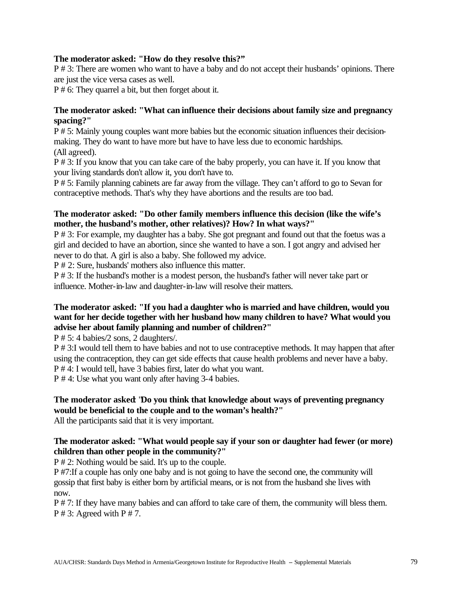### **The moderator asked: "How do they resolve this?"**

P # 3: There are women who want to have a baby and do not accept their husbands' opinions. There are just the vice versa cases as well.

P # 6: They quarrel a bit, but then forget about it.

### **The moderator asked: "What can influence their decisions about family size and pregnancy spacing?"**

P # 5: Mainly young couples want more babies but the economic situation influences their decisionmaking. They do want to have more but have to have less due to economic hardships. (All agreed).

P # 3: If you know that you can take care of the baby properly, you can have it. If you know that your living standards don't allow it, you don't have to.

P # 5: Family planning cabinets are far away from the village. They can't afford to go to Sevan for contraceptive methods. That's why they have abortions and the results are too bad.

### **The moderator asked: "Do other family members influence this decision (like the wife's mother, the husband's mother, other relatives)? How? In what ways?"**

P # 3: For example, my daughter has a baby. She got pregnant and found out that the foetus was a girl and decided to have an abortion, since she wanted to have a son. I got angry and advised her never to do that. A girl is also a baby. She followed my advice.

P # 2: Sure, husbands' mothers also influence this matter.

P # 3: If the husband's mother is a modest person, the husband's father will never take part or influence. Mother-in-law and daughter-in-law will resolve their matters.

### **The moderator asked: "If you had a daughter who is married and have children, would you want for her decide together with her husband how many children to have? What would you advise her about family planning and number of children?"**

P # 5: 4 babies/2 sons, 2 daughters/.

P # 3:I would tell them to have babies and not to use contraceptive methods. It may happen that after using the contraception, they can get side effects that cause health problems and never have a baby. P # 4: I would tell, have 3 babies first, later do what you want.

P # 4: Use what you want only after having 3-4 babies.

# **The moderator asked**: "**Do you think that knowledge about ways of preventing pregnancy would be beneficial to the couple and to the woman's health?"**

All the participants said that it is very important.

### **The moderator asked: "What would people say if your son or daughter had fewer (or more) children than other people in the community?"**

P # 2: Nothing would be said. It's up to the couple.

P #7:If a couple has only one baby and is not going to have the second one, the community will gossip that first baby is either born by artificial means, or is not from the husband she lives with now.

P # 7: If they have many babies and can afford to take care of them, the community will bless them.  $P \# 3$ : Agreed with  $P \# 7$ .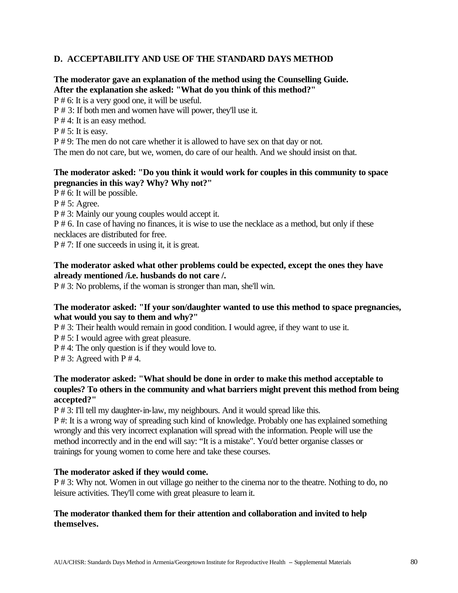# **D. ACCEPTABILITY AND USE OF THE STANDARD DAYS METHOD**

### **The moderator gave an explanation of the method using the Counselling Guide. After the explanation she asked: "What do you think of this method?"**

P # 6: It is a very good one, it will be useful.

P # 3: If both men and women have will power, they'll use it.

P # 4: It is an easy method.

 $P \# 5$ : It is easy.

P # 9: The men do not care whether it is allowed to have sex on that day or not.

The men do not care, but we, women, do care of our health. And we should insist on that.

# **The moderator asked: "Do you think it would work for couples in this community to space pregnancies in this way? Why? Why not?"**

P # 6: It will be possible.

P # 5: Agree.

P # 3: Mainly our young couples would accept it.

P # 6. In case of having no finances, it is wise to use the necklace as a method, but only if these necklaces are distributed for free.

P # 7: If one succeeds in using it, it is great.

### **The moderator asked what other problems could be expected, except the ones they have already mentioned /i.e. husbands do not care /.**

P # 3: No problems, if the woman is stronger than man, she'll win.

### **The moderator asked: "If your son/daughter wanted to use this method to space pregnancies, what would you say to them and why?"**

P # 3: Their health would remain in good condition. I would agree, if they want to use it.

P # 5: I would agree with great pleasure.

P # 4: The only question is if they would love to.

 $P \# 3$ : Agreed with  $P \# 4$ .

# **The moderator asked: "What should be done in order to make this method acceptable to couples? To others in the community and what barriers might prevent this method from being accepted?"**

P # 3: I'll tell my daughter-in-law, my neighbours. And it would spread like this.

P #: It is a wrong way of spreading such kind of knowledge. Probably one has explained something wrongly and this very incorrect explanation will spread with the information. People will use the method incorrectly and in the end will say: "It is a mistake". You'd better organise classes or trainings for young women to come here and take these courses.

### **The moderator asked if they would come.**

P # 3: Why not. Women in out village go neither to the cinema nor to the theatre. Nothing to do, no leisure activities. They'll come with great pleasure to learn it.

### **The moderator thanked them for their attention and collaboration and invited to help themselves.**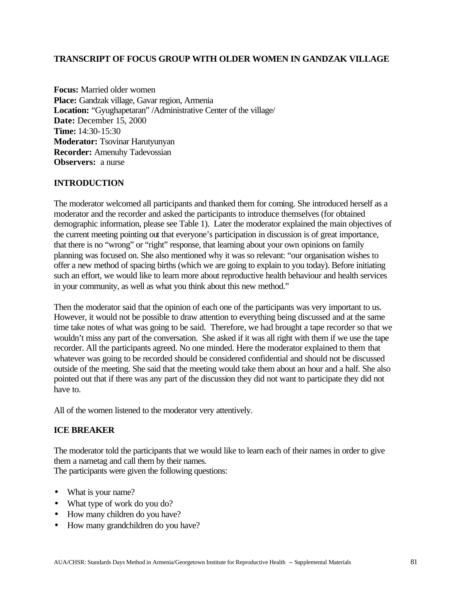### **TRANSCRIPT OF FOCUS GROUP WITH OLDER WOMEN IN GANDZAK VILLAGE**

**Focus:** Married older women **Place:** Gandzak village, Gavar region, Armenia **Location:** "Gyughapetaran" /Administrative Center of the village/ **Date:** December 15, 2000 **Time:** 14:30-15:30 **Moderator:** Tsovinar Harutyunyan **Recorder:** Amenuhy Tadevossian **Observers:** a nurse

# **INTRODUCTION**

The moderator welcomed all participants and thanked them for coming. She introduced herself as a moderator and the recorder and asked the participants to introduce themselves (for obtained demographic information, please see Table 1). Later the moderator explained the main objectives of the current meeting pointing out that everyone's participation in discussion is of great importance, that there is no "wrong" or "right" response, that learning about your own opinions on family planning was focused on. She also mentioned why it was so relevant: "our organisation wishes to offer a new method of spacing births (which we are going to explain to you today). Before initiating such an effort, we would like to learn more about reproductive health behaviour and health services in your community, as well as what you think about this new method."

Then the moderator said that the opinion of each one of the participants was very important to us. However, it would not be possible to draw attention to everything being discussed and at the same time take notes of what was going to be said. Therefore, we had brought a tape recorder so that we wouldn't miss any part of the conversation. She asked if it was all right with them if we use the tape recorder. All the participants agreed. No one minded. Here the moderator explained to them that whatever was going to be recorded should be considered confidential and should not be discussed outside of the meeting. She said that the meeting would take them about an hour and a half. She also pointed out that if there was any part of the discussion they did not want to participate they did not have to.

All of the women listened to the moderator very attentively.

### **ICE BREAKER**

The moderator told the participants that we would like to learn each of their names in order to give them a nametag and call them by their names. The participants were given the following questions:

- What is your name?
- What type of work do you do?
- How many children do you have?
- How many grandchildren do you have?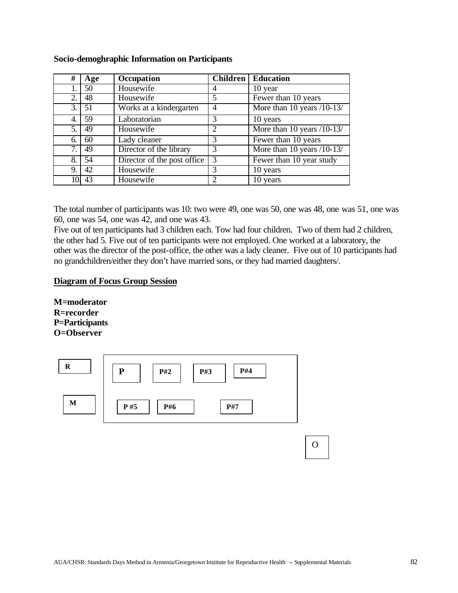| #   | Age | Occupation                  | <b>Children</b> | <b>Education</b>           |
|-----|-----|-----------------------------|-----------------|----------------------------|
|     | 50  | Housewife                   | 4               | 10 year                    |
| 2.  | 48  | Housewife                   | 5               | Fewer than $10$ years      |
| 3.1 | 51  | Works at a kindergarten     | $\overline{4}$  | More than 10 years /10-13/ |
| 4.  | 59  | Laboratorian                | 3               | 10 years                   |
| 5.  | 49  | Housewife                   | 2               | More than 10 years /10-13/ |
| 6.  | 60  | Lady cleaner                | $\mathcal{R}$   | Fewer than 10 years        |
| 7.  | 49  | Director of the library     | 3               | More than 10 years /10-13/ |
| 8.  | 54  | Director of the post office | 3               | Fewer than 10 year study   |
| 9.  | 42  | Housewife                   | 3               | 10 years                   |
| 10. | 43  | Housewife                   | 2               | 10 years                   |

### **Socio-demoghraphic Information on Participants**

The total number of participants was 10: two were 49, one was 50, one was 48, one was 51, one was 60, one was 54, one was 42, and one was 43.

Five out of ten participants had 3 children each. Tow had four children. Two of them had 2 children, the other had 5. Five out of ten participants were not employed. One worked at a laboratory, the other was the director of the post-office, the other was a lady cleaner. Five out of 10 participants had no grandchildren/either they don't have married sons, or they had married daughters/.

### **Diagram of Focus Group Session**

**M=moderator R=recorder P=Participants O=Observer**

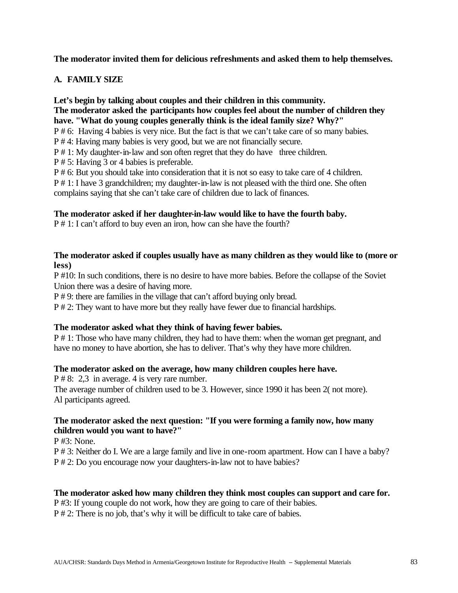**The moderator invited them for delicious refreshments and asked them to help themselves.**

# **A. FAMILY SIZE**

### **Let's begin by talking about couples and their children in this community. The moderator asked the participants how couples feel about the number of children they have. "What do young couples generally think is the ideal family size? Why?"**

P # 6: Having 4 babies is very nice. But the fact is that we can't take care of so many babies.

P # 4: Having many babies is very good, but we are not financially secure.

P # 1: My daughter-in-law and son often regret that they do have three children.

P # 5: Having 3 or 4 babies is preferable.

P # 6: But you should take into consideration that it is not so easy to take care of 4 children.

P # 1: I have 3 grandchildren; my daughter-in-law is not pleased with the third one. She often complains saying that she can't take care of children due to lack of finances.

### **The moderator asked if her daughter-in-law would like to have the fourth baby.**

P # 1: I can't afford to buy even an iron, how can she have the fourth?

### **The moderator asked if couples usually have as many children as they would like to (more or less)**

P #10: In such conditions, there is no desire to have more babies. Before the collapse of the Soviet Union there was a desire of having more.

P # 9: there are families in the village that can't afford buying only bread.

P # 2: They want to have more but they really have fewer due to financial hardships.

### **The moderator asked what they think of having fewer babies.**

P # 1: Those who have many children, they had to have them: when the woman get pregnant, and have no money to have abortion, she has to deliver. That's why they have more children.

### **The moderator asked on the average, how many children couples here have.**

P # 8: 2,3 in average. 4 is very rare number. The average number of children used to be 3. However, since 1990 it has been 2( not more). Al participants agreed.

### **The moderator asked the next question: "If you were forming a family now, how many children would you want to have?"**

P #3: None.

P # 3: Neither do I. We are a large family and live in one-room apartment. How can I have a baby? P # 2: Do you encourage now your daughters-in-law not to have babies?

### **The moderator asked how many children they think most couples can support and care for.**

P #3: If young couple do not work, how they are going to care of their babies.

P # 2: There is no job, that's why it will be difficult to take care of babies.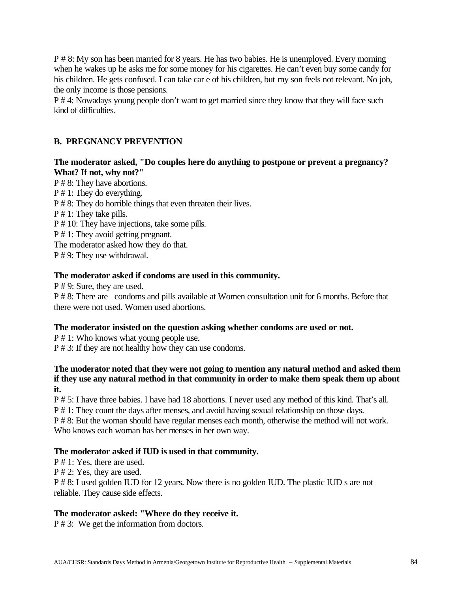P # 8: My son has been married for 8 years. He has two babies. He is unemployed. Every morning when he wakes up he asks me for some money for his cigarettes. He can't even buy some candy for his children. He gets confused. I can take car e of his children, but my son feels not relevant. No job, the only income is those pensions.

P # 4: Nowadays young people don't want to get married since they know that they will face such kind of difficulties.

# **B. PREGNANCY PREVENTION**

# **The moderator asked, "Do couples here do anything to postpone or prevent a pregnancy? What? If not, why not?"**

P # 8: They have abortions. P # 1: They do everything. P # 8: They do horrible things that even threaten their lives. P # 1: They take pills. P # 10: They have injections, take some pills. P # 1: They avoid getting pregnant. The moderator asked how they do that. P # 9: They use withdrawal.

# **The moderator asked if condoms are used in this community.**

P # 9: Sure, they are used.

P # 8: There are condoms and pills available at Women consultation unit for 6 months. Before that there were not used. Women used abortions.

### **The moderator insisted on the question asking whether condoms are used or not.**

P # 1: Who knows what young people use. P # 3: If they are not healthy how they can use condoms.

### **The moderator noted that they were not going to mention any natural method and asked them if they use any natural method in that community in order to make them speak them up about it.**

P # 5: I have three babies. I have had 18 abortions. I never used any method of this kind. That's all. P # 1: They count the days after menses, and avoid having sexual relationship on those days. P # 8: But the woman should have regular menses each month, otherwise the method will not work. Who knows each woman has her menses in her own way.

### **The moderator asked if IUD is used in that community.**

P # 1: Yes, there are used.

P # 2: Yes, they are used.

P # 8: I used golden IUD for 12 years. Now there is no golden IUD. The plastic IUD s are not reliable. They cause side effects.

### **The moderator asked: "Where do they receive it.**

P # 3: We get the information from doctors.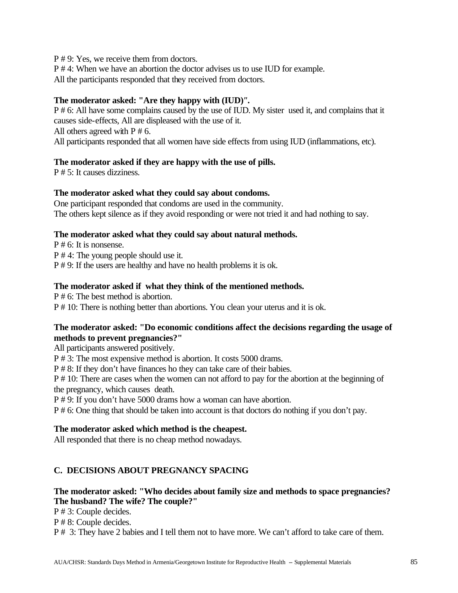P # 9: Yes, we receive them from doctors.

P # 4: When we have an abortion the doctor advises us to use IUD for example.

All the participants responded that they received from doctors.

### **The moderator asked: "Are they happy with (IUD)***".*

P # 6: All have some complains caused by the use of IUD. My sister used it, and complains that it causes side-effects, All are displeased with the use of it.

All others agreed with  $P \neq 6$ .

All participants responded that all women have side effects from using IUD (inflammations, etc).

# **The moderator asked if they are happy with the use of pills.**

P # 5: It causes dizziness.

# **The moderator asked what they could say about condoms.**

One participant responded that condoms are used in the community. The others kept silence as if they avoid responding or were not tried it and had nothing to say.

### **The moderator asked what they could say about natural methods.**

P # 6: It is nonsense. P # 4: The young people should use it. P # 9: If the users are healthy and have no health problems it is ok.

# **The moderator asked if what they think of the mentioned methods.**

P # 6: The best method is abortion.

P # 10: There is nothing better than abortions. You clean your uterus and it is ok.

# **The moderator asked: "Do economic conditions affect the decisions regarding the usage of methods to prevent pregnancies?"**

All participants answered positively.

P # 3: The most expensive method is abortion. It costs 5000 drams.

P # 8: If they don't have finances ho they can take care of their babies.

P # 10: There are cases when the women can not afford to pay for the abortion at the beginning of the pregnancy, which causes death.

P # 9: If you don't have 5000 drams how a woman can have abortion.

P # 6: One thing that should be taken into account is that doctors do nothing if you don't pay.

# **The moderator asked which method is the cheapest.**

All responded that there is no cheap method nowadays.

# **C. DECISIONS ABOUT PREGNANCY SPACING**

# **The moderator asked: "Who decides about family size and methods to space pregnancies? The husband? The wife? The couple?"**

P # 3: Couple decides.

P # 8: Couple decides.

P # 3: They have 2 babies and I tell them not to have more. We can't afford to take care of them.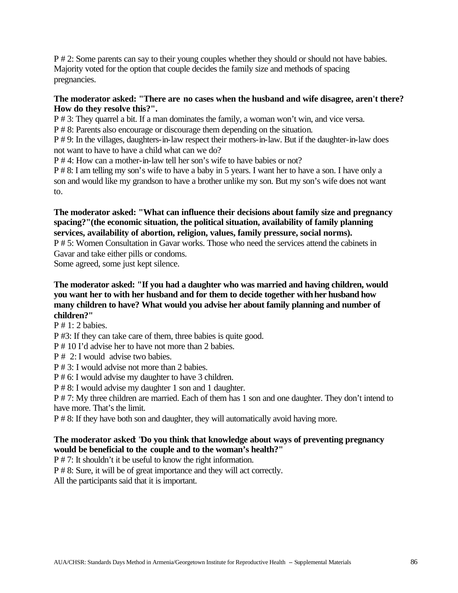P # 2: Some parents can say to their young couples whether they should or should not have babies. Majority voted for the option that couple decides the family size and methods of spacing pregnancies.

### **The moderator asked: "There are no cases when the husband and wife disagree, aren't there? How do they resolve this?".**

P # 3: They quarrel a bit. If a man dominates the family, a woman won't win, and vice versa.

P # 8: Parents also encourage or discourage them depending on the situation.

P # 9: In the villages, daughters-in-law respect their mothers-in-law. But if the daughter-in-law does not want to have to have a child what can we do?

P # 4: How can a mother-in-law tell her son's wife to have babies or not?

P # 8: I am telling my son's wife to have a baby in 5 years. I want her to have a son. I have only a son and would like my grandson to have a brother unlike my son. But my son's wife does not want to.

# **The moderator asked: "What can influence their decisions about family size and pregnancy spacing?"(the economic situation, the political situation, availability of family planning services, availability of abortion, religion, values, family pressure, social norms).**

P # 5: Women Consultation in Gavar works. Those who need the services attend the cabinets in Gavar and take either pills or condoms.

Some agreed, some just kept silence.

### **The moderator asked: "If you had a daughter who was married and having children, would you want her to with her husband and for them to decide together with her husband how many children to have? What would you advise her about family planning and number of children?"**

 $P \# 1: 2$  babies.

P #3: If they can take care of them, three babies is quite good.

P # 10 I'd advise her to have not more than 2 babies.

P # 2: I would advise two babies.

P # 3: I would advise not more than 2 babies.

P # 6: I would advise my daughter to have 3 children.

P # 8: I would advise my daughter 1 son and 1 daughter.

P # 7: My three children are married. Each of them has 1 son and one daughter. They don't intend to have more. That's the limit.

P # 8: If they have both son and daughter, they will automatically avoid having more.

# **The moderator asked**: "**Do you think that knowledge about ways of preventing pregnancy would be beneficial to the couple and to the woman's health?"**

P # 7: It shouldn't it be useful to know the right information.

P # 8: Sure, it will be of great importance and they will act correctly.

All the participants said that it is important.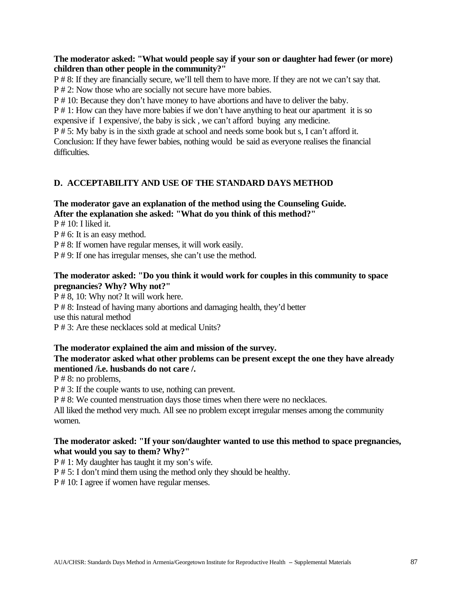# **The moderator asked: "What would people say if your son or daughter had fewer (or more) children than other people in the community?"**

P # 8: If they are financially secure, we'll tell them to have more. If they are not we can't say that. P # 2: Now those who are socially not secure have more babies.

P # 10: Because they don't have money to have abortions and have to deliver the baby.

P # 1: How can they have more babies if we don't have anything to heat our apartment it is so expensive if I expensive/, the baby is sick , we can't afford buying any medicine.

P # 5: My baby is in the sixth grade at school and needs some book but s, I can't afford it. Conclusion: If they have fewer babies, nothing would be said as everyone realises the financial difficulties.

# **D. ACCEPTABILITY AND USE OF THE STANDARD DAYS METHOD**

# **The moderator gave an explanation of the method using the Counseling Guide. After the explanation she asked: "What do you think of this method?"**

 $P \# 10: I$  liked it.

P # 6: It is an easy method.

P # 8: If women have regular menses, it will work easily.

P # 9: If one has irregular menses, she can't use the method.

### **The moderator asked: "Do you think it would work for couples in this community to space pregnancies? Why? Why not?"**

P # 8, 10: Why not? It will work here. P # 8: Instead of having many abortions and damaging health, they'd better use this natural method P # 3: Are these necklaces sold at medical Units?

### **The moderator explained the aim and mission of the survey.**

# **The moderator asked what other problems can be present except the one they have already mentioned /i.e. husbands do not care /.**

P # 8: no problems,

P # 3: If the couple wants to use, nothing can prevent.

P # 8: We counted menstruation days those times when there were no necklaces.

All liked the method very much. All see no problem except irregular menses among the community women.

### **The moderator asked: "If your son/daughter wanted to use this method to space pregnancies, what would you say to them? Why?"**

P # 1: My daughter has taught it my son's wife.

P # 5: I don't mind them using the method only they should be healthy.

P # 10: I agree if women have regular menses.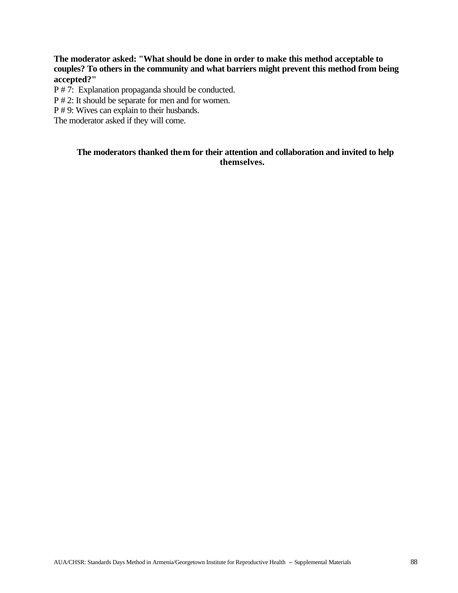**The moderator asked: "What should be done in order to make this method acceptable to couples? To others in the community and what barriers might prevent this method from being accepted?"**

P # 7: Explanation propaganda should be conducted.

P # 2: It should be separate for men and for women.

P # 9: Wives can explain to their husbands.

The moderator asked if they will come.

# **The moderators thanked them for their attention and collaboration and invited to help themselves.**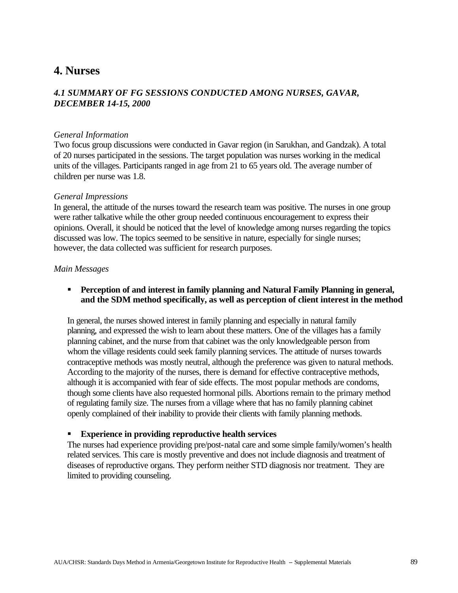# **4. Nurses**

# *4.1 SUMMARY OF FG SESSIONS CONDUCTED AMONG NURSES, GAVAR, DECEMBER 14-15, 2000*

### *General Information*

Two focus group discussions were conducted in Gavar region (in Sarukhan, and Gandzak). A total of 20 nurses participated in the sessions. The target population was nurses working in the medical units of the villages. Participants ranged in age from 21 to 65 years old. The average number of children per nurse was 1.8.

### *General Impressions*

In general, the attitude of the nurses toward the research team was positive. The nurses in one group were rather talkative while the other group needed continuous encouragement to express their opinions. Overall, it should be noticed that the level of knowledge among nurses regarding the topics discussed was low. The topics seemed to be sensitive in nature, especially for single nurses; however, the data collected was sufficient for research purposes.

### *Main Messages*

**Perception of and interest in family planning and Natural Family Planning in general, and the SDM method specifically, as well as perception of client interest in the method**

In general, the nurses showed interest in family planning and especially in natural family planning, and expressed the wish to learn about these matters. One of the villages has a family planning cabinet, and the nurse from that cabinet was the only knowledgeable person from whom the village residents could seek family planning services. The attitude of nurses towards contraceptive methods was mostly neutral, although the preference was given to natural methods. According to the majority of the nurses, there is demand for effective contraceptive methods, although it is accompanied with fear of side effects. The most popular methods are condoms, though some clients have also requested hormonal pills. Abortions remain to the primary method of regulating family size. The nurses from a village where that has no family planning cabinet openly complained of their inability to provide their clients with family planning methods.

### ß **Experience in providing reproductive health services**

The nurses had experience providing pre/post-natal care and some simple family/women's health related services. This care is mostly preventive and does not include diagnosis and treatment of diseases of reproductive organs. They perform neither STD diagnosis nor treatment. They are limited to providing counseling.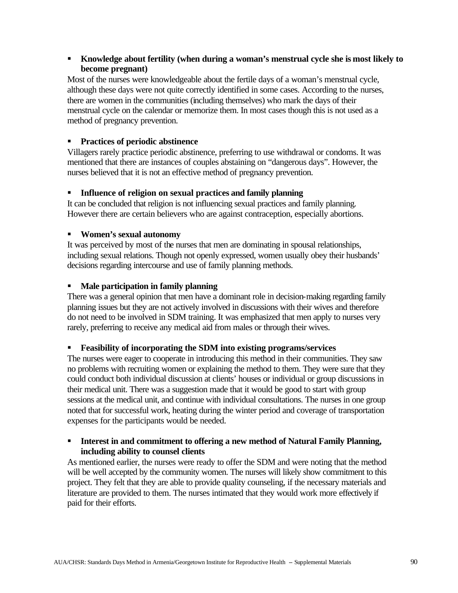# **K**howledge about fertility (when during a woman's menstrual cycle she is most likely to **become pregnant)**

Most of the nurses were knowledgeable about the fertile days of a woman's menstrual cycle, although these days were not quite correctly identified in some cases. According to the nurses, there are women in the communities (including themselves) who mark the days of their menstrual cycle on the calendar or memorize them. In most cases though this is not used as a method of pregnancy prevention.

# ß **Practices of periodic abstinence**

Villagers rarely practice periodic abstinence, preferring to use withdrawal or condoms. It was mentioned that there are instances of couples abstaining on "dangerous days". However, the nurses believed that it is not an effective method of pregnancy prevention.

# ß **Influence of religion on sexual practices and family planning**

It can be concluded that religion is not influencing sexual practices and family planning. However there are certain believers who are against contraception, especially abortions.

# ß **Women's sexual autonomy**

It was perceived by most of the nurses that men are dominating in spousal relationships, including sexual relations. Though not openly expressed, women usually obey their husbands' decisions regarding intercourse and use of family planning methods.

# **KMale participation in family planning**

There was a general opinion that men have a dominant role in decision-making regarding family planning issues but they are not actively involved in discussions with their wives and therefore do not need to be involved in SDM training. It was emphasized that men apply to nurses very rarely, preferring to receive any medical aid from males or through their wives.

### ß **Feasibility of incorporating the SDM into existing programs/services**

The nurses were eager to cooperate in introducing this method in their communities. They saw no problems with recruiting women or explaining the method to them. They were sure that they could conduct both individual discussion at clients' houses or individual or group discussions in their medical unit. There was a suggestion made that it would be good to start with group sessions at the medical unit, and continue with individual consultations. The nurses in one group noted that for successful work, heating during the winter period and coverage of transportation expenses for the participants would be needed.

### ß **Interest in and commitment to offering a new method of Natural Family Planning, including ability to counsel clients**

As mentioned earlier, the nurses were ready to offer the SDM and were noting that the method will be well accepted by the community women. The nurses will likely show commitment to this project. They felt that they are able to provide quality counseling, if the necessary materials and literature are provided to them. The nurses intimated that they would work more effectively if paid for their efforts.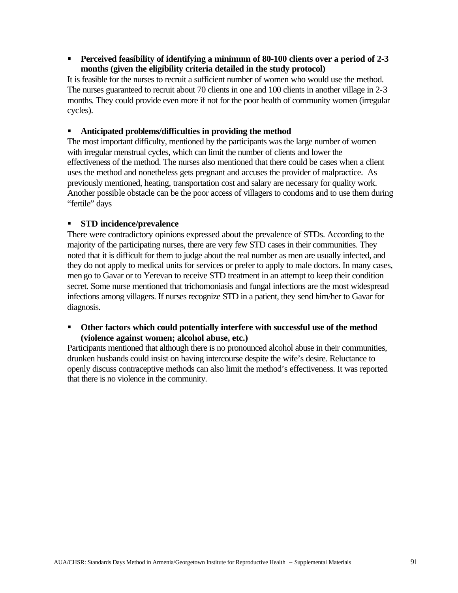# **Perceived feasibility of identifying a minimum of 80-100 clients over a period of 2-3 months (given the eligibility criteria detailed in the study protocol)**

It is feasible for the nurses to recruit a sufficient number of women who would use the method. The nurses guaranteed to recruit about 70 clients in one and 100 clients in another village in 2-3 months. They could provide even more if not for the poor health of community women (irregular cycles).

### **Anticipated problems/difficulties in providing the method**

The most important difficulty, mentioned by the participants was the large number of women with irregular menstrual cycles, which can limit the number of clients and lower the effectiveness of the method. The nurses also mentioned that there could be cases when a client uses the method and nonetheless gets pregnant and accuses the provider of malpractice. As previously mentioned, heating, transportation cost and salary are necessary for quality work. Another possible obstacle can be the poor access of villagers to condoms and to use them during "fertile" days

### ß **STD incidence/prevalence**

There were contradictory opinions expressed about the prevalence of STDs. According to the majority of the participating nurses, there are very few STD cases in their communities. They noted that it is difficult for them to judge about the real number as men are usually infected, and they do not apply to medical units for services or prefer to apply to male doctors. In many cases, men go to Gavar or to Yerevan to receive STD treatment in an attempt to keep their condition secret. Some nurse mentioned that trichomoniasis and fungal infections are the most widespread infections among villagers. If nurses recognize STD in a patient, they send him/her to Gavar for diagnosis.

### **• Other factors which could potentially interfere with successful use of the method (violence against women; alcohol abuse, etc.)**

Participants mentioned that although there is no pronounced alcohol abuse in their communities, drunken husbands could insist on having intercourse despite the wife's desire. Reluctance to openly discuss contraceptive methods can also limit the method's effectiveness. It was reported that there is no violence in the community.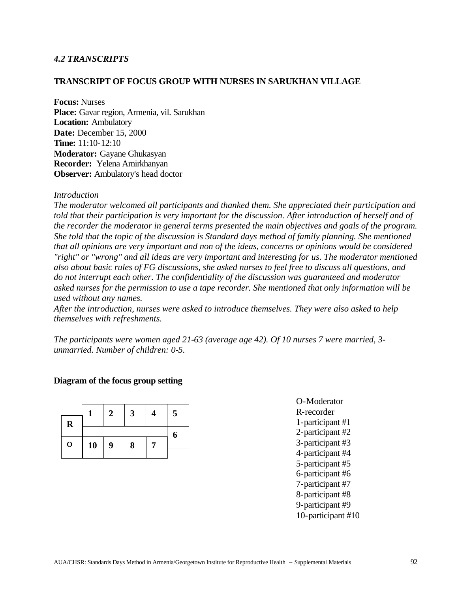### *4.2 TRANSCRIPTS*

### **TRANSCRIPT OF FOCUS GROUP WITH NURSES IN SARUKHAN VILLAGE**

**Focus:** Nurses **Place:** Gavar region, Armenia, vil. Sarukhan **Location:** Ambulatory **Date:** December 15, 2000 **Time:** 11:10-12:10 **Moderator:** Gayane Ghukasyan **Recorder:** Yelena Amirkhanyan **Observer:** Ambulatory's head doctor

#### *Introduction*

*The moderator welcomed all participants and thanked them. She appreciated their participation and told that their participation is very important for the discussion. After introduction of herself and of the recorder the moderator in general terms presented the main objectives and goals of the program. She told that the topic of the discussion is Standard days method of family planning. She mentioned that all opinions are very important and non of the ideas, concerns or opinions would be considered "right" or "wrong" and all ideas are very important and interesting for us. The moderator mentioned also about basic rules of FG discussions, she asked nurses to feel free to discuss all questions, and do not interrupt each other. The confidentiality of the discussion was guaranteed and moderator asked nurses for the permission to use a tape recorder. She mentioned that only information will be used without any names.*

*After the introduction, nurses were asked to introduce themselves. They were also asked to help themselves with refreshments.*

*The participants were women aged 21-63 (average age 42). Of 10 nurses 7 were married, 3 unmarried. Number of children: 0-5.*

### **Diagram of the focus group setting**



O-Moderator R-recorder 1-participant #1 2-participant #2 3-participant #3 4-participant #4 5-participant #5 6-participant #6 7-participant #7 8-participant #8 9-participant #9 10-participant #10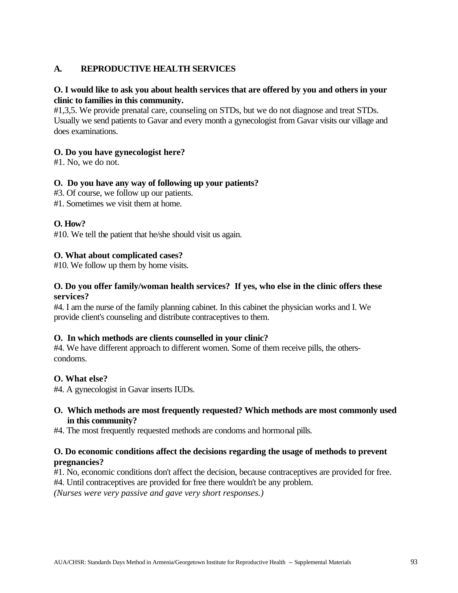# **A. REPRODUCTIVE HEALTH SERVICES**

# **O. I would like to ask you about health services that are offered by you and others in your clinic to families in this community.**

#1,3,5. We provide prenatal care, counseling on STDs, but we do not diagnose and treat STDs. Usually we send patients to Gavar and every month a gynecologist from Gavar visits our village and does examinations.

### **O. Do you have gynecologist here?**

#1. No, we do not.

### **O. Do you have any way of following up your patients?**

- #3. Of course, we follow up our patients.
- #1. Sometimes we visit them at home.

### **O. How?**

#10. We tell the patient that he/she should visit us again.

### **O. What about complicated cases?**

#10. We follow up them by home visits.

### **O. Do you offer family/woman health services? If yes, who else in the clinic offers these services?**

#4. I am the nurse of the family planning cabinet. In this cabinet the physician works and I. We provide client's counseling and distribute contraceptives to them.

### **O. In which methods are clients counselled in your clinic?**

#4. We have different approach to different women. Some of them receive pills, the otherscondoms.

### **O. What else?**

#4. A gynecologist in Gavar inserts IUDs.

### **O. Which methods are most frequently requested? Which methods are most commonly used in this community?**

#4. The most frequently requested methods are condoms and hormonal pills.

### **O. Do economic conditions affect the decisions regarding the usage of methods to prevent pregnancies?**

#1. No, economic conditions don't affect the decision, because contraceptives are provided for free.

#4. Until contraceptives are provided for free there wouldn't be any problem.

*(Nurses were very passive and gave very short responses.)*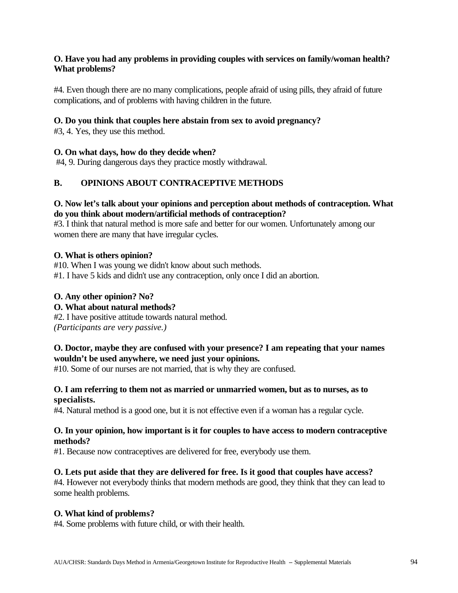# **O. Have you had any problems in providing couples with services on family/woman health? What problems?**

#4. Even though there are no many complications, people afraid of using pills, they afraid of future complications, and of problems with having children in the future.

# **O. Do you think that couples here abstain from sex to avoid pregnancy?**

#3, 4. Yes, they use this method.

# **O. On what days, how do they decide when?**

#4, 9. During dangerous days they practice mostly withdrawal.

# **B. OPINIONS ABOUT CONTRACEPTIVE METHODS**

# **O. Now let's talk about your opinions and perception about methods of contraception. What do you think about modern/artificial methods of contraception?**

#3. I think that natural method is more safe and better for our women. Unfortunately among our women there are many that have irregular cycles.

# **O. What is others opinion?**

#10. When I was young we didn't know about such methods. #1. I have 5 kids and didn't use any contraception, only once I did an abortion.

# **O. Any other opinion? No?**

# **O. What about natural methods?**

#2. I have positive attitude towards natural method. *(Participants are very passive.)*

# **O. Doctor, maybe they are confused with your presence? I am repeating that your names wouldn't be used anywhere, we need just your opinions.**

#10. Some of our nurses are not married, that is why they are confused.

### **O. I am referring to them not as married or unmarried women, but as to nurses, as to specialists.**

#4. Natural method is a good one, but it is not effective even if a woman has a regular cycle.

### **O. In your opinion, how important is it for couples to have access to modern contraceptive methods?**

#1. Because now contraceptives are delivered for free, everybody use them.

# **O. Lets put aside that they are delivered for free. Is it good that couples have access?**

#4. However not everybody thinks that modern methods are good, they think that they can lead to some health problems.

### **O. What kind of problems?**

#4. Some problems with future child, or with their health.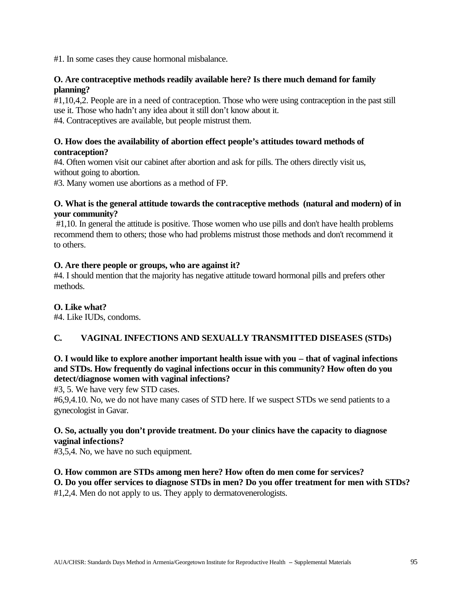#1. In some cases they cause hormonal misbalance.

### **O. Are contraceptive methods readily available here? Is there much demand for family planning?**

#1,10,4,2. People are in a need of contraception. Those who were using contraception in the past still use it. Those who hadn't any idea about it still don't know about it.

#4. Contraceptives are available, but people mistrust them.

# **O. How does the availability of abortion effect people's attitudes toward methods of contraception?**

#4. Often women visit our cabinet after abortion and ask for pills. The others directly visit us, without going to abortion.

#3. Many women use abortions as a method of FP.

# **O. What is the general attitude towards the contraceptive methods (natural and modern) of in your community?**

 #1,10. In general the attitude is positive. Those women who use pills and don't have health problems recommend them to others; those who had problems mistrust those methods and don't recommend it to others.

# **O. Are there people or groups, who are against it?**

#4. I should mention that the majority has negative attitude toward hormonal pills and prefers other methods.

# **O. Like what?**

#4. Like IUDs, condoms.

# **C. VAGINAL INFECTIONS AND SEXUALLY TRANSMITTED DISEASES (STDs)**

# **O. I would like to explore another important health issue with you – that of vaginal infections and STDs. How frequently do vaginal infections occur in this community? How often do you detect/diagnose women with vaginal infections?**

#3, 5. We have very few STD cases.

#6,9,4.10. No, we do not have many cases of STD here. If we suspect STDs we send patients to a gynecologist in Gavar.

# **O. So, actually you don't provide treatment. Do your clinics have the capacity to diagnose vaginal infections?**

#3,5,4. No, we have no such equipment.

# **O. How common are STDs among men here? How often do men come for services?**

**O. Do you offer services to diagnose STDs in men? Do you offer treatment for men with STDs?** #1,2,4. Men do not apply to us. They apply to dermatovenerologists.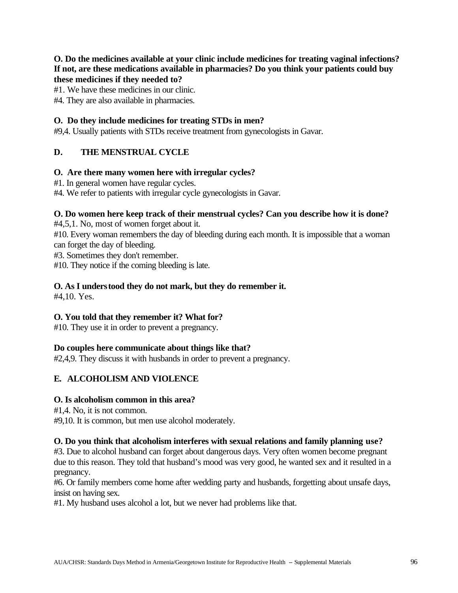### **O. Do the medicines available at your clinic include medicines for treating vaginal infections? If not, are these medications available in pharmacies? Do you think your patients could buy these medicines if they needed to?**

#1. We have these medicines in our clinic.

#4. They are also available in pharmacies.

### **O. Do they include medicines for treating STDs in men?**

#9,4. Usually patients with STDs receive treatment from gynecologists in Gavar.

# **D. THE MENSTRUAL CYCLE**

### **O. Are there many women here with irregular cycles?**

- #1. In general women have regular cycles.
- #4. We refer to patients with irregular cycle gynecologists in Gavar.

### **O. Do women here keep track of their menstrual cycles? Can you describe how it is done?**

#4,5,1. No, most of women forget about it.

#10. Every woman remembers the day of bleeding during each month. It is impossible that a woman can forget the day of bleeding.

#3. Sometimes they don't remember.

#10. They notice if the coming bleeding is late.

# **O. As I understood they do not mark, but they do remember it.**

#4,10. Yes.

### **O. You told that they remember it? What for?**

#10. They use it in order to prevent a pregnancy.

### **Do couples here communicate about things like that?**

#2,4,9. They discuss it with husbands in order to prevent a pregnancy.

# **E. ALCOHOLISM AND VIOLENCE**

### **O. Is alcoholism common in this area?**

#1,4. No, it is not common.

#9,10. It is common, but men use alcohol moderately.

### **O. Do you think that alcoholism interferes with sexual relations and family planning use?**

#3. Due to alcohol husband can forget about dangerous days. Very often women become pregnant due to this reason. They told that husband's mood was very good, he wanted sex and it resulted in a pregnancy.

#6. Or family members come home after wedding party and husbands, forgetting about unsafe days, insist on having sex.

#1. My husband uses alcohol a lot, but we never had problems like that.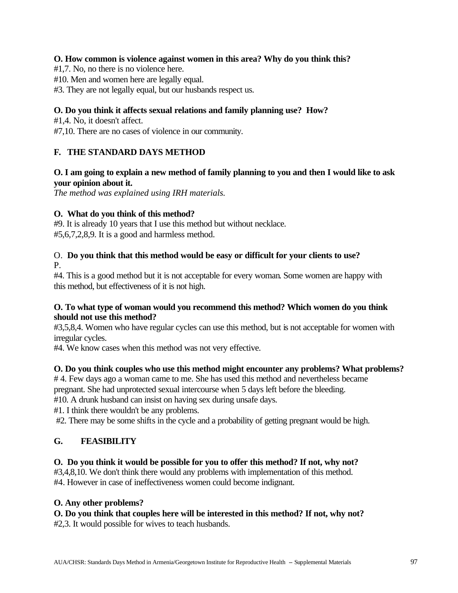# **O. How common is violence against women in this area? Why do you think this?**

#1,7. No, no there is no violence here.

#10. Men and women here are legally equal.

#3. They are not legally equal, but our husbands respect us.

# **O. Do you think it affects sexual relations and family planning use? How?**

#1,4. No, it doesn't affect.

#7,10. There are no cases of violence in our community.

# **F. THE STANDARD DAYS METHOD**

# **O. I am going to explain a new method of family planning to you and then I would like to ask your opinion about it.**

*The method was explained using IRH materials.*

# **O. What do you think of this method?**

#9. It is already 10 years that I use this method but without necklace. #5,6,7,2,8,9. It is a good and harmless method.

# O. **Do you think that this method would be easy or difficult for your clients to use?**  P.

#4. This is a good method but it is not acceptable for every woman. Some women are happy with this method, but effectiveness of it is not high.

# **O. To what type of woman would you recommend this method? Which women do you think should not use this method?**

#3,5,8,4. Women who have regular cycles can use this method, but is not acceptable for women with irregular cycles.

#4. We know cases when this method was not very effective.

# **O. Do you think couples who use this method might encounter any problems? What problems?**

# 4. Few days ago a woman came to me. She has used this method and nevertheless became

pregnant. She had unprotected sexual intercourse when 5 days left before the bleeding.

#10. A drunk husband can insist on having sex during unsafe days.

#1. I think there wouldn't be any problems.

#2. There may be some shifts in the cycle and a probability of getting pregnant would be high.

# **G. FEASIBILITY**

# **O. Do you think it would be possible for you to offer this method? If not, why not?**

#3,4,8,10. We don't think there would any problems with implementation of this method. #4. However in case of ineffectiveness women could become indignant.

### **O. Any other problems?**

**O. Do you think that couples here will be interested in this method? If not, why not?** #2,3. It would possible for wives to teach husbands.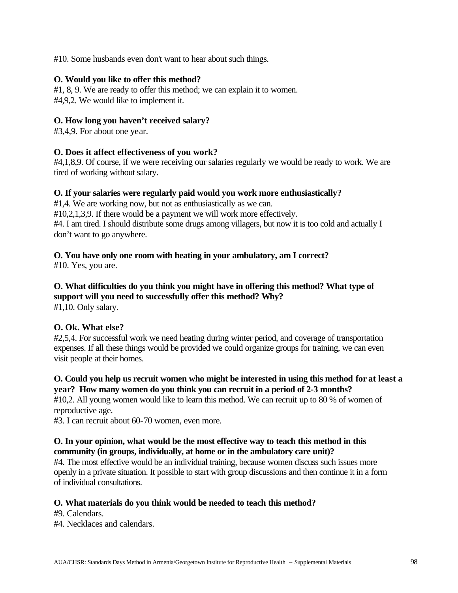#10. Some husbands even don't want to hear about such things.

### **O. Would you like to offer this method?**

#1, 8, 9. We are ready to offer this method; we can explain it to women. #4,9,2. We would like to implement it.

### **O. How long you haven't received salary?**

#3,4,9. For about one year.

### **O. Does it affect effectiveness of you work?**

#4,1,8,9. Of course, if we were receiving our salaries regularly we would be ready to work. We are tired of working without salary.

### **O. If your salaries were regularly paid would you work more enthusiastically?**

#1,4. We are working now, but not as enthusiastically as we can. #10,2,1,3,9. If there would be a payment we will work more effectively. #4. I am tired. I should distribute some drugs among villagers, but now it is too cold and actually I don't want to go anywhere.

# **O. You have only one room with heating in your ambulatory, am I correct?**

#10. Yes, you are.

# **O. What difficulties do you think you might have in offering this method? What type of support will you need to successfully offer this method? Why?**

#1,10. Only salary.

### **O. Ok. What else?**

#2,5,4. For successful work we need heating during winter period, and coverage of transportation expenses. If all these things would be provided we could organize groups for training, we can even visit people at their homes.

# **O. Could you help us recruit women who might be interested in using this method for at least a year? How many women do you think you can recruit in a period of 2-3 months?**

#10,2. All young women would like to learn this method. We can recruit up to 80 % of women of reproductive age.

#3. I can recruit about 60-70 women, even more.

### **O. In your opinion, what would be the most effective way to teach this method in this community (in groups, individually, at home or in the ambulatory care unit)?**

#4. The most effective would be an individual training, because women discuss such issues more openly in a private situation. It possible to start with group discussions and then continue it in a form of individual consultations.

### **O. What materials do you think would be needed to teach this method?**

#9. Calendars.

#4. Necklaces and calendars.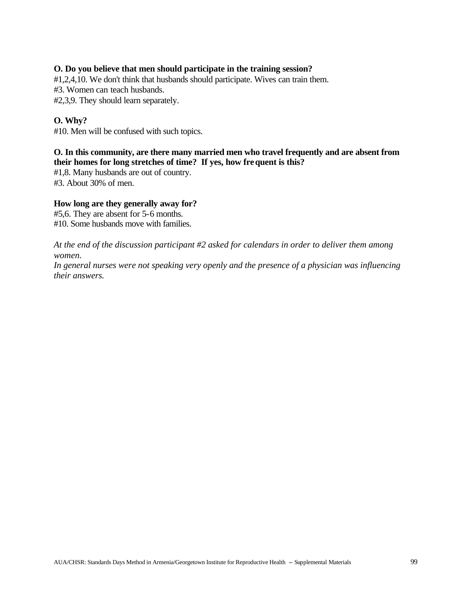### **O. Do you believe that men should participate in the training session?**

#1,2,4,10. We don't think that husbands should participate. Wives can train them.

#3. Women can teach husbands.

#2,3,9. They should learn separately.

# **O. Why?**

#10. Men will be confused with such topics.

# **O. In this community, are there many married men who travel frequently and are absent from their homes for long stretches of time? If yes, how frequent is this?**

#1,8. Many husbands are out of country. #3. About 30% of men.

### **How long are they generally away for?**

#5,6. They are absent for 5-6 months. #10. Some husbands move with families.

*At the end of the discussion participant #2 asked for calendars in order to deliver them among women.*

*In general nurses were not speaking very openly and the presence of a physician was influencing their answers.*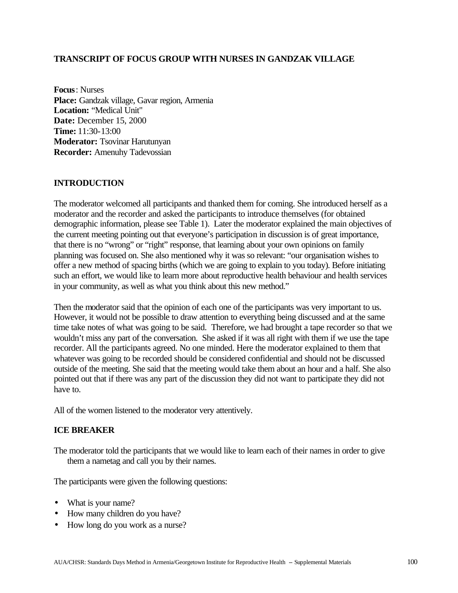### **TRANSCRIPT OF FOCUS GROUP WITH NURSES IN GANDZAK VILLAGE**

**Focus**: Nurses **Place:** Gandzak village, Gavar region, Armenia **Location:** "Medical Unit" **Date:** December 15, 2000 **Time:** 11:30-13:00 **Moderator:** Tsovinar Harutunyan **Recorder:** Amenuhy Tadevossian

### **INTRODUCTION**

The moderator welcomed all participants and thanked them for coming. She introduced herself as a moderator and the recorder and asked the participants to introduce themselves (for obtained demographic information, please see Table 1). Later the moderator explained the main objectives of the current meeting pointing out that everyone's participation in discussion is of great importance, that there is no "wrong" or "right" response, that learning about your own opinions on family planning was focused on. She also mentioned why it was so relevant: "our organisation wishes to offer a new method of spacing births (which we are going to explain to you today). Before initiating such an effort, we would like to learn more about reproductive health behaviour and health services in your community, as well as what you think about this new method."

Then the moderator said that the opinion of each one of the participants was very important to us. However, it would not be possible to draw attention to everything being discussed and at the same time take notes of what was going to be said. Therefore, we had brought a tape recorder so that we wouldn't miss any part of the conversation. She asked if it was all right with them if we use the tape recorder. All the participants agreed. No one minded. Here the moderator explained to them that whatever was going to be recorded should be considered confidential and should not be discussed outside of the meeting. She said that the meeting would take them about an hour and a half. She also pointed out that if there was any part of the discussion they did not want to participate they did not have to.

All of the women listened to the moderator very attentively.

### **ICE BREAKER**

The moderator told the participants that we would like to learn each of their names in order to give them a nametag and call you by their names.

The participants were given the following questions:

- What is your name?
- How many children do you have?
- How long do you work as a nurse?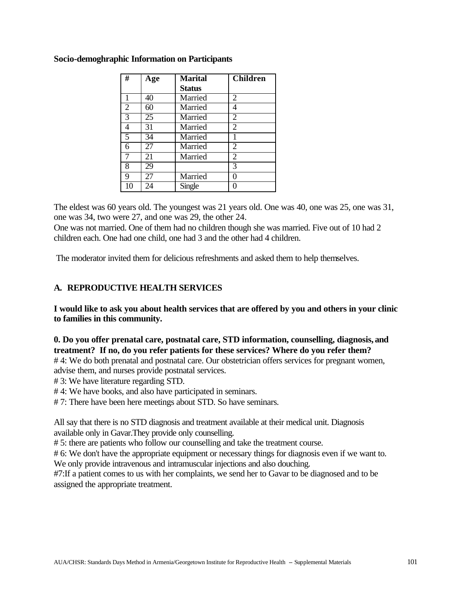| #              | Age | <b>Marital</b> | <b>Children</b> |
|----------------|-----|----------------|-----------------|
|                |     | <b>Status</b>  |                 |
| 1              | 40  | Married        | 2               |
| $\overline{2}$ | 60  | Married        | 4               |
| $\overline{3}$ | 25  | Married        | 2               |
| $\overline{4}$ | 31  | Married        | 2               |
| $\overline{5}$ | 34  | Married        |                 |
| 6              | 27  | Married        | 2               |
| 7              | 21  | Married        | $\overline{2}$  |
| 8              | 29  |                | 3               |
| 9              | 27  | Married        | 0               |
| 10             | 24  | Single         |                 |

### **Socio-demoghraphic Information on Participants**

The eldest was 60 years old. The youngest was 21 years old. One was 40, one was 25, one was 31, one was 34, two were 27, and one was 29, the other 24.

One was not married. One of them had no children though she was married. Five out of 10 had 2 children each. One had one child, one had 3 and the other had 4 children.

The moderator invited them for delicious refreshments and asked them to help themselves.

# **A. REPRODUCTIVE HEALTH SERVICES**

**I would like to ask you about health services that are offered by you and others in your clinic to families in this community.**

**0. Do you offer prenatal care, postnatal care, STD information, counselling, diagnosis, and treatment? If no, do you refer patients for these services? Where do you refer them?**

# 4: We do both prenatal and postnatal care. Our obstetrician offers services for pregnant women, advise them, and nurses provide postnatal services.

# 3: We have literature regarding STD.

# 4: We have books, and also have participated in seminars.

# 7: There have been here meetings about STD. So have seminars.

All say that there is no STD diagnosis and treatment available at their medical unit. Diagnosis available only in Gavar.They provide only counselling.

# 5: there are patients who follow our counselling and take the treatment course.

# 6: We don't have the appropriate equipment or necessary things for diagnosis even if we want to. We only provide intravenous and intramuscular injections and also douching.

#7:If a patient comes to us with her complaints, we send her to Gavar to be diagnosed and to be assigned the appropriate treatment.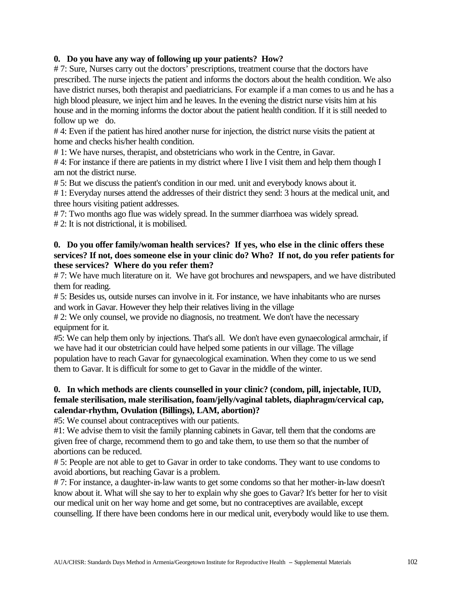### **0. Do you have any way of following up your patients? How?**

# 7: Sure, Nurses carry out the doctors' prescriptions, treatment course that the doctors have prescribed. The nurse injects the patient and informs the doctors about the health condition. We also have district nurses, both therapist and paediatricians. For example if a man comes to us and he has a high blood pleasure, we inject him and he leaves. In the evening the district nurse visits him at his house and in the morning informs the doctor about the patient health condition. If it is still needed to follow up we do.

# 4: Even if the patient has hired another nurse for injection, the district nurse visits the patient at home and checks his/her health condition.

# 1: We have nurses, therapist, and obstetricians who work in the Centre, in Gavar.

#4: For instance if there are patients in my district where I live I visit them and help them though I am not the district nurse.

# 5: But we discuss the patient's condition in our med. unit and everybody knows about it.

# 1: Everyday nurses attend the addresses of their district they send: 3 hours at the medical unit, and three hours visiting patient addresses.

# 7: Two months ago flue was widely spread. In the summer diarrhoea was widely spread. # 2: It is not districtional, it is mobilised.

### **0. Do you offer family/woman health services? If yes, who else in the clinic offers these services? If not, does someone else in your clinic do? Who? If not, do you refer patients for these services? Where do you refer them?**

# 7: We have much literature on it. We have got brochures and newspapers, and we have distributed them for reading.

# 5: Besides us, outside nurses can involve in it. For instance, we have inhabitants who are nurses and work in Gavar. However they help their relatives living in the village

# 2: We only counsel, we provide no diagnosis, no treatment. We don't have the necessary equipment for it.

#5: We can help them only by injections. That's all. We don't have even gynaecological armchair, if we have had it our obstetrician could have helped some patients in our village. The village population have to reach Gavar for gynaecological examination. When they come to us we send them to Gavar. It is difficult for some to get to Gavar in the middle of the winter.

# **0. In which methods are clients counselled in your clinic? (condom, pill, injectable, IUD, female sterilisation, male sterilisation, foam/jelly/vaginal tablets, diaphragm/cervical cap, calendar-rhythm, Ovulation (Billings), LAM, abortion)?**

#5: We counsel about contraceptives with our patients.

#1: We advise them to visit the family planning cabinets in Gavar, tell them that the condoms are given free of charge, recommend them to go and take them, to use them so that the number of abortions can be reduced.

# 5: People are not able to get to Gavar in order to take condoms. They want to use condoms to avoid abortions, but reaching Gavar is a problem.

# 7: For instance, a daughter-in-law wants to get some condoms so that her mother-in-law doesn't know about it. What will she say to her to explain why she goes to Gavar? It's better for her to visit our medical unit on her way home and get some, but no contraceptives are available, except counselling. If there have been condoms here in our medical unit, everybody would like to use them.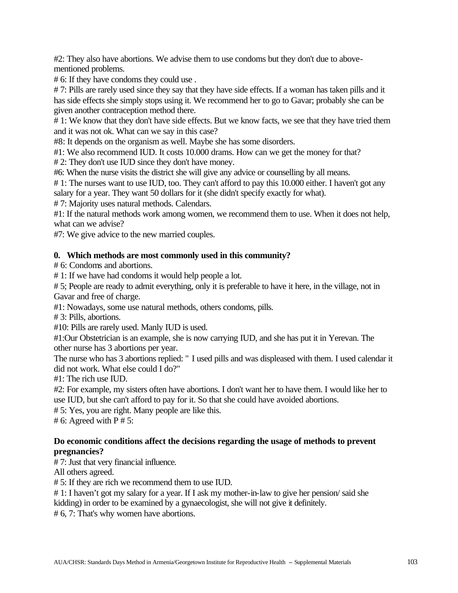#2: They also have abortions. We advise them to use condoms but they don't due to abovementioned problems.

# 6: If they have condoms they could use .

# 7: Pills are rarely used since they say that they have side effects. If a woman has taken pills and it has side effects she simply stops using it. We recommend her to go to Gavar; probably she can be given another contraception method there.

# 1: We know that they don't have side effects. But we know facts, we see that they have tried them and it was not ok. What can we say in this case?

#8: It depends on the organism as well. Maybe she has some disorders.

#1: We also recommend IUD. It costs 10.000 drams. How can we get the money for that?

# 2: They don't use IUD since they don't have money.

#6: When the nurse visits the district she will give any advice or counselling by all means.

# 1: The nurses want to use IUD, too. They can't afford to pay this 10.000 either. I haven't got any salary for a year. They want 50 dollars for it (she didn't specify exactly for what).

# 7: Majority uses natural methods. Calendars.

#1: If the natural methods work among women, we recommend them to use. When it does not help, what can we advise?

#7: We give advice to the new married couples.

# **0. Which methods are most commonly used in this community?**

# 6: Condoms and abortions.

# 1: If we have had condoms it would help people a lot.

# 5; People are ready to admit everything, only it is preferable to have it here, in the village, not in Gavar and free of charge.

#1: Nowadays, some use natural methods, others condoms, pills.

# 3: Pills, abortions.

#10: Pills are rarely used. Manly IUD is used.

#1:Our Obstetrician is an example, she is now carrying IUD, and she has put it in Yerevan. The other nurse has 3 abortions per year.

The nurse who has 3 abortions replied: " I used pills and was displeased with them. I used calendar it did not work. What else could I do?"

#1: The rich use IUD.

#2: For example, my sisters often have abortions. I don't want her to have them. I would like her to use IUD, but she can't afford to pay for it. So that she could have avoided abortions.

# 5: Yes, you are right. Many people are like this.

 $# 6$ : Agreed with P  $# 5$ :

# **Do economic conditions affect the decisions regarding the usage of methods to prevent pregnancies?**

# 7: Just that very financial influence.

All others agreed.

# 5: If they are rich we recommend them to use IUD.

# 1: I haven't got my salary for a year. If I ask my mother-in-law to give her pension/ said she

kidding) in order to be examined by a gynaecologist, she will not give it definitely.

# 6, 7: That's why women have abortions.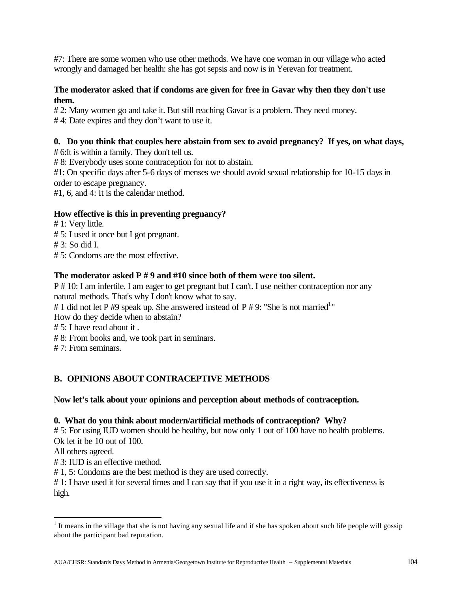#7: There are some women who use other methods. We have one woman in our village who acted wrongly and damaged her health: she has got sepsis and now is in Yerevan for treatment.

# **The moderator asked that if condoms are given for free in Gavar why then they don't use them.**

# 2: Many women go and take it. But still reaching Gavar is a problem. They need money.

# 4: Date expires and they don't want to use it.

# **0. Do you think that couples here abstain from sex to avoid pregnancy? If yes, on what days,**

# 6:It is within a family. They don't tell us.

# 8: Everybody uses some contraception for not to abstain.

#1: On specific days after 5-6 days of menses we should avoid sexual relationship for 10-15 days in order to escape pregnancy.

#1, 6, and 4: It is the calendar method.

# **How effective is this in preventing pregnancy?**

# 1: Very little.

# 5: I used it once but I got pregnant.

# 3: So did I.

# 5: Condoms are the most effective.

# **The moderator asked P # 9 and #10 since both of them were too silent.**

P # 10: I am infertile. I am eager to get pregnant but I can't. I use neither contraception nor any natural methods. That's why I don't know what to say.

# 1 did not let P #9 speak up. She answered instead of P # 9: "She is not married<sup>1</sup>"

How do they decide when to abstain?

# 5: I have read about it .

# 8: From books and, we took part in seminars.

# 7: From seminars.

# **B. OPINIONS ABOUT CONTRACEPTIVE METHODS**

# **Now let's talk about your opinions and perception about methods of contraception.**

# **0. What do you think about modern/artificial methods of contraception? Why?**

# 5: For using IUD women should be healthy, but now only 1 out of 100 have no health problems. Ok let it be 10 out of 100.

All others agreed.

 $\overline{a}$ 

# 3: IUD is an effective method.

# 1, 5: Condoms are the best method is they are used correctly.

# 1: I have used it for several times and I can say that if you use it in a right way, its effectiveness is high.

 $1$  It means in the village that she is not having any sexual life and if she has spoken about such life people will gossip about the participant bad reputation.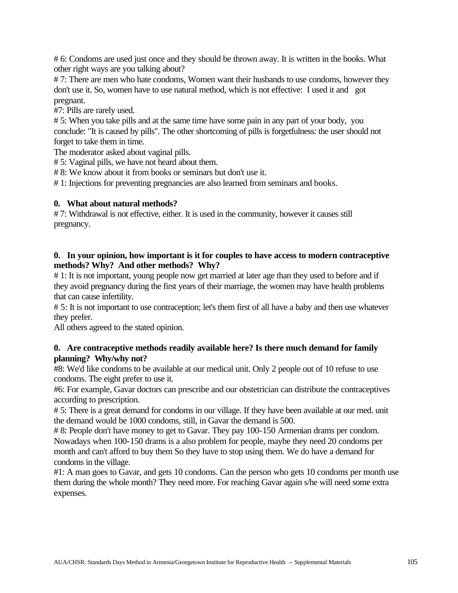# 6: Condoms are used just once and they should be thrown away. It is written in the books. What other right ways are you talking about?

# 7: There are men who hate condoms, Women want their husbands to use condoms, however they don't use it. So, women have to use natural method, which is not effective: I used it and got pregnant.

#7: Pills are rarely used.

# 5: When you take pills and at the same time have some pain in any part of your body, you conclude: "It is caused by pills". The other shortcoming of pills is forgetfulness: the user should not forget to take them in time.

The moderator asked about vaginal pills.

# 5: Vaginal pills, we have not heard about them.

# 8: We know about it from books or seminars but don't use it.

# 1: Injections for preventing pregnancies are also learned from seminars and books.

### **0. What about natural methods?**

# 7: Withdrawal is not effective, either. It is used in the community, however it causes still pregnancy.

### **0. In your opinion, how important is it for couples to have access to modern contraceptive methods? Why? And other methods? Why?**

# 1: It is not important, young people now get married at later age than they used to before and if they avoid pregnancy during the first years of their marriage, the women may have health problems that can cause infertility.

# 5: It is not important to use contraception; let's them first of all have a baby and then use whatever they prefer.

All others agreed to the stated opinion.

# **0. Are contraceptive methods readily available here? Is there much demand for family planning? Why/why not?**

#8: We'd like condoms to be available at our medical unit. Only 2 people out of 10 refuse to use condoms. The eight prefer to use it.

#6: For example, Gavar doctors can prescribe and our obstetrician can distribute the contraceptives according to prescription.

# 5: There is a great demand for condoms in our village. If they have been available at our med. unit the demand would be 1000 condoms, still, in Gavar the demand is 500.

# 8: People don't have money to get to Gavar. They pay 100-150 Armenian drams per condom. Nowadays when 100-150 drams is a also problem for people, maybe they need 20 condoms per month and can't afford to buy them So they have to stop using them. We do have a demand for condoms in the village.

#1: A man goes to Gavar, and gets 10 condoms. Can the person who gets 10 condoms per month use them during the whole month? They need more. For reaching Gavar again s/he will need some extra expenses.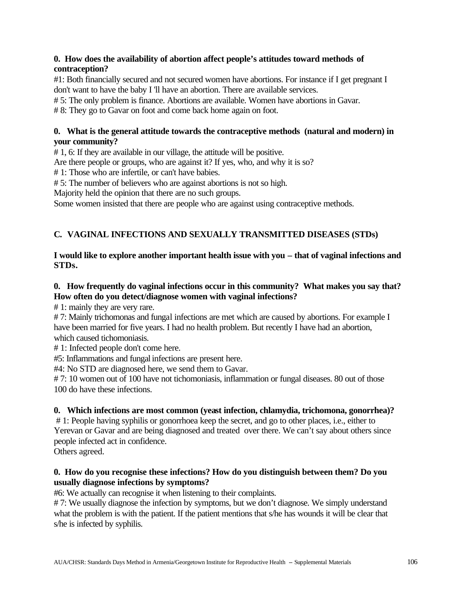# **0. How does the availability of abortion affect people's attitudes toward methods of contraception?**

#1: Both financially secured and not secured women have abortions. For instance if I get pregnant I don't want to have the baby I 'll have an abortion. There are available services.

# 5: The only problem is finance. Abortions are available. Women have abortions in Gavar.

# 8: They go to Gavar on foot and come back home again on foot.

# **0. What is the general attitude towards the contraceptive methods (natural and modern) in your community?**

# 1, 6: If they are available in our village, the attitude will be positive.

Are there people or groups, who are against it? If yes, who, and why it is so?

# 1: Those who are infertile, or can't have babies.

# 5: The number of believers who are against abortions is not so high.

Majority held the opinion that there are no such groups.

Some women insisted that there are people who are against using contraceptive methods.

# **C. VAGINAL INFECTIONS AND SEXUALLY TRANSMITTED DISEASES (STDs)**

# **I would like to explore another important health issue with you – that of vaginal infections and STDs.**

# **0. How frequently do vaginal infections occur in this community? What makes you say that? How often do you detect/diagnose women with vaginal infections?**

# 1: mainly they are very rare.

#7: Mainly trichomonas and fungal infections are met which are caused by abortions. For example I have been married for five years. I had no health problem. But recently I have had an abortion, which caused tichomoniasis.

# 1: Infected people don't come here.

#5: Inflammations and fungal infections are present here.

#4: No STD are diagnosed here, we send them to Gavar.

# 7: 10 women out of 100 have not tichomoniasis, inflammation or fungal diseases. 80 out of those 100 do have these infections.

# **0. Which infections are most common (yeast infection, chlamydia, trichomona, gonorrhea)?**

# 1: People having syphilis or gonorrhoea keep the secret, and go to other places, i.e., either to Yerevan or Gavar and are being diagnosed and treated over there. We can't say about others since people infected act in confidence.

Others agreed.

# **0. How do you recognise these infections? How do you distinguish between them? Do you usually diagnose infections by symptoms?**

#6: We actually can recognise it when listening to their complaints.

# 7: We usually diagnose the infection by symptoms, but we don't diagnose. We simply understand what the problem is with the patient. If the patient mentions that s/he has wounds it will be clear that s/he is infected by syphilis.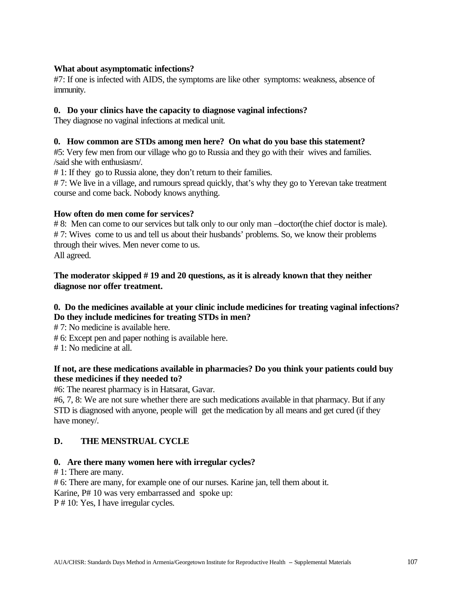#### **What about asymptomatic infections?**

#7: If one is infected with AIDS, the symptoms are like other symptoms: weakness, absence of immunity.

#### **0. Do your clinics have the capacity to diagnose vaginal infections?**

They diagnose no vaginal infections at medical unit.

#### **0. How common are STDs among men here? On what do you base this statement?**

#5: Very few men from our village who go to Russia and they go with their wives and families. /said she with enthusiasm/.

# 1: If they go to Russia alone, they don't return to their families.

# 7: We live in a village, and rumours spread quickly, that's why they go to Yerevan take treatment course and come back. Nobody knows anything.

#### **How often do men come for services?**

# 8: Men can come to our services but talk only to our only man –doctor(the chief doctor is male). # 7: Wives come to us and tell us about their husbands' problems. So, we know their problems through their wives. Men never come to us. All agreed.

#### **The moderator skipped # 19 and 20 questions, as it is already known that they neither diagnose nor offer treatment.**

#### **0. Do the medicines available at your clinic include medicines for treating vaginal infections? Do they include medicines for treating STDs in men?**

# 7: No medicine is available here.

# 6: Except pen and paper nothing is available here.

# 1: No medicine at all.

#### **If not, are these medications available in pharmacies? Do you think your patients could buy these medicines if they needed to?**

#6: The nearest pharmacy is in Hatsarat, Gavar.

#6, 7, 8: We are not sure whether there are such medications available in that pharmacy. But if any STD is diagnosed with anyone, people will get the medication by all means and get cured (if they have money/.

#### **D. THE MENSTRUAL CYCLE**

#### **0. Are there many women here with irregular cycles?**

# 1: There are many.

# 6: There are many, for example one of our nurses. Karine jan, tell them about it.

Karine, P# 10 was very embarrassed and spoke up:

P # 10: Yes, I have irregular cycles.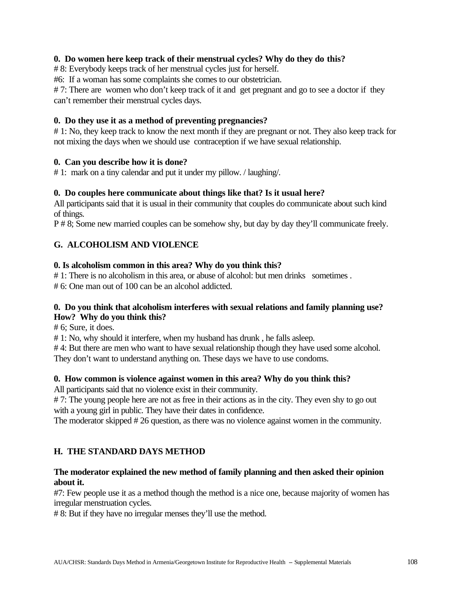#### **0. Do women here keep track of their menstrual cycles? Why do they do this?**

# 8: Everybody keeps track of her menstrual cycles just for herself.

#6: If a woman has some complaints she comes to our obstetrician.

#7: There are women who don't keep track of it and get pregnant and go to see a doctor if they can't remember their menstrual cycles days.

#### **0. Do they use it as a method of preventing pregnancies?**

# 1: No, they keep track to know the next month if they are pregnant or not. They also keep track for not mixing the days when we should use contraception if we have sexual relationship.

#### **0. Can you describe how it is done?**

# 1: mark on a tiny calendar and put it under my pillow. / laughing/.

#### **0. Do couples here communicate about things like that? Is it usual here?**

All participants said that it is usual in their community that couples do communicate about such kind of things.

P # 8; Some new married couples can be somehow shy, but day by day they'll communicate freely.

#### **G. ALCOHOLISM AND VIOLENCE**

#### **0. Is alcoholism common in this area? Why do you think this?**

# 1: There is no alcoholism in this area, or abuse of alcohol: but men drinks sometimes . # 6: One man out of 100 can be an alcohol addicted.

#### **0. Do you think that alcoholism interferes with sexual relations and family planning use? How? Why do you think this?**

# 6; Sure, it does.

# 1: No, why should it interfere, when my husband has drunk , he falls asleep.

#4: But there are men who want to have sexual relationship though they have used some alcohol. They don't want to understand anything on. These days we have to use condoms.

#### **0. How common is violence against women in this area? Why do you think this?**

All participants said that no violence exist in their community.

# 7: The young people here are not as free in their actions as in the city. They even shy to go out with a young girl in public. They have their dates in confidence.

The moderator skipped # 26 question, as there was no violence against women in the community.

#### **H. THE STANDARD DAYS METHOD**

#### **The moderator explained the new method of family planning and then asked their opinion about it.**

#7: Few people use it as a method though the method is a nice one, because majority of women has irregular menstruation cycles.

# 8: But if they have no irregular menses they'll use the method.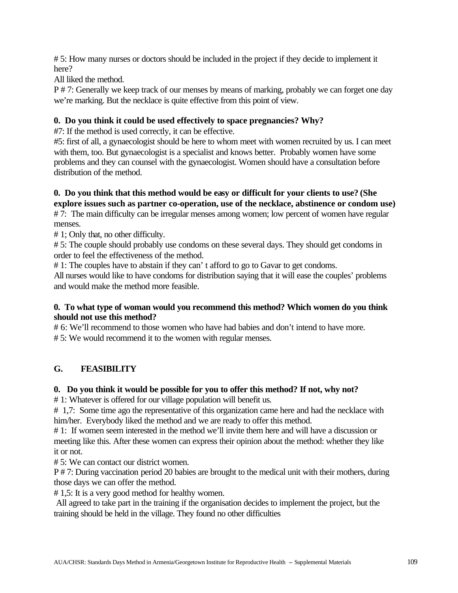# 5: How many nurses or doctors should be included in the project if they decide to implement it here?

All liked the method.

P # 7: Generally we keep track of our menses by means of marking, probably we can forget one day we're marking. But the necklace is quite effective from this point of view.

#### **0. Do you think it could be used effectively to space pregnancies? Why?**

#7: If the method is used correctly, it can be effective.

#5: first of all, a gynaecologist should be here to whom meet with women recruited by us. I can meet with them, too. But gynaecologist is a specialist and knows better. Probably women have some problems and they can counsel with the gynaecologist. Women should have a consultation before distribution of the method.

#### **0. Do you think that this method would be easy or difficult for your clients to use? (She explore issues such as partner co-operation, use of the necklace, abstinence or condom use)**

# 7: The main difficulty can be irregular menses among women; low percent of women have regular menses.

# 1; Only that, no other difficulty.

# 5: The couple should probably use condoms on these several days. They should get condoms in order to feel the effectiveness of the method.

# 1: The couples have to abstain if they can' t afford to go to Gavar to get condoms.

All nurses would like to have condoms for distribution saying that it will ease the couples' problems and would make the method more feasible.

#### **0. To what type of woman would you recommend this method? Which women do you think should not use this method?**

# 6: We'll recommend to those women who have had babies and don't intend to have more. # 5: We would recommend it to the women with regular menses.

### **G. FEASIBILITY**

#### **0. Do you think it would be possible for you to offer this method? If not, why not?**

# 1: Whatever is offered for our village population will benefit us.

# 1,7: Some time ago the representative of this organization came here and had the necklace with him/her. Everybody liked the method and we are ready to offer this method.

# 1: If women seem interested in the method we'll invite them here and will have a discussion or meeting like this. After these women can express their opinion about the method: whether they like it or not.

# 5: We can contact our district women.

P # 7: During vaccination period 20 babies are brought to the medical unit with their mothers, during those days we can offer the method.

# 1,5: It is a very good method for healthy women.

 All agreed to take part in the training if the organisation decides to implement the project, but the training should be held in the village. They found no other difficulties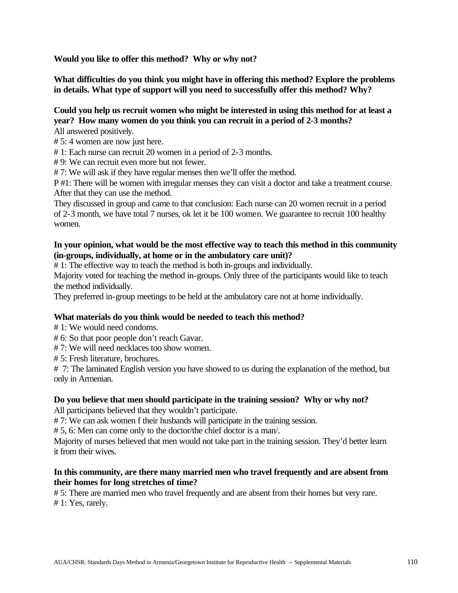**Would you like to offer this method? Why or why not?**

**What difficulties do you think you might have in offering this method? Explore the problems in details. What type of support will you need to successfully offer this method? Why?**

#### **Could you help us recruit women who might be interested in using this method for at least a year? How many women do you think you can recruit in a period of 2-3 months?**

All answered positively.

# 5: 4 women are now just here.

# 1: Each nurse can recruit 20 women in a period of 2-3 months.

# 9: We can recruit even more but not fewer.

# 7: We will ask if they have regular menses then we'll offer the method.

P #1: There will be women with irregular menses they can visit a doctor and take a treatment course. After that they can use the method.

They discussed in group and came to that conclusion: Each nurse can 20 women recruit in a period of 2-3 month, we have total 7 nurses, ok let it be 100 women. We guarantee to recruit 100 healthy women.

#### **In your opinion, what would be the most effective way to teach this method in this community (in-groups, individually, at home or in the ambulatory care unit)?**

# 1: The effective way to teach the method is both in-groups and individually.

Majority voted for teaching the method in-groups. Only three of the participants would like to teach the method individually.

They preferred in-group meetings to be held at the ambulatory care not at home individually.

#### **What materials do you think would be needed to teach this method?**

# 1: We would need condoms.

# 6: So that poor people don't reach Gavar.

# 7: We will need necklaces too show women.

# 5: Fresh literature, brochures.

# 7: The laminated English version you have showed to us during the explanation of the method, but only in Armenian.

#### **Do you believe that men should participate in the training session? Why or why not?**

All participants believed that they wouldn't participate.

# 7: We can ask women f their husbands will participate in the training session.

# 5, 6: Men can come only to the doctor/the chief doctor is a man/.

Majority of nurses believed that men would not take part in the training session. They'd better learn it from their wives.

#### **In this community, are there many married men who travel frequently and are absent from their homes for long stretches of time?**

# 5: There are married men who travel frequently and are absent from their homes but very rare. # 1: Yes, rarely.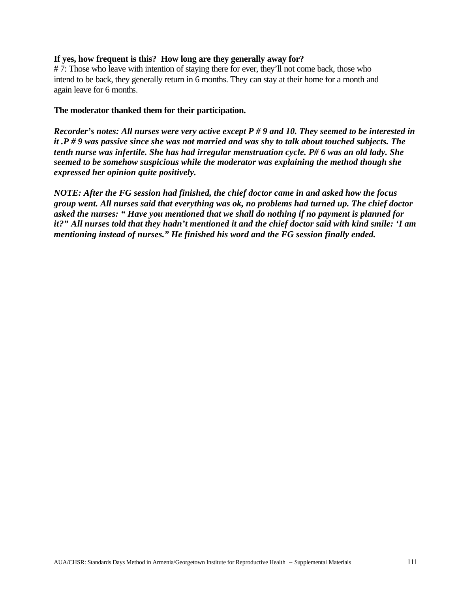#### **If yes, how frequent is this? How long are they generally away for?**

# 7: Those who leave with intention of staying there for ever, they'll not come back, those who intend to be back, they generally return in 6 months. They can stay at their home for a month and again leave for 6 months.

#### **The moderator thanked them for their participation.**

*Recorder's notes: All nurses were very active except P # 9 and 10. They seemed to be interested in it .P # 9 was passive since she was not married and was shy to talk about touched subjects. The tenth nurse was infertile. She has had irregular menstruation cycle. P# 6 was an old lady. She seemed to be somehow suspicious while the moderator was explaining the method though she expressed her opinion quite positively.* 

*NOTE: After the FG session had finished, the chief doctor came in and asked how the focus group went. All nurses said that everything was ok, no problems had turned up. The chief doctor asked the nurses: " Have you mentioned that we shall do nothing if no payment is planned for it?" All nurses told that they hadn't mentioned it and the chief doctor said with kind smile: 'I am mentioning instead of nurses." He finished his word and the FG session finally ended.*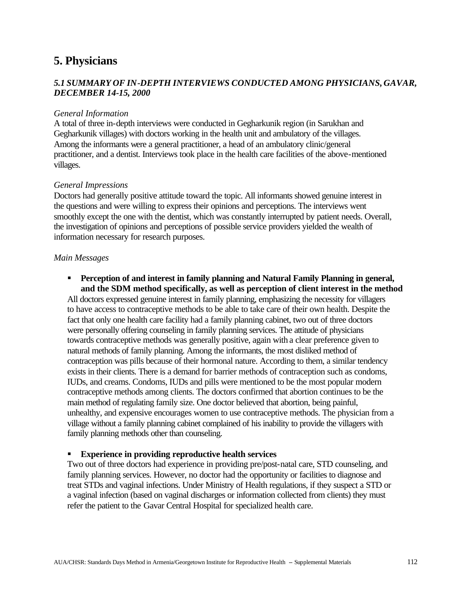### **5. Physicians**

### *5.1 SUMMARY OF IN-DEPTH INTERVIEWS CONDUCTED AMONG PHYSICIANS, GAVAR, DECEMBER 14-15, 2000*

#### *General Information*

A total of three in-depth interviews were conducted in Gegharkunik region (in Sarukhan and Gegharkunik villages) with doctors working in the health unit and ambulatory of the villages. Among the informants were a general practitioner, a head of an ambulatory clinic/general practitioner, and a dentist. Interviews took place in the health care facilities of the above-mentioned villages.

#### *General Impressions*

Doctors had generally positive attitude toward the topic. All informants showed genuine interest in the questions and were willing to express their opinions and perceptions. The interviews went smoothly except the one with the dentist, which was constantly interrupted by patient needs. Overall, the investigation of opinions and perceptions of possible service providers yielded the wealth of information necessary for research purposes.

#### *Main Messages*

**Perception of and interest in family planning and Natural Family Planning in general, and the SDM method specifically, as well as perception of client interest in the method**

All doctors expressed genuine interest in family planning, emphasizing the necessity for villagers to have access to contraceptive methods to be able to take care of their own health. Despite the fact that only one health care facility had a family planning cabinet, two out of three doctors were personally offering counseling in family planning services. The attitude of physicians towards contraceptive methods was generally positive, again with a clear preference given to natural methods of family planning. Among the informants, the most disliked method of contraception was pills because of their hormonal nature. According to them, a similar tendency exists in their clients. There is a demand for barrier methods of contraception such as condoms, IUDs, and creams. Condoms, IUDs and pills were mentioned to be the most popular modern contraceptive methods among clients. The doctors confirmed that abortion continues to be the main method of regulating family size. One doctor believed that abortion, being painful, unhealthy, and expensive encourages women to use contraceptive methods. The physician from a village without a family planning cabinet complained of his inability to provide the villagers with family planning methods other than counseling.

#### ß **Experience in providing reproductive health services**

Two out of three doctors had experience in providing pre/post-natal care, STD counseling, and family planning services. However, no doctor had the opportunity or facilities to diagnose and treat STDs and vaginal infections. Under Ministry of Health regulations, if they suspect a STD or a vaginal infection (based on vaginal discharges or information collected from clients) they must refer the patient to the Gavar Central Hospital for specialized health care.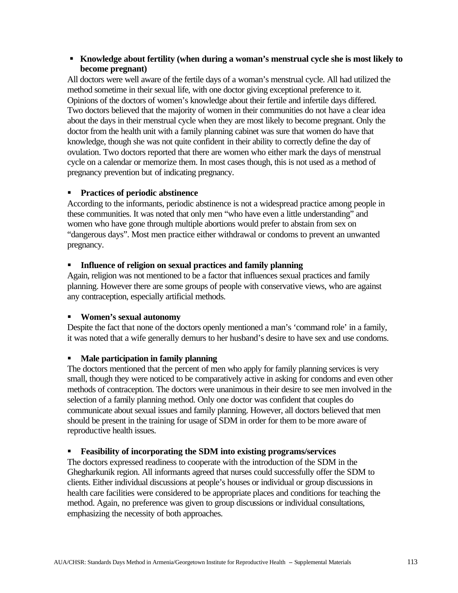#### ß **Knowledge about fertility (when during a woman's menstrual cycle she is most likely to become pregnant)**

All doctors were well aware of the fertile days of a woman's menstrual cycle. All had utilized the method sometime in their sexual life, with one doctor giving exceptional preference to it. Opinions of the doctors of women's knowledge about their fertile and infertile days differed. Two doctors believed that the majority of women in their communities do not have a clear idea about the days in their menstrual cycle when they are most likely to become pregnant. Only the doctor from the health unit with a family planning cabinet was sure that women do have that knowledge, though she was not quite confident in their ability to correctly define the day of ovulation. Two doctors reported that there are women who either mark the days of menstrual cycle on a calendar or memorize them. In most cases though, this is not used as a method of pregnancy prevention but of indicating pregnancy.

### ß **Practices of periodic abstinence**

According to the informants, periodic abstinence is not a widespread practice among people in these communities. It was noted that only men "who have even a little understanding" and women who have gone through multiple abortions would prefer to abstain from sex on "dangerous days". Most men practice either withdrawal or condoms to prevent an unwanted pregnancy.

#### **Influence of religion on sexual practices and family planning**

Again, religion was not mentioned to be a factor that influences sexual practices and family planning. However there are some groups of people with conservative views, who are against any contraception, especially artificial methods.

### ß **Women's sexual autonomy**

Despite the fact that none of the doctors openly mentioned a man's 'command role' in a family, it was noted that a wife generally demurs to her husband's desire to have sex and use condoms.

### ß **Male participation in family planning**

The doctors mentioned that the percent of men who apply for family planning services is very small, though they were noticed to be comparatively active in asking for condoms and even other methods of contraception. The doctors were unanimous in their desire to see men involved in the selection of a family planning method. Only one doctor was confident that couples do communicate about sexual issues and family planning. However, all doctors believed that men should be present in the training for usage of SDM in order for them to be more aware of reproductive health issues.

### ß **Feasibility of incorporating the SDM into existing programs/services**

The doctors expressed readiness to cooperate with the introduction of the SDM in the Ghegharkunik region. All informants agreed that nurses could successfully offer the SDM to clients. Either individual discussions at people's houses or individual or group discussions in health care facilities were considered to be appropriate places and conditions for teaching the method. Again, no preference was given to group discussions or individual consultations, emphasizing the necessity of both approaches.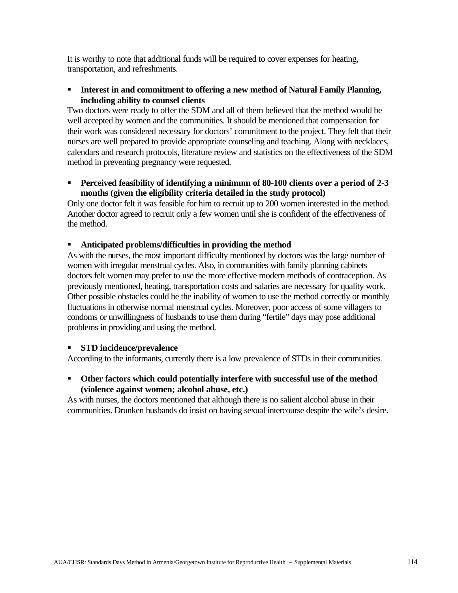It is worthy to note that additional funds will be required to cover expenses for heating, transportation, and refreshments.

**Interest in and commitment to offering a new method of Natural Family Planning, including ability to counsel clients**

Two doctors were ready to offer the SDM and all of them believed that the method would be well accepted by women and the communities. It should be mentioned that compensation for their work was considered necessary for doctors' commitment to the project. They felt that their nurses are well prepared to provide appropriate counseling and teaching. Along with necklaces, calendars and research protocols, literature review and statistics on the effectiveness of the SDM method in preventing pregnancy were requested.

**Perceived feasibility of identifying a minimum of 80-100 clients over a period of 2-3 months (given the eligibility criteria detailed in the study protocol)**

Only one doctor felt it was feasible for him to recruit up to 200 women interested in the method. Another doctor agreed to recruit only a few women until she is confident of the effectiveness of the method.

#### **Anticipated problems/difficulties in providing the method**

As with the nurses, the most important difficulty mentioned by doctors was the large number of women with irregular menstrual cycles. Also, in communities with family planning cabinets doctors felt women may prefer to use the more effective modern methods of contraception. As previously mentioned, heating, transportation costs and salaries are necessary for quality work. Other possible obstacles could be the inability of women to use the method correctly or monthly fluctuations in otherwise normal menstrual cycles. Moreover, poor access of some villagers to condoms or unwillingness of husbands to use them during "fertile" days may pose additional problems in providing and using the method.

#### ß **STD incidence/prevalence**

According to the informants, currently there is a low prevalence of STDs in their communities.

**• Other factors which could potentially interfere with successful use of the method (violence against women; alcohol abuse, etc.)**

As with nurses, the doctors mentioned that although there is no salient alcohol abuse in their communities. Drunken husbands do insist on having sexual intercourse despite the wife's desire.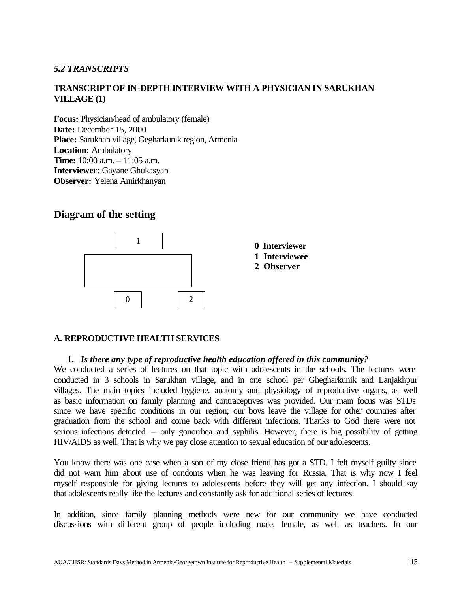#### *5.2 TRANSCRIPTS*

### **TRANSCRIPT OF IN-DEPTH INTERVIEW WITH A PHYSICIAN IN SARUKHAN VILLAGE (1)**

**Focus:** Physician/head of ambulatory (female) **Date:** December 15, 2000 **Place:** Sarukhan village, Gegharkunik region, Armenia **Location:** Ambulatory **Time:** 10:00 a.m. – 11:05 a.m. **Interviewer:** Gayane Ghukasyan **Observer:** Yelena Amirkhanyan

### **Diagram of the setting**



#### **A. REPRODUCTIVE HEALTH SERVICES**

#### **1.** *Is there any type of reproductive health education offered in this community?*

We conducted a series of lectures on that topic with adolescents in the schools. The lectures were conducted in 3 schools in Sarukhan village, and in one school per Ghegharkunik and Lanjakhpur villages. The main topics included hygiene, anatomy and physiology of reproductive organs, as well as basic information on family planning and contraceptives was provided. Our main focus was STDs since we have specific conditions in our region; our boys leave the village for other countries after graduation from the school and come back with different infections. Thanks to God there were not serious infections detected – only gonorrhea and syphilis. However, there is big possibility of getting HIV/AIDS as well. That is why we pay close attention to sexual education of our adolescents.

You know there was one case when a son of my close friend has got a STD. I felt myself guilty since did not warn him about use of condoms when he was leaving for Russia. That is why now I feel myself responsible for giving lectures to adolescents before they will get any infection. I should say that adolescents really like the lectures and constantly ask for additional series of lectures.

In addition, since family planning methods were new for our community we have conducted discussions with different group of people including male, female, as well as teachers. In our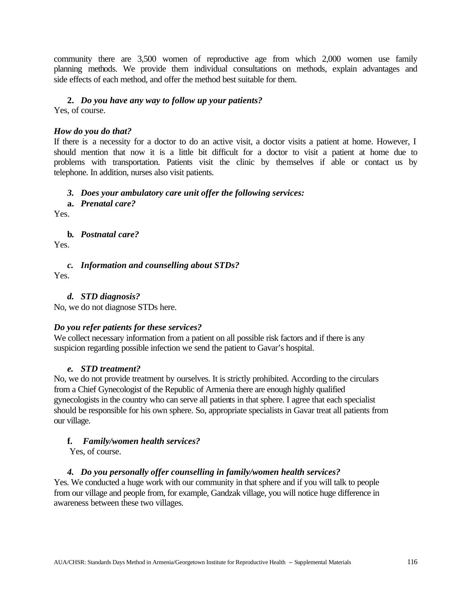community there are 3,500 women of reproductive age from which 2,000 women use family planning methods. We provide them individual consultations on methods, explain advantages and side effects of each method, and offer the method best suitable for them.

### **2.** *Do you have any way to follow up your patients?*

Yes, of course.

### *How do you do that?*

If there is a necessity for a doctor to do an active visit, a doctor visits a patient at home. However, I should mention that now it is a little bit difficult for a doctor to visit a patient at home due to problems with transportation. Patients visit the clinic by themselves if able or contact us by telephone. In addition, nurses also visit patients.

### *3. Does your ambulatory care unit offer the following services:*

### **a.** *Prenatal care?*

Yes.

**b.** *Postnatal care?*

Yes.

*c. Information and counselling about STDs?* 

Yes.

### *d. STD diagnosis?*

No, we do not diagnose STDs here.

### *Do you refer patients for these services?*

We collect necessary information from a patient on all possible risk factors and if there is any suspicion regarding possible infection we send the patient to Gavar's hospital.

### *e. STD treatment?*

No, we do not provide treatment by ourselves. It is strictly prohibited. According to the circulars from a Chief Gynecologist of the Republic of Armenia there are enough highly qualified gynecologists in the country who can serve all patients in that sphere. I agree that each specialist should be responsible for his own sphere. So, appropriate specialists in Gavar treat all patients from our village.

### **f.** *Family/women health services?*

Yes, of course.

### *4. Do you personally offer counselling in family/women health services?*

Yes. We conducted a huge work with our community in that sphere and if you will talk to people from our village and people from, for example, Gandzak village, you will notice huge difference in awareness between these two villages.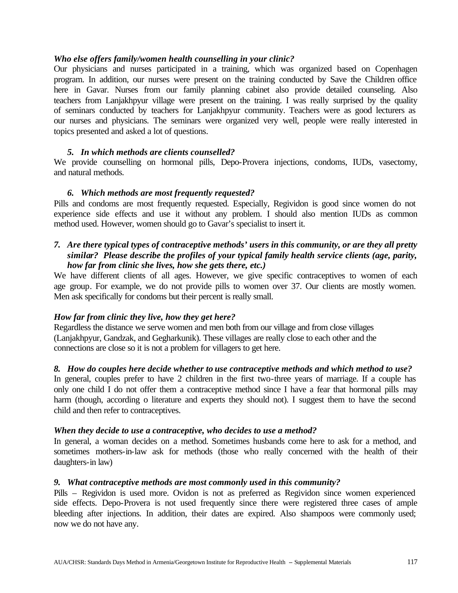#### *Who else offers family/women health counselling in your clinic?*

Our physicians and nurses participated in a training, which was organized based on Copenhagen program. In addition, our nurses were present on the training conducted by Save the Children office here in Gavar. Nurses from our family planning cabinet also provide detailed counseling. Also teachers from Lanjakhpyur village were present on the training. I was really surprised by the quality of seminars conducted by teachers for Lanjakhpyur community. Teachers were as good lecturers as our nurses and physicians. The seminars were organized very well, people were really interested in topics presented and asked a lot of questions.

#### *5. In which methods are clients counselled?*

We provide counselling on hormonal pills, Depo-Provera injections, condoms, IUDs, vasectomy, and natural methods.

#### *6. Which methods are most frequently requested?*

Pills and condoms are most frequently requested. Especially, Regividon is good since women do not experience side effects and use it without any problem. I should also mention IUDs as common method used. However, women should go to Gavar's specialist to insert it.

#### *7. Are there typical types of contraceptive methods' users in this community, or are they all pretty similar? Please describe the profiles of your typical family health service clients (age, parity, how far from clinic she lives, how she gets there, etc.)*

We have different clients of all ages. However, we give specific contraceptives to women of each age group. For example, we do not provide pills to women over 37. Our clients are mostly women. Men ask specifically for condoms but their percent is really small.

#### *How far from clinic they live, how they get here?*

Regardless the distance we serve women and men both from our village and from close villages (Lanjakhpyur, Gandzak, and Gegharkunik). These villages are really close to each other and the connections are close so it is not a problem for villagers to get here.

#### *8. How do couples here decide whether to use contraceptive methods and which method to use?*

In general, couples prefer to have 2 children in the first two-three years of marriage. If a couple has only one child I do not offer them a contraceptive method since I have a fear that hormonal pills may harm (though, according o literature and experts they should not). I suggest them to have the second child and then refer to contraceptives.

#### *When they decide to use a contraceptive, who decides to use a method?*

In general, a woman decides on a method. Sometimes husbands come here to ask for a method, and sometimes mothers-in-law ask for methods (those who really concerned with the health of their daughters-in law)

#### *9. What contraceptive methods are most commonly used in this community?*

Pills – Regividon is used more. Ovidon is not as preferred as Regividon since women experienced side effects. Depo-Provera is not used frequently since there were registered three cases of ample bleeding after injections. In addition, their dates are expired. Also shampoos were commonly used; now we do not have any.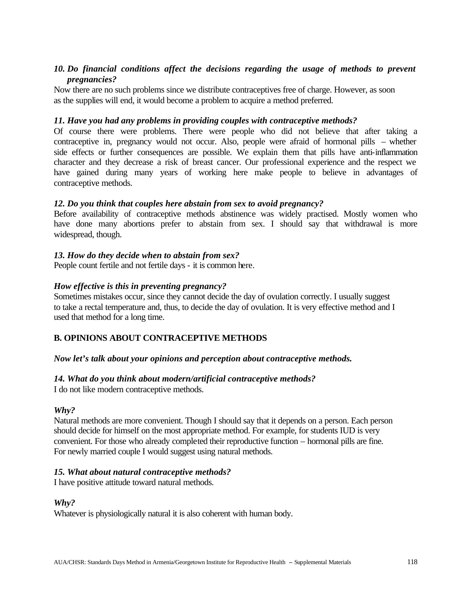#### *10. Do financial conditions affect the decisions regarding the usage of methods to prevent pregnancies?*

Now there are no such problems since we distribute contraceptives free of charge. However, as soon as the supplies will end, it would become a problem to acquire a method preferred.

#### *11. Have you had any problems in providing couples with contraceptive methods?*

Of course there were problems. There were people who did not believe that after taking a contraceptive in, pregnancy would not occur. Also, people were afraid of hormonal pills – whether side effects or further consequences are possible. We explain them that pills have anti-inflammation character and they decrease a risk of breast cancer. Our professional experience and the respect we have gained during many years of working here make people to believe in advantages of contraceptive methods.

#### *12. Do you think that couples here abstain from sex to avoid pregnancy?*

Before availability of contraceptive methods abstinence was widely practised. Mostly women who have done many abortions prefer to abstain from sex. I should say that withdrawal is more widespread, though.

#### *13. How do they decide when to abstain from sex?*

People count fertile and not fertile days - it is common here.

#### *How effective is this in preventing pregnancy?*

Sometimes mistakes occur, since they cannot decide the day of ovulation correctly. I usually suggest to take a rectal temperature and, thus, to decide the day of ovulation. It is very effective method and I used that method for a long time.

#### **B. OPINIONS ABOUT CONTRACEPTIVE METHODS**

#### *Now let's talk about your opinions and perception about contraceptive methods.*

#### *14. What do you think about modern/artificial contraceptive methods?*

I do not like modern contraceptive methods.

#### *Why?*

Natural methods are more convenient. Though I should say that it depends on a person. Each person should decide for himself on the most appropriate method. For example, for students IUD is very convenient. For those who already completed their reproductive function – hormonal pills are fine. For newly married couple I would suggest using natural methods.

#### *15. What about natural contraceptive methods?*

I have positive attitude toward natural methods.

#### *Why?*

Whatever is physiologically natural it is also coherent with human body.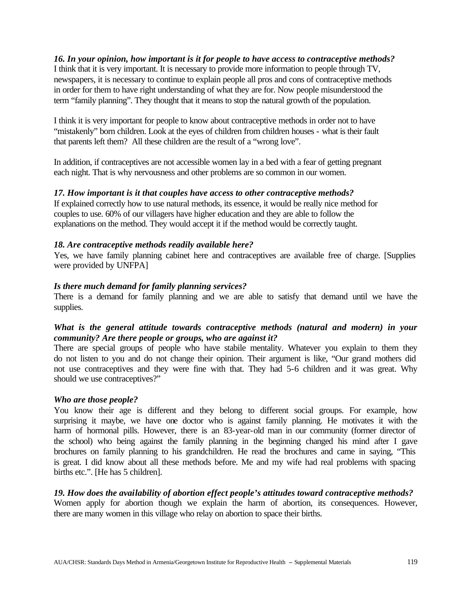#### *16. In your opinion, how important is it for people to have access to contraceptive methods?*

I think that it is very important. It is necessary to provide more information to people through TV, newspapers, it is necessary to continue to explain people all pros and cons of contraceptive methods in order for them to have right understanding of what they are for. Now people misunderstood the term "family planning". They thought that it means to stop the natural growth of the population.

I think it is very important for people to know about contraceptive methods in order not to have "mistakenly" born children. Look at the eyes of children from children houses - what is their fault that parents left them? All these children are the result of a "wrong love".

In addition, if contraceptives are not accessible women lay in a bed with a fear of getting pregnant each night. That is why nervousness and other problems are so common in our women.

#### *17. How important is it that couples have access to other contraceptive methods?*

If explained correctly how to use natural methods, its essence, it would be really nice method for couples to use. 60% of our villagers have higher education and they are able to follow the explanations on the method. They would accept it if the method would be correctly taught.

#### *18. Are contraceptive methods readily available here?*

Yes, we have family planning cabinet here and contraceptives are available free of charge. [Supplies were provided by UNFPA]

#### *Is there much demand for family planning services?*

There is a demand for family planning and we are able to satisfy that demand until we have the supplies.

#### *What is the general attitude towards contraceptive methods (natural and modern) in your community? Are there people or groups, who are against it?*

There are special groups of people who have stabile mentality. Whatever you explain to them they do not listen to you and do not change their opinion. Their argument is like, "Our grand mothers did not use contraceptives and they were fine with that. They had 5-6 children and it was great. Why should we use contraceptives?"

#### *Who are those people?*

You know their age is different and they belong to different social groups. For example, how surprising it maybe, we have one doctor who is against family planning. He motivates it with the harm of hormonal pills. However, there is an 83-year-old man in our community (former director of the school) who being against the family planning in the beginning changed his mind after I gave brochures on family planning to his grandchildren. He read the brochures and came in saying, "This is great. I did know about all these methods before. Me and my wife had real problems with spacing births etc.". [He has 5 children].

#### *19. How does the availability of abortion effect people's attitudes toward contraceptive methods?*

Women apply for abortion though we explain the harm of abortion, its consequences. However, there are many women in this village who relay on abortion to space their births.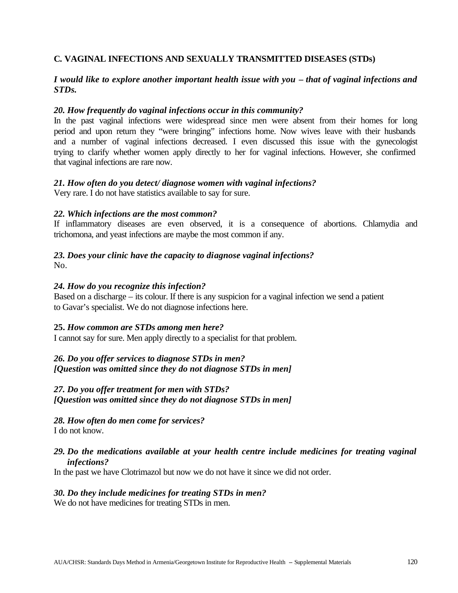#### **C. VAGINAL INFECTIONS AND SEXUALLY TRANSMITTED DISEASES (STDs)**

#### *I would like to explore another important health issue with you – that of vaginal infections and STDs.*

#### *20. How frequently do vaginal infections occur in this community?*

In the past vaginal infections were widespread since men were absent from their homes for long period and upon return they "were bringing" infections home. Now wives leave with their husbands and a number of vaginal infections decreased. I even discussed this issue with the gynecologist trying to clarify whether women apply directly to her for vaginal infections. However, she confirmed that vaginal infections are rare now.

#### *21. How often do you detect/ diagnose women with vaginal infections?*

Very rare. I do not have statistics available to say for sure.

#### *22. Which infections are the most common?*

If inflammatory diseases are even observed, it is a consequence of abortions. Chlamydia and trichomona, and yeast infections are maybe the most common if any.

#### *23. Does your clinic have the capacity to diagnose vaginal infections?*   $N<sub>0</sub>$

#### *24. How do you recognize this infection?*

Based on a discharge – its colour. If there is any suspicion for a vaginal infection we send a patient to Gavar's specialist. We do not diagnose infections here.

#### **25.** *How common are STDs among men here?*

I cannot say for sure. Men apply directly to a specialist for that problem.

#### *26. Do you offer services to diagnose STDs in men? [Question was omitted since they do not diagnose STDs in men]*

*27. Do you offer treatment for men with STDs?*

*[Question was omitted since they do not diagnose STDs in men]*

*28. How often do men come for services?* I do not know.

#### *29. Do the medications available at your health centre include medicines for treating vaginal infections?*

In the past we have Clotrimazol but now we do not have it since we did not order.

#### *30. Do they include medicines for treating STDs in men?*

We do not have medicines for treating STDs in men.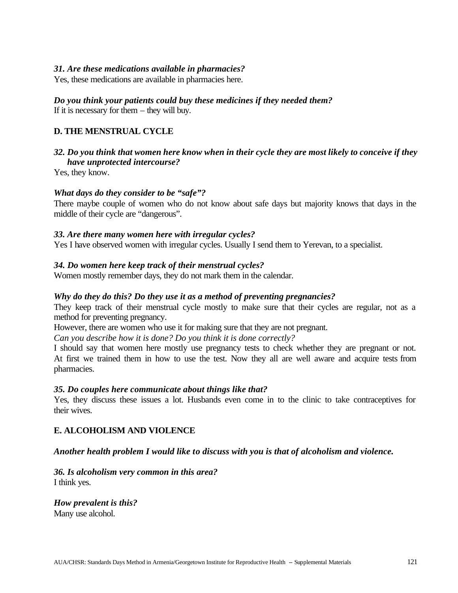#### *31. Are these medications available in pharmacies?*

Yes, these medications are available in pharmacies here.

### *Do you think your patients could buy these medicines if they needed them?*

If it is necessary for them – they will buy.

#### **D. THE MENSTRUAL CYCLE**

#### *32. Do you think that women here know when in their cycle they are most likely to conceive if they have unprotected intercourse?*

Yes, they know.

#### *What days do they consider to be "safe"?*

There maybe couple of women who do not know about safe days but majority knows that days in the middle of their cycle are "dangerous".

#### *33. Are there many women here with irregular cycles?*

Yes I have observed women with irregular cycles. Usually I send them to Yerevan, to a specialist.

#### *34. Do women here keep track of their menstrual cycles?*

Women mostly remember days, they do not mark them in the calendar.

#### *Why do they do this? Do they use it as a method of preventing pregnancies?*

They keep track of their menstrual cycle mostly to make sure that their cycles are regular, not as a method for preventing pregnancy.

However, there are women who use it for making sure that they are not pregnant.

*Can you describe how it is done? Do you think it is done correctly?* 

I should say that women here mostly use pregnancy tests to check whether they are pregnant or not. At first we trained them in how to use the test. Now they all are well aware and acquire tests from pharmacies.

#### *35. Do couples here communicate about things like that?*

Yes, they discuss these issues a lot. Husbands even come in to the clinic to take contraceptives for their wives.

#### **E. ALCOHOLISM AND VIOLENCE**

#### *Another health problem I would like to discuss with you is that of alcoholism and violence.*

#### *36. Is alcoholism very common in this area?*  I think yes.

#### *How prevalent is this?* Many use alcohol.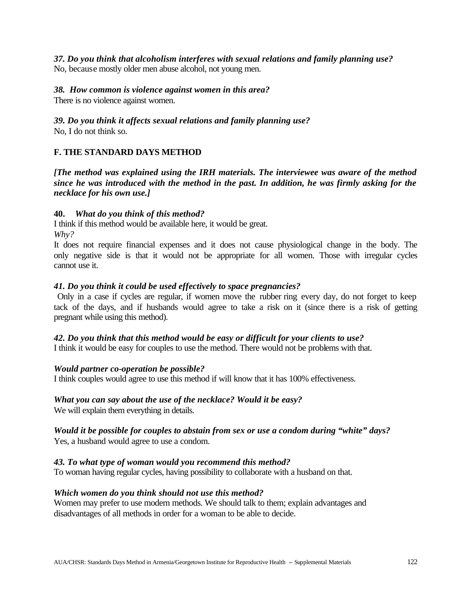*37. Do you think that alcoholism interferes with sexual relations and family planning use?*  No, because mostly older men abuse alcohol, not young men.

#### *38. How common is violence against women in this area?*

There is no violence against women.

*39. Do you think it affects sexual relations and family planning use?* 

No, I do not think so.

### **F. THE STANDARD DAYS METHOD**

*[The method was explained using the IRH materials. The interviewee was aware of the method since he was introduced with the method in the past. In addition, he was firmly asking for the necklace for his own use.]*

#### **40.** *What do you think of this method?*

I think if this method would be available here, it would be great. *Why?*

It does not require financial expenses and it does not cause physiological change in the body. The only negative side is that it would not be appropriate for all women. Those with irregular cycles cannot use it.

#### *41. Do you think it could be used effectively to space pregnancies?*

 Only in a case if cycles are regular, if women move the rubber ring every day, do not forget to keep tack of the days, and if husbands would agree to take a risk on it (since there is a risk of getting pregnant while using this method).

#### *42. Do you think that this method would be easy or difficult for your clients to use?*

I think it would be easy for couples to use the method. There would not be problems with that.

#### *Would partner co-operation be possible?*

I think couples would agree to use this method if will know that it has 100% effectiveness.

#### *What you can say about the use of the necklace? Would it be easy?*

We will explain them everything in details.

*Would it be possible for couples to abstain from sex or use a condom during "white" days?* Yes, a husband would agree to use a condom.

#### *43. To what type of woman would you recommend this method?*

To woman having regular cycles, having possibility to collaborate with a husband on that.

#### *Which women do you think should not use this method?*

Women may prefer to use modern methods. We should talk to them; explain advantages and disadvantages of all methods in order for a woman to be able to decide.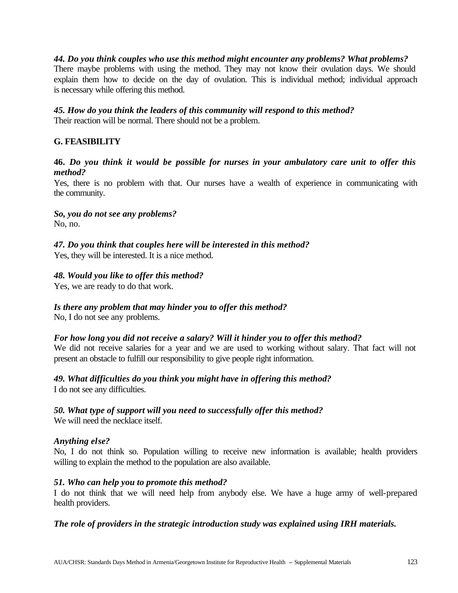#### *44. Do you think couples who use this method might encounter any problems? What problems?*

There maybe problems with using the method. They may not know their ovulation days. We should explain them how to decide on the day of ovulation. This is individual method; individual approach is necessary while offering this method.

# *45. How do you think the leaders of this community will respond to this method?*

Their reaction will be normal. There should not be a problem.

#### **G. FEASIBILITY**

#### **46.** *Do you think it would be possible for nurses in your ambulatory care unit to offer this method?*

Yes, there is no problem with that. Our nurses have a wealth of experience in communicating with the community.

#### *So, you do not see any problems?*

No, no.

### *47. Do you think that couples here will be interested in this method?*

Yes, they will be interested. It is a nice method.

#### *48. Would you like to offer this method?*

Yes, we are ready to do that work.

#### *Is there any problem that may hinder you to offer this method?*

No, I do not see any problems.

#### *For how long you did not receive a salary? Will it hinder you to offer this method?*

We did not receive salaries for a year and we are used to working without salary. That fact will not present an obstacle to fulfill our responsibility to give people right information.

#### *49. What difficulties do you think you might have in offering this method?*

I do not see any difficulties.

### *50. What type of support will you need to successfully offer this method?*

We will need the necklace itself.

#### *Anything else?*

No, I do not think so. Population willing to receive new information is available; health providers willing to explain the method to the population are also available.

#### *51. Who can help you to promote this method?*

I do not think that we will need help from anybody else. We have a huge army of well-prepared health providers.

#### *The role of providers in the strategic introduction study was explained using IRH materials.*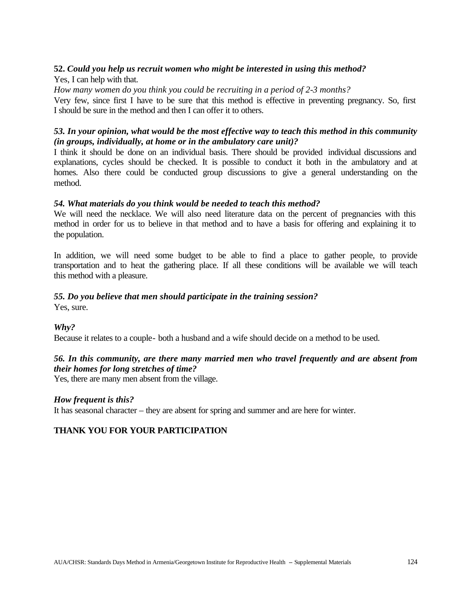#### **52.** *Could you help us recruit women who might be interested in using this method?*

Yes, I can help with that.

*How many women do you think you could be recruiting in a period of 2-3 months?*

Very few, since first I have to be sure that this method is effective in preventing pregnancy. So, first I should be sure in the method and then I can offer it to others.

#### *53. In your opinion, what would be the most effective way to teach this method in this community (in groups, individually, at home or in the ambulatory care unit)?*

I think it should be done on an individual basis. There should be provided individual discussions and explanations, cycles should be checked. It is possible to conduct it both in the ambulatory and at homes. Also there could be conducted group discussions to give a general understanding on the method.

#### *54. What materials do you think would be needed to teach this method?*

We will need the necklace. We will also need literature data on the percent of pregnancies with this method in order for us to believe in that method and to have a basis for offering and explaining it to the population.

In addition, we will need some budget to be able to find a place to gather people, to provide transportation and to heat the gathering place. If all these conditions will be available we will teach this method with a pleasure.

#### *55. Do you believe that men should participate in the training session?*

Yes, sure.

### *Why?*

Because it relates to a couple- both a husband and a wife should decide on a method to be used.

### *56. In this community, are there many married men who travel frequently and are absent from their homes for long stretches of time?*

Yes, there are many men absent from the village.

#### *How frequent is this?*

It has seasonal character – they are absent for spring and summer and are here for winter.

### **THANK YOU FOR YOUR PARTICIPATION**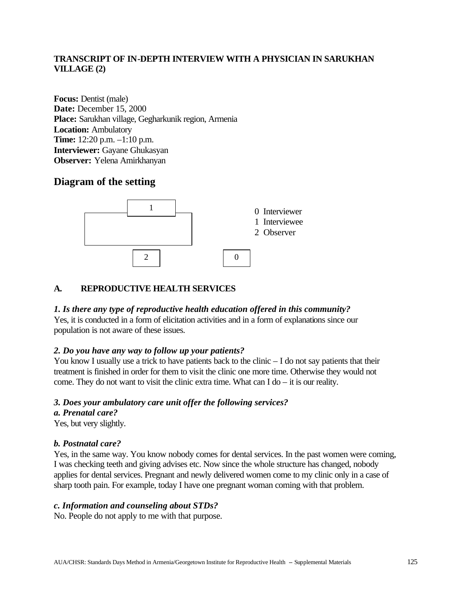#### **TRANSCRIPT OF IN-DEPTH INTERVIEW WITH A PHYSICIAN IN SARUKHAN VILLAGE (2)**

**Focus:** Dentist (male) **Date:** December 15, 2000 **Place:** Sarukhan village, Gegharkunik region, Armenia **Location:** Ambulatory **Time:** 12:20 p.m. –1:10 p.m. **Interviewer:** Gayane Ghukasyan **Observer:** Yelena Amirkhanyan

### **Diagram of the setting**



#### **A. REPRODUCTIVE HEALTH SERVICES**

#### *1. Is there any type of reproductive health education offered in this community?*

Yes, it is conducted in a form of elicitation activities and in a form of explanations since our population is not aware of these issues.

#### *2. Do you have any way to follow up your patients?*

You know I usually use a trick to have patients back to the clinic – I do not say patients that their treatment is finished in order for them to visit the clinic one more time. Otherwise they would not come. They do not want to visit the clinic extra time. What can  $I$  do  $-$  it is our reality.

#### *3. Does your ambulatory care unit offer the following services?*

#### *a. Prenatal care?*

Yes, but very slightly.

#### *b. Postnatal care?*

Yes, in the same way. You know nobody comes for dental services. In the past women were coming, I was checking teeth and giving advises etc. Now since the whole structure has changed, nobody applies for dental services. Pregnant and newly delivered women come to my clinic only in a case of sharp tooth pain. For example, today I have one pregnant woman coming with that problem.

#### *c. Information and counseling about STDs?*

No. People do not apply to me with that purpose.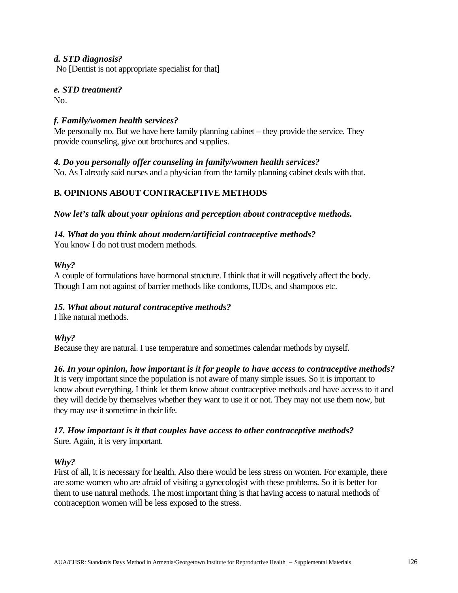#### *d. STD diagnosis?*

No [Dentist is not appropriate specialist for that]

### *e. STD treatment?*

No.

#### *f. Family/women health services?*

Me personally no. But we have here family planning cabinet – they provide the service. They provide counseling, give out brochures and supplies.

#### *4. Do you personally offer counseling in family/women health services?*

No. As I already said nurses and a physician from the family planning cabinet deals with that.

### **B. OPINIONS ABOUT CONTRACEPTIVE METHODS**

*Now let's talk about your opinions and perception about contraceptive methods.*

#### *14. What do you think about modern/artificial contraceptive methods?*

You know I do not trust modern methods.

#### *Why?*

A couple of formulations have hormonal structure. I think that it will negatively affect the body. Though I am not against of barrier methods like condoms, IUDs, and shampoos etc.

#### *15. What about natural contraceptive methods?*

I like natural methods.

#### *Why?*

Because they are natural. I use temperature and sometimes calendar methods by myself.

#### *16. In your opinion, how important is it for people to have access to contraceptive methods?*

It is very important since the population is not aware of many simple issues. So it is important to know about everything. I think let them know about contraceptive methods and have access to it and they will decide by themselves whether they want to use it or not. They may not use them now, but they may use it sometime in their life.

#### *17. How important is it that couples have access to other contraceptive methods?* Sure. Again, it is very important.

#### *Why?*

First of all, it is necessary for health. Also there would be less stress on women. For example, there are some women who are afraid of visiting a gynecologist with these problems. So it is better for them to use natural methods. The most important thing is that having access to natural methods of contraception women will be less exposed to the stress.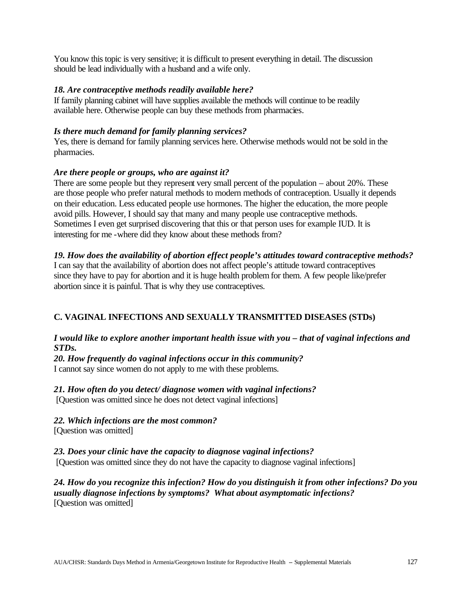You know this topic is very sensitive; it is difficult to present everything in detail. The discussion should be lead individually with a husband and a wife only.

#### *18. Are contraceptive methods readily available here?*

If family planning cabinet will have supplies available the methods will continue to be readily available here. Otherwise people can buy these methods from pharmacies.

#### *Is there much demand for family planning services?*

Yes, there is demand for family planning services here. Otherwise methods would not be sold in the pharmacies.

#### *Are there people or groups, who are against it?*

There are some people but they represent very small percent of the population – about 20%. These are those people who prefer natural methods to modern methods of contraception. Usually it depends on their education. Less educated people use hormones. The higher the education, the more people avoid pills. However, I should say that many and many people use contraceptive methods. Sometimes I even get surprised discovering that this or that person uses for example IUD. It is interesting for me -where did they know about these methods from?

### *19. How does the availability of abortion effect people's attitudes toward contraceptive methods?*

I can say that the availability of abortion does not affect people's attitude toward contraceptives since they have to pay for abortion and it is huge health problem for them. A few people like/prefer abortion since it is painful. That is why they use contraceptives.

### **C. VAGINAL INFECTIONS AND SEXUALLY TRANSMITTED DISEASES (STDs)**

#### *I would like to explore another important health issue with you – that of vaginal infections and STDs.*

*20. How frequently do vaginal infections occur in this community?* I cannot say since women do not apply to me with these problems.

*21. How often do you detect/ diagnose women with vaginal infections?* [Question was omitted since he does not detect vaginal infections]

*22. Which infections are the most common?*

[Question was omitted]

#### *23. Does your clinic have the capacity to diagnose vaginal infections?*

[Question was omitted since they do not have the capacity to diagnose vaginal infections]

*24. How do you recognize this infection? How do you distinguish it from other infections? Do you usually diagnose infections by symptoms? What about asymptomatic infections?* [Question was omitted]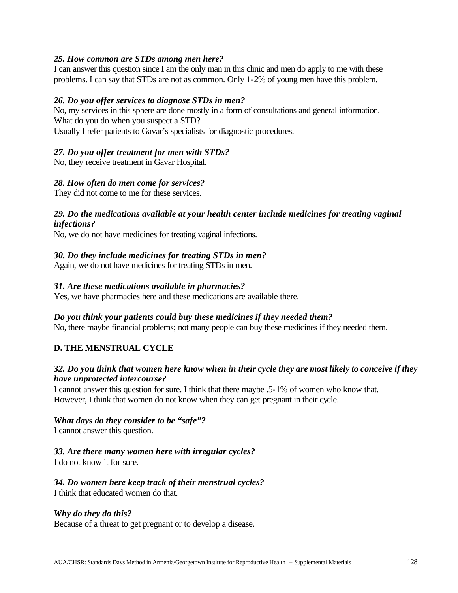#### *25. How common are STDs among men here?*

I can answer this question since I am the only man in this clinic and men do apply to me with these problems. I can say that STDs are not as common. Only 1-2% of young men have this problem.

#### *26. Do you offer services to diagnose STDs in men?*

No, my services in this sphere are done mostly in a form of consultations and general information. What do you do when you suspect a STD?

Usually I refer patients to Gavar's specialists for diagnostic procedures.

#### *27. Do you offer treatment for men with STDs?*

No, they receive treatment in Gavar Hospital.

#### *28. How often do men come for services?*

They did not come to me for these services.

#### *29. Do the medications available at your health center include medicines for treating vaginal infections?*

No, we do not have medicines for treating vaginal infections.

#### *30. Do they include medicines for treating STDs in men?*

Again, we do not have medicines for treating STDs in men.

#### *31. Are these medications available in pharmacies?*

Yes, we have pharmacies here and these medications are available there.

#### *Do you think your patients could buy these medicines if they needed them?*

No, there maybe financial problems; not many people can buy these medicines if they needed them.

#### **D. THE MENSTRUAL CYCLE**

#### *32. Do you think that women here know when in their cycle they are most likely to conceive if they have unprotected intercourse?*

I cannot answer this question for sure. I think that there maybe .5-1% of women who know that. However, I think that women do not know when they can get pregnant in their cycle.

#### *What days do they consider to be "safe"?*

I cannot answer this question.

#### *33. Are there many women here with irregular cycles?*

I do not know it for sure.

### *34. Do women here keep track of their menstrual cycles?*

I think that educated women do that.

#### *Why do they do this?*

Because of a threat to get pregnant or to develop a disease.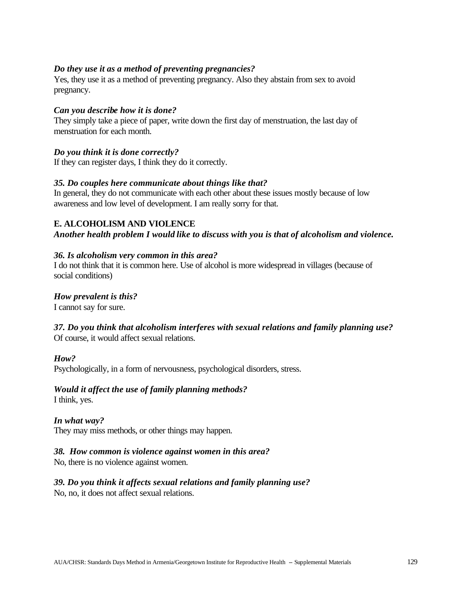#### *Do they use it as a method of preventing pregnancies?*

Yes, they use it as a method of preventing pregnancy. Also they abstain from sex to avoid pregnancy.

#### *Can you describe how it is done?*

They simply take a piece of paper, write down the first day of menstruation, the last day of menstruation for each month.

#### *Do you think it is done correctly?*

If they can register days, I think they do it correctly.

#### *35. Do couples here communicate about things like that?*

In general, they do not communicate with each other about these issues mostly because of low awareness and low level of development. I am really sorry for that.

#### **E. ALCOHOLISM AND VIOLENCE**

*Another health problem I would like to discuss with you is that of alcoholism and violence.*

#### *36. Is alcoholism very common in this area?*

I do not think that it is common here. Use of alcohol is more widespread in villages (because of social conditions)

#### *How prevalent is this?*

I cannot say for sure.

#### *37. Do you think that alcoholism interferes with sexual relations and family planning use?*  Of course, it would affect sexual relations.

#### *How?*

Psychologically, in a form of nervousness, psychological disorders, stress.

#### *Would it affect the use of family planning methods?*

I think, yes.

#### *In what way?*

They may miss methods, or other things may happen.

#### *38. How common is violence against women in this area?*

No, there is no violence against women.

#### *39. Do you think it affects sexual relations and family planning use?*

No, no, it does not affect sexual relations.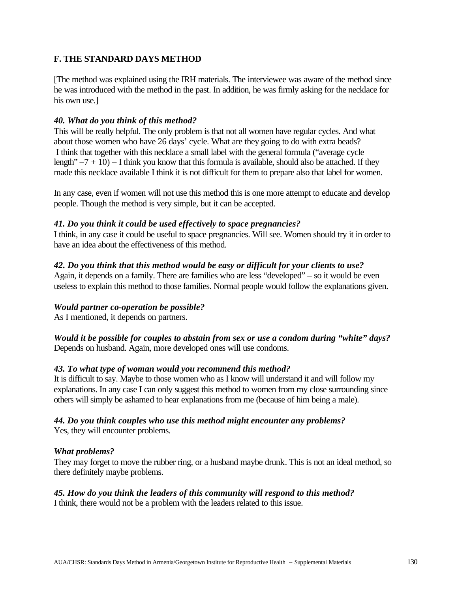#### **F. THE STANDARD DAYS METHOD**

[The method was explained using the IRH materials. The interviewee was aware of the method since he was introduced with the method in the past. In addition, he was firmly asking for the necklace for his own use.]

#### *40. What do you think of this method?*

This will be really helpful. The only problem is that not all women have regular cycles. And what about those women who have 26 days' cycle. What are they going to do with extra beads? I think that together with this necklace a small label with the general formula ("average cycle length"  $-7 + 10$ ) – I think you know that this formula is available, should also be attached. If they made this necklace available I think it is not difficult for them to prepare also that label for women.

In any case, even if women will not use this method this is one more attempt to educate and develop people. Though the method is very simple, but it can be accepted.

#### *41. Do you think it could be used effectively to space pregnancies?*

I think, in any case it could be useful to space pregnancies. Will see. Women should try it in order to have an idea about the effectiveness of this method.

#### *42. Do you think that this method would be easy or difficult for your clients to use?*

Again, it depends on a family. There are families who are less "developed" – so it would be even useless to explain this method to those families. Normal people would follow the explanations given.

### *Would partner co-operation be possible?*

As I mentioned, it depends on partners.

*Would it be possible for couples to abstain from sex or use a condom during "white" days?* Depends on husband. Again, more developed ones will use condoms.

#### *43. To what type of woman would you recommend this method?*

It is difficult to say. Maybe to those women who as I know will understand it and will follow my explanations. In any case I can only suggest this method to women from my close surrounding since others will simply be ashamed to hear explanations from me (because of him being a male).

### *44. Do you think couples who use this method might encounter any problems?*

Yes, they will encounter problems.

#### *What problems?*

They may forget to move the rubber ring, or a husband maybe drunk. This is not an ideal method, so there definitely maybe problems.

#### *45. How do you think the leaders of this community will respond to this method?*

I think, there would not be a problem with the leaders related to this issue.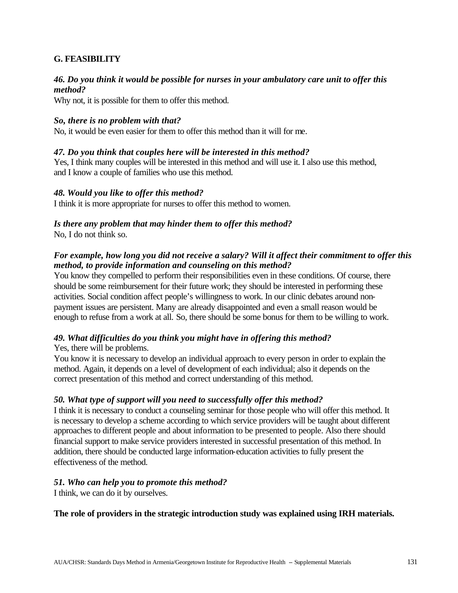#### **G. FEASIBILITY**

#### *46. Do you think it would be possible for nurses in your ambulatory care unit to offer this method?*

Why not, it is possible for them to offer this method.

#### *So, there is no problem with that?*

No, it would be even easier for them to offer this method than it will for me.

#### *47. Do you think that couples here will be interested in this method?*

Yes, I think many couples will be interested in this method and will use it. I also use this method, and I know a couple of families who use this method.

#### *48. Would you like to offer this method?*

I think it is more appropriate for nurses to offer this method to women.

## *Is there any problem that may hinder them to offer this method?*

No, I do not think so.

#### *For example, how long you did not receive a salary? Will it affect their commitment to offer this method, to provide information and counseling on this method?*

You know they compelled to perform their responsibilities even in these conditions. Of course, there should be some reimbursement for their future work; they should be interested in performing these activities. Social condition affect people's willingness to work. In our clinic debates around nonpayment issues are persistent. Many are already disappointed and even a small reason would be enough to refuse from a work at all. So, there should be some bonus for them to be willing to work.

### *49. What difficulties do you think you might have in offering this method?*

#### Yes, there will be problems.

You know it is necessary to develop an individual approach to every person in order to explain the method. Again, it depends on a level of development of each individual; also it depends on the correct presentation of this method and correct understanding of this method.

#### *50. What type of support will you need to successfully offer this method?*

I think it is necessary to conduct a counseling seminar for those people who will offer this method. It is necessary to develop a scheme according to which service providers will be taught about different approaches to different people and about information to be presented to people. Also there should financial support to make service providers interested in successful presentation of this method. In addition, there should be conducted large information-education activities to fully present the effectiveness of the method.

#### *51. Who can help you to promote this method?*

I think, we can do it by ourselves.

#### **The role of providers in the strategic introduction study was explained using IRH materials.**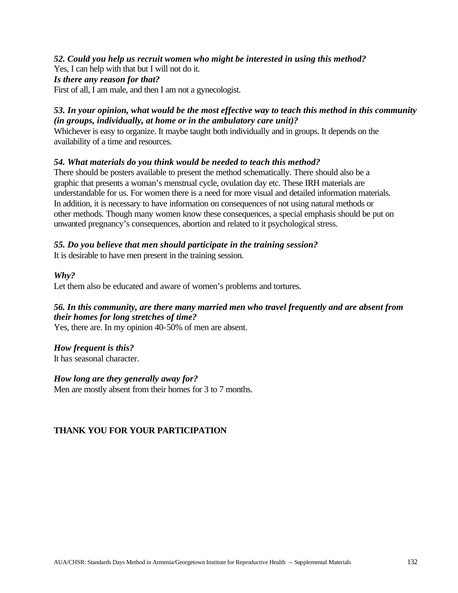#### *52. Could you help us recruit women who might be interested in using this method?*

Yes, I can help with that but I will not do it.

#### *Is there any reason for that?*

First of all, I am male, and then I am not a gynecologist.

### *53. In your opinion, what would be the most effective way to teach this method in this community (in groups, individually, at home or in the ambulatory care unit)?*

Whichever is easy to organize. It maybe taught both individually and in groups. It depends on the availability of a time and resources.

#### *54. What materials do you think would be needed to teach this method?*

There should be posters available to present the method schematically. There should also be a graphic that presents a woman's menstrual cycle, ovulation day etc. These IRH materials are understandable for us. For women there is a need for more visual and detailed information materials. In addition, it is necessary to have information on consequences of not using natural methods or other methods. Though many women know these consequences, a special emphasis should be put on unwanted pregnancy's consequences, abortion and related to it psychological stress.

#### *55. Do you believe that men should participate in the training session?*

It is desirable to have men present in the training session.

#### *Why?*

Let them also be educated and aware of women's problems and tortures.

### *56. In this community, are there many married men who travel frequently and are absent from their homes for long stretches of time?*

Yes, there are. In my opinion 40-50% of men are absent.

#### *How frequent is this?*

It has seasonal character.

#### *How long are they generally away for?*

Men are mostly absent from their homes for 3 to 7 months.

### **THANK YOU FOR YOUR PARTICIPATION**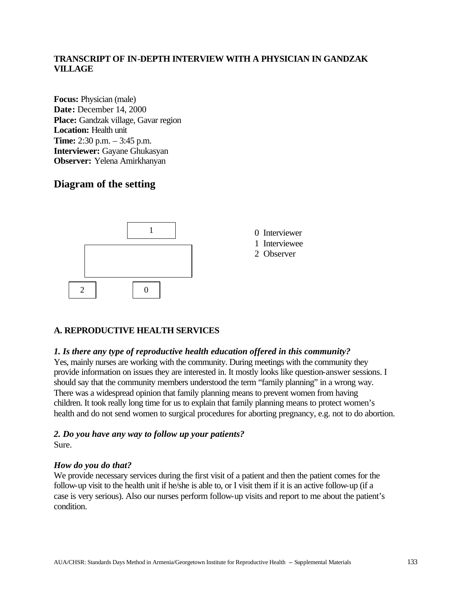#### **TRANSCRIPT OF IN-DEPTH INTERVIEW WITH A PHYSICIAN IN GANDZAK VILLAGE**

**Focus:** Physician (male) **Date:** December 14, 2000 Place: Gandzak village, Gavar region **Location:** Health unit **Time:** 2:30 p.m. – 3:45 p.m. **Interviewer:** Gayane Ghukasyan **Observer:** Yelena Amirkhanyan

### **Diagram of the setting**



### **A. REPRODUCTIVE HEALTH SERVICES**

#### *1. Is there any type of reproductive health education offered in this community?*

Yes, mainly nurses are working with the community. During meetings with the community they provide information on issues they are interested in. It mostly looks like question-answer sessions. I should say that the community members understood the term "family planning" in a wrong way. There was a widespread opinion that family planning means to prevent women from having children. It took really long time for us to explain that family planning means to protect women's health and do not send women to surgical procedures for aborting pregnancy, e.g. not to do abortion.

#### *2. Do you have any way to follow up your patients?*  Sure.

#### *How do you do that?*

We provide necessary services during the first visit of a patient and then the patient comes for the follow-up visit to the health unit if he/she is able to, or I visit them if it is an active follow-up (if a case is very serious). Also our nurses perform follow-up visits and report to me about the patient's condition.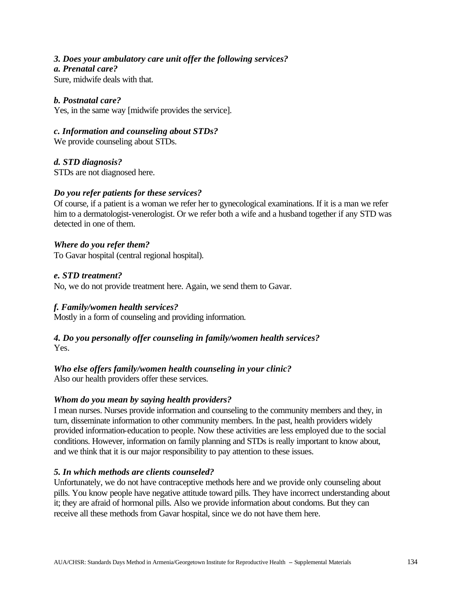#### *3. Does your ambulatory care unit offer the following services?*

#### *a. Prenatal care?*

Sure, midwife deals with that.

#### *b. Postnatal care?*

Yes, in the same way [midwife provides the service].

*c. Information and counseling about STDs?*

We provide counseling about STDs.

### *d. STD diagnosis?*

STDs are not diagnosed here.

#### *Do you refer patients for these services?*

Of course, if a patient is a woman we refer her to gynecological examinations. If it is a man we refer him to a dermatologist-venerologist. Or we refer both a wife and a husband together if any STD was detected in one of them.

#### *Where do you refer them?*

To Gavar hospital (central regional hospital).

#### *e. STD treatment?*

No, we do not provide treatment here. Again, we send them to Gavar.

### *f. Family/women health services?*

Mostly in a form of counseling and providing information.

#### *4. Do you personally offer counseling in family/women health services?*  Yes.

### *Who else offers family/women health counseling in your clinic?*

Also our health providers offer these services.

#### *Whom do you mean by saying health providers?*

I mean nurses. Nurses provide information and counseling to the community members and they, in turn, disseminate information to other community members. In the past, health providers widely provided information-education to people. Now these activities are less employed due to the social conditions. However, information on family planning and STDs is really important to know about, and we think that it is our major responsibility to pay attention to these issues.

#### *5. In which methods are clients counseled?*

Unfortunately, we do not have contraceptive methods here and we provide only counseling about pills. You know people have negative attitude toward pills. They have incorrect understanding about it; they are afraid of hormonal pills. Also we provide information about condoms. But they can receive all these methods from Gavar hospital, since we do not have them here.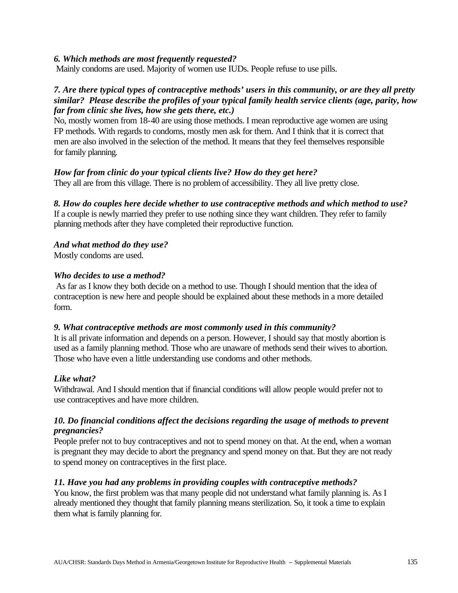#### *6. Which methods are most frequently requested?*

Mainly condoms are used. Majority of women use IUDs. People refuse to use pills.

#### *7. Are there typical types of contraceptive methods' users in this community, or are they all pretty similar? Please describe the profiles of your typical family health service clients (age, parity, how far from clinic she lives, how she gets there, etc.)*

No, mostly women from 18-40 are using those methods. I mean reproductive age women are using FP methods. With regards to condoms, mostly men ask for them. And I think that it is correct that men are also involved in the selection of the method. It means that they feel themselves responsible for family planning.

#### *How far from clinic do your typical clients live? How do they get here?*

They all are from this village. There is no problem of accessibility. They all live pretty close.

### *8. How do couples here decide whether to use contraceptive methods and which method to use?*

If a couple is newly married they prefer to use nothing since they want children. They refer to family planning methods after they have completed their reproductive function.

### *And what method do they use?*

Mostly condoms are used.

#### *Who decides to use a method?*

 As far as I know they both decide on a method to use. Though I should mention that the idea of contraception is new here and people should be explained about these methods in a more detailed form.

#### *9. What contraceptive methods are most commonly used in this community?*

It is all private information and depends on a person. However, I should say that mostly abortion is used as a family planning method. Those who are unaware of methods send their wives to abortion. Those who have even a little understanding use condoms and other methods.

### *Like what?*

Withdrawal. And I should mention that if financial conditions will allow people would prefer not to use contraceptives and have more children.

#### *10. Do financial conditions affect the decisions regarding the usage of methods to prevent pregnancies?*

People prefer not to buy contraceptives and not to spend money on that. At the end, when a woman is pregnant they may decide to abort the pregnancy and spend money on that. But they are not ready to spend money on contraceptives in the first place.

#### *11. Have you had any problems in providing couples with contraceptive methods?*

You know, the first problem was that many people did not understand what family planning is. As I already mentioned they thought that family planning means sterilization. So, it took a time to explain them what is family planning for.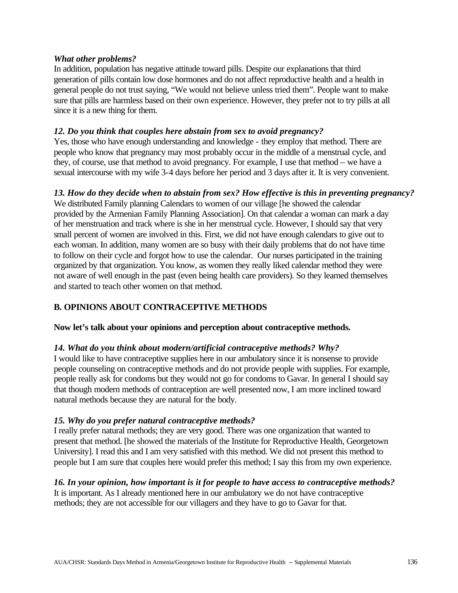#### *What other problems?*

In addition, population has negative attitude toward pills. Despite our explanations that third generation of pills contain low dose hormones and do not affect reproductive health and a health in general people do not trust saying, "We would not believe unless tried them". People want to make sure that pills are harmless based on their own experience. However, they prefer not to try pills at all since it is a new thing for them.

### *12. Do you think that couples here abstain from sex to avoid pregnancy?*

Yes, those who have enough understanding and knowledge - they employ that method. There are people who know that pregnancy may most probably occur in the middle of a menstrual cycle, and they, of course, use that method to avoid pregnancy. For example, I use that method – we have a sexual intercourse with my wife 3-4 days before her period and 3 days after it. It is very convenient.

### *13. How do they decide when to abstain from sex? How effective is this in preventing pregnancy?*

We distributed Family planning Calendars to women of our village [he showed the calendar provided by the Armenian Family Planning Association]. On that calendar a woman can mark a day of her menstruation and track where is she in her menstrual cycle. However, I should say that very small percent of women are involved in this. First, we did not have enough calendars to give out to each woman. In addition, many women are so busy with their daily problems that do not have time to follow on their cycle and forgot how to use the calendar. Our nurses participated in the training organized by that organization. You know, as women they really liked calendar method they were not aware of well enough in the past (even being health care providers). So they learned themselves and started to teach other women on that method.

### **B. OPINIONS ABOUT CONTRACEPTIVE METHODS**

#### **Now let's talk about your opinions and perception about contraceptive methods.**

#### *14. What do you think about modern/artificial contraceptive methods? Why?*

I would like to have contraceptive supplies here in our ambulatory since it is nonsense to provide people counseling on contraceptive methods and do not provide people with supplies. For example, people really ask for condoms but they would not go for condoms to Gavar. In general I should say that though modern methods of contraception are well presented now, I am more inclined toward natural methods because they are natural for the body.

#### *15. Why do you prefer natural contraceptive methods?*

I really prefer natural methods; they are very good. There was one organization that wanted to present that method. [he showed the materials of the Institute for Reproductive Health, Georgetown University]. I read this and I am very satisfied with this method. We did not present this method to people but I am sure that couples here would prefer this method; I say this from my own experience.

### *16. In your opinion, how important is it for people to have access to contraceptive methods?*

It is important. As I already mentioned here in our ambulatory we do not have contraceptive methods; they are not accessible for our villagers and they have to go to Gavar for that.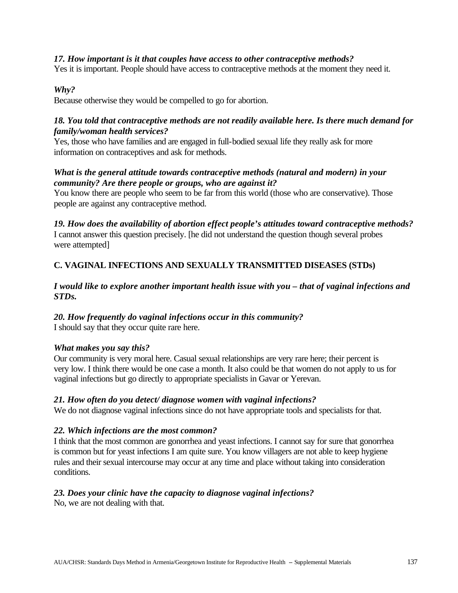#### *17. How important is it that couples have access to other contraceptive methods?*

Yes it is important. People should have access to contraceptive methods at the moment they need it.

#### *Why?*

Because otherwise they would be compelled to go for abortion.

#### *18. You told that contraceptive methods are not readily available here. Is there much demand for family/woman health services?*

Yes, those who have families and are engaged in full-bodied sexual life they really ask for more information on contraceptives and ask for methods.

#### *What is the general attitude towards contraceptive methods (natural and modern) in your community? Are there people or groups, who are against it?*

You know there are people who seem to be far from this world (those who are conservative). Those people are against any contraceptive method.

*19. How does the availability of abortion effect people's attitudes toward contraceptive methods?* I cannot answer this question precisely. [he did not understand the question though several probes were attempted]

### **C. VAGINAL INFECTIONS AND SEXUALLY TRANSMITTED DISEASES (STDs)**

#### *I would like to explore another important health issue with you – that of vaginal infections and STDs.*

#### *20. How frequently do vaginal infections occur in this community?*

I should say that they occur quite rare here.

#### *What makes you say this?*

Our community is very moral here. Casual sexual relationships are very rare here; their percent is very low. I think there would be one case a month. It also could be that women do not apply to us for vaginal infections but go directly to appropriate specialists in Gavar or Yerevan.

#### *21. How often do you detect/ diagnose women with vaginal infections?*

We do not diagnose vaginal infections since do not have appropriate tools and specialists for that.

#### *22. Which infections are the most common?*

I think that the most common are gonorrhea and yeast infections. I cannot say for sure that gonorrhea is common but for yeast infections I am quite sure. You know villagers are not able to keep hygiene rules and their sexual intercourse may occur at any time and place without taking into consideration conditions.

### *23. Does your clinic have the capacity to diagnose vaginal infections?*

No, we are not dealing with that.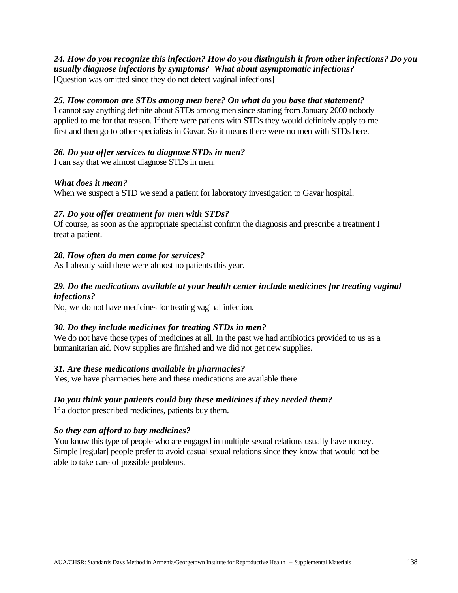*24. How do you recognize this infection? How do you distinguish it from other infections? Do you usually diagnose infections by symptoms? What about asymptomatic infections?* [Question was omitted since they do not detect vaginal infections]

#### *25. How common are STDs among men here? On what do you base that statement?*

I cannot say anything definite about STDs among men since starting from January 2000 nobody applied to me for that reason. If there were patients with STDs they would definitely apply to me first and then go to other specialists in Gavar. So it means there were no men with STDs here.

#### *26. Do you offer services to diagnose STDs in men?*

I can say that we almost diagnose STDs in men.

#### *What does it mean?*

When we suspect a STD we send a patient for laboratory investigation to Gavar hospital.

#### *27. Do you offer treatment for men with STDs?*

Of course, as soon as the appropriate specialist confirm the diagnosis and prescribe a treatment I treat a patient.

#### *28. How often do men come for services?*

As I already said there were almost no patients this year.

#### *29. Do the medications available at your health center include medicines for treating vaginal infections?*

No, we do not have medicines for treating vaginal infection.

#### *30. Do they include medicines for treating STDs in men?*

We do not have those types of medicines at all. In the past we had antibiotics provided to us as a humanitarian aid. Now supplies are finished and we did not get new supplies.

#### *31. Are these medications available in pharmacies?*

Yes, we have pharmacies here and these medications are available there.

#### *Do you think your patients could buy these medicines if they needed them?*

If a doctor prescribed medicines, patients buy them.

#### *So they can afford to buy medicines?*

You know this type of people who are engaged in multiple sexual relations usually have money. Simple [regular] people prefer to avoid casual sexual relations since they know that would not be able to take care of possible problems.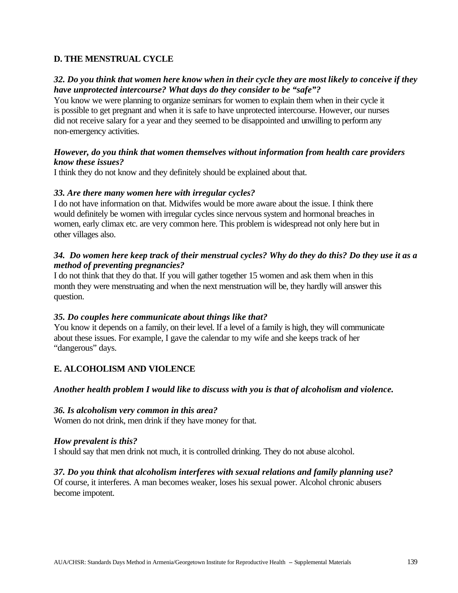#### **D. THE MENSTRUAL CYCLE**

#### *32. Do you think that women here know when in their cycle they are most likely to conceive if they have unprotected intercourse? What days do they consider to be "safe"?*

You know we were planning to organize seminars for women to explain them when in their cycle it is possible to get pregnant and when it is safe to have unprotected intercourse. However, our nurses did not receive salary for a year and they seemed to be disappointed and unwilling to perform any non-emergency activities.

#### *However, do you think that women themselves without information from health care providers know these issues?*

I think they do not know and they definitely should be explained about that.

#### *33. Are there many women here with irregular cycles?*

I do not have information on that. Midwifes would be more aware about the issue. I think there would definitely be women with irregular cycles since nervous system and hormonal breaches in women, early climax etc. are very common here. This problem is widespread not only here but in other villages also.

#### *34. Do women here keep track of their menstrual cycles? Why do they do this? Do they use it as a method of preventing pregnancies?*

I do not think that they do that. If you will gather together 15 women and ask them when in this month they were menstruating and when the next menstruation will be, they hardly will answer this question.

#### *35. Do couples here communicate about things like that?*

You know it depends on a family, on their level. If a level of a family is high, they will communicate about these issues. For example, I gave the calendar to my wife and she keeps track of her "dangerous" days.

### **E. ALCOHOLISM AND VIOLENCE**

#### *Another health problem I would like to discuss with you is that of alcoholism and violence.*

#### *36. Is alcoholism very common in this area?*

Women do not drink, men drink if they have money for that.

#### *How prevalent is this?*

I should say that men drink not much, it is controlled drinking. They do not abuse alcohol.

#### *37. Do you think that alcoholism interferes with sexual relations and family planning use?*

Of course, it interferes. A man becomes weaker, loses his sexual power. Alcohol chronic abusers become impotent.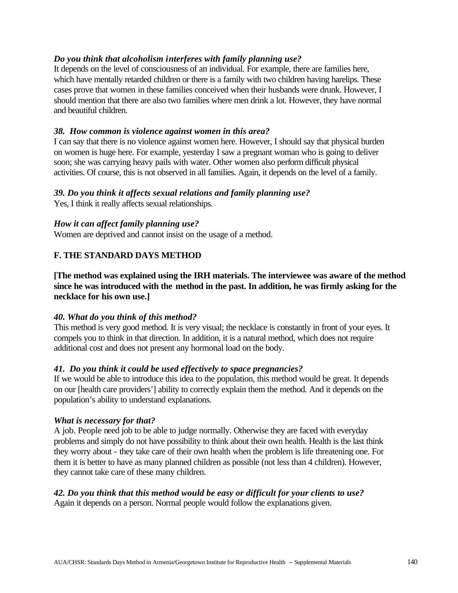#### *Do you think that alcoholism interferes with family planning use?*

It depends on the level of consciousness of an individual. For example, there are families here, which have mentally retarded children or there is a family with two children having harelips. These cases prove that women in these families conceived when their husbands were drunk. However, I should mention that there are also two families where men drink a lot. However, they have normal and beautiful children.

#### *38. How common is violence against women in this area?*

I can say that there is no violence against women here. However, I should say that physical burden on women is huge here. For example, yesterday I saw a pregnant woman who is going to deliver soon; she was carrying heavy pails with water. Other women also perform difficult physical activities. Of course, this is not observed in all families. Again, it depends on the level of a family.

#### *39. Do you think it affects sexual relations and family planning use?*

Yes, I think it really affects sexual relationships.

#### *How it can affect family planning use?*

Women are deprived and cannot insist on the usage of a method.

#### **F. THE STANDARD DAYS METHOD**

**[The method was explained using the IRH materials. The interviewee was aware of the method since he was introduced with the method in the past. In addition, he was firmly asking for the necklace for his own use.]**

#### *40. What do you think of this method?*

This method is very good method. It is very visual; the necklace is constantly in front of your eyes. It compels you to think in that direction. In addition, it is a natural method, which does not require additional cost and does not present any hormonal load on the body.

#### *41. Do you think it could be used effectively to space pregnancies?*

If we would be able to introduce this idea to the population, this method would be great. It depends on our [health care providers'] ability to correctly explain them the method. And it depends on the population's ability to understand explanations.

#### *What is necessary for that?*

A job. People need job to be able to judge normally. Otherwise they are faced with everyday problems and simply do not have possibility to think about their own health. Health is the last think they worry about - they take care of their own health when the problem is life threatening one. For them it is better to have as many planned children as possible (not less than 4 children). However, they cannot take care of these many children.

#### *42. Do you think that this method would be easy or difficult for your clients to use?*

Again it depends on a person. Normal people would follow the explanations given.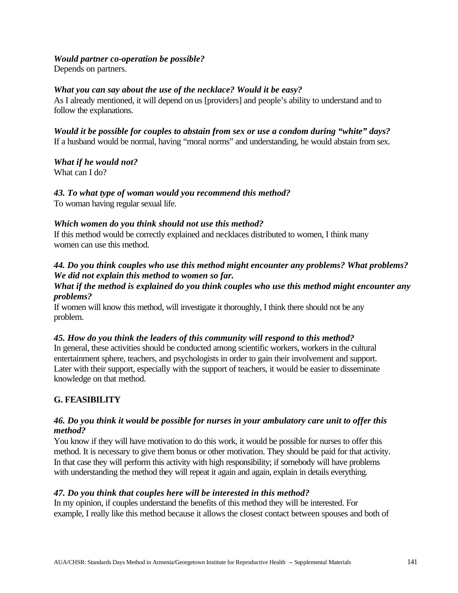#### *Would partner co-operation be possible?*

Depends on partners.

#### *What you can say about the use of the necklace? Would it be easy?*

As I already mentioned, it will depend on us [providers] and people's ability to understand and to follow the explanations.

*Would it be possible for couples to abstain from sex or use a condom during "white" days?* If a husband would be normal, having "moral norms" and understanding, he would abstain from sex.

*What if he would not?*

What can I do?

*43. To what type of woman would you recommend this method?* 

To woman having regular sexual life.

#### *Which women do you think should not use this method?*

If this method would be correctly explained and necklaces distributed to women, I think many women can use this method.

### *44. Do you think couples who use this method might encounter any problems? What problems? We did not explain this method to women so far.*

#### *What if the method is explained do you think couples who use this method might encounter any problems?*

If women will know this method, will investigate it thoroughly, I think there should not be any problem.

### *45. How do you think the leaders of this community will respond to this method?*

In general, these activities should be conducted among scientific workers, workers in the cultural entertainment sphere, teachers, and psychologists in order to gain their involvement and support. Later with their support, especially with the support of teachers, it would be easier to disseminate knowledge on that method.

### **G. FEASIBILITY**

#### *46. Do you think it would be possible for nurses in your ambulatory care unit to offer this method?*

You know if they will have motivation to do this work, it would be possible for nurses to offer this method. It is necessary to give them bonus or other motivation. They should be paid for that activity. In that case they will perform this activity with high responsibility; if somebody will have problems with understanding the method they will repeat it again and again, explain in details everything.

#### *47. Do you think that couples here will be interested in this method?*

In my opinion, if couples understand the benefits of this method they will be interested. For example, I really like this method because it allows the closest contact between spouses and both of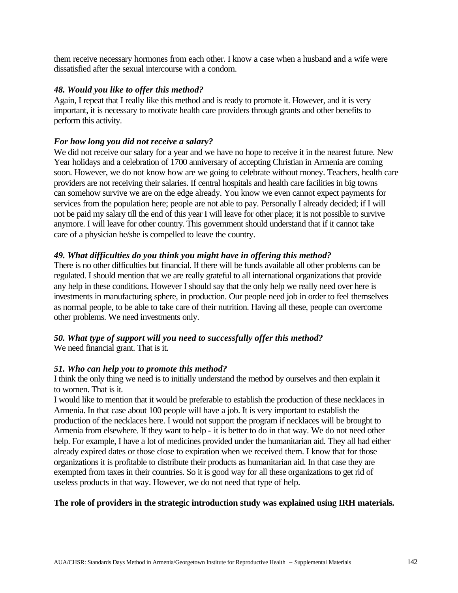them receive necessary hormones from each other. I know a case when a husband and a wife were dissatisfied after the sexual intercourse with a condom.

#### *48. Would you like to offer this method?*

Again, I repeat that I really like this method and is ready to promote it. However, and it is very important, it is necessary to motivate health care providers through grants and other benefits to perform this activity.

#### *For how long you did not receive a salary?*

We did not receive our salary for a year and we have no hope to receive it in the nearest future. New Year holidays and a celebration of 1700 anniversary of accepting Christian in Armenia are coming soon. However, we do not know how are we going to celebrate without money. Teachers, health care providers are not receiving their salaries. If central hospitals and health care facilities in big towns can somehow survive we are on the edge already. You know we even cannot expect payments for services from the population here; people are not able to pay. Personally I already decided; if I will not be paid my salary till the end of this year I will leave for other place; it is not possible to survive anymore. I will leave for other country. This government should understand that if it cannot take care of a physician he/she is compelled to leave the country.

#### *49. What difficulties do you think you might have in offering this method?*

There is no other difficulties but financial. If there will be funds available all other problems can be regulated. I should mention that we are really grateful to all international organizations that provide any help in these conditions. However I should say that the only help we really need over here is investments in manufacturing sphere, in production. Our people need job in order to feel themselves as normal people, to be able to take care of their nutrition. Having all these, people can overcome other problems. We need investments only.

# *50. What type of support will you need to successfully offer this method?*

We need financial grant. That is it.

### *51. Who can help you to promote this method?*

I think the only thing we need is to initially understand the method by ourselves and then explain it to women. That is it.

I would like to mention that it would be preferable to establish the production of these necklaces in Armenia. In that case about 100 people will have a job. It is very important to establish the production of the necklaces here. I would not support the program if necklaces will be brought to Armenia from elsewhere. If they want to help - it is better to do in that way. We do not need other help. For example, I have a lot of medicines provided under the humanitarian aid. They all had either already expired dates or those close to expiration when we received them. I know that for those organizations it is profitable to distribute their products as humanitarian aid. In that case they are exempted from taxes in their countries. So it is good way for all these organizations to get rid of useless products in that way. However, we do not need that type of help.

### **The role of providers in the strategic introduction study was explained using IRH materials.**